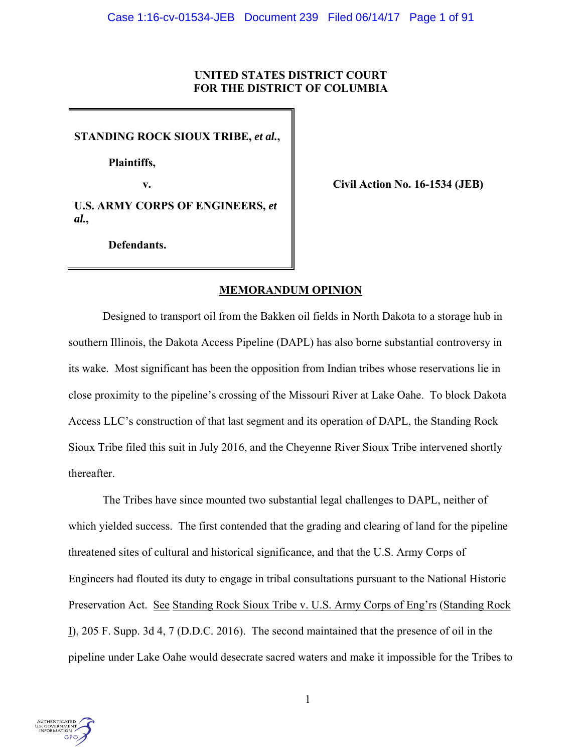# **UNITED STATES DISTRICT COURT FOR THE DISTRICT OF COLUMBIA**

**STANDING ROCK SIOUX TRIBE,** *et al.***,** 

 **Plaintiffs,** 

**v. civil Action No. 16-1534 (JEB)** 

**U.S. ARMY CORPS OF ENGINEERS,** *et al.***,** 

**Defendants.** 

# **MEMORANDUM OPINION**

Designed to transport oil from the Bakken oil fields in North Dakota to a storage hub in southern Illinois, the Dakota Access Pipeline (DAPL) has also borne substantial controversy in its wake. Most significant has been the opposition from Indian tribes whose reservations lie in close proximity to the pipeline's crossing of the Missouri River at Lake Oahe. To block Dakota Access LLC's construction of that last segment and its operation of DAPL, the Standing Rock Sioux Tribe filed this suit in July 2016, and the Cheyenne River Sioux Tribe intervened shortly thereafter.

The Tribes have since mounted two substantial legal challenges to DAPL, neither of which yielded success. The first contended that the grading and clearing of land for the pipeline threatened sites of cultural and historical significance, and that the U.S. Army Corps of Engineers had flouted its duty to engage in tribal consultations pursuant to the National Historic Preservation Act. See Standing Rock Sioux Tribe v. U.S. Army Corps of Eng'rs (Standing Rock I), 205 F. Supp. 3d 4, 7 (D.D.C. 2016). The second maintained that the presence of oil in the pipeline under Lake Oahe would desecrate sacred waters and make it impossible for the Tribes to

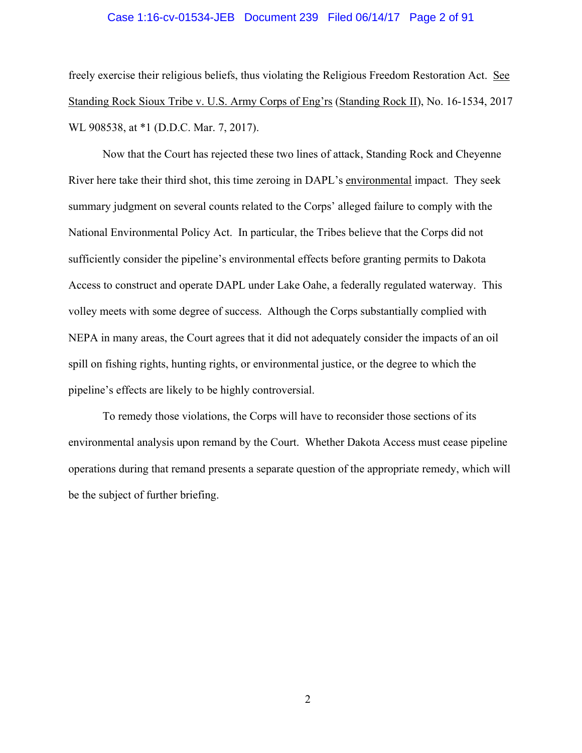#### Case 1:16-cv-01534-JEB Document 239 Filed 06/14/17 Page 2 of 91

freely exercise their religious beliefs, thus violating the Religious Freedom Restoration Act. See Standing Rock Sioux Tribe v. U.S. Army Corps of Eng'rs (Standing Rock II), No. 16-1534, 2017 WL 908538, at \*1 (D.D.C. Mar. 7, 2017).

Now that the Court has rejected these two lines of attack, Standing Rock and Cheyenne River here take their third shot, this time zeroing in DAPL's environmental impact. They seek summary judgment on several counts related to the Corps' alleged failure to comply with the National Environmental Policy Act. In particular, the Tribes believe that the Corps did not sufficiently consider the pipeline's environmental effects before granting permits to Dakota Access to construct and operate DAPL under Lake Oahe, a federally regulated waterway. This volley meets with some degree of success. Although the Corps substantially complied with NEPA in many areas, the Court agrees that it did not adequately consider the impacts of an oil spill on fishing rights, hunting rights, or environmental justice, or the degree to which the pipeline's effects are likely to be highly controversial.

To remedy those violations, the Corps will have to reconsider those sections of its environmental analysis upon remand by the Court. Whether Dakota Access must cease pipeline operations during that remand presents a separate question of the appropriate remedy, which will be the subject of further briefing.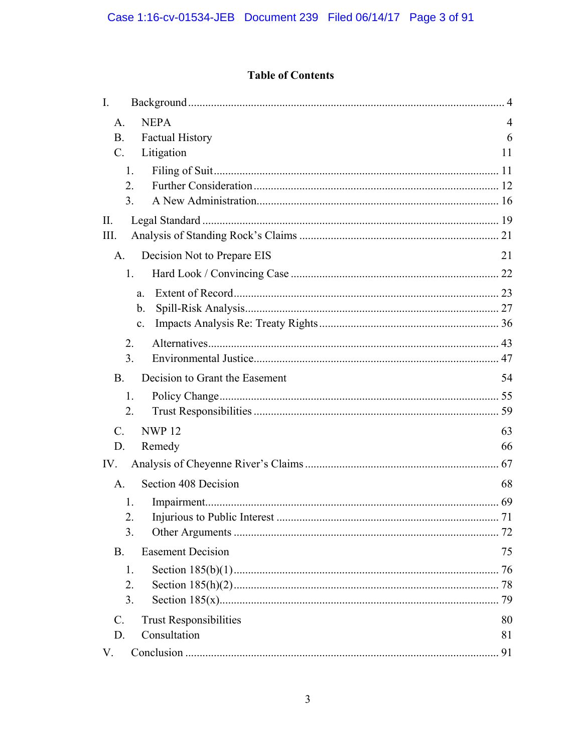# **Table of Contents**

| $I_{\cdot}$                                      |                |
|--------------------------------------------------|----------------|
| <b>NEPA</b><br>A <sub>1</sub>                    | $\overline{4}$ |
| <b>Factual History</b><br><b>B.</b>              | 6              |
| Litigation<br>$\mathcal{C}$ .                    | 11             |
| 1.                                               |                |
| $\overline{2}$ .                                 |                |
| 3 <sub>1</sub>                                   |                |
| II.                                              |                |
| III.                                             |                |
| Decision Not to Prepare EIS<br>A.                | 21             |
| 1.                                               |                |
| a.                                               |                |
| b.                                               |                |
| $\mathbf{c}$ .                                   |                |
| 2.                                               |                |
| 3.                                               |                |
| B.<br>Decision to Grant the Easement             | 54             |
| 1.                                               |                |
| 2.                                               |                |
| <b>NWP12</b><br>$\mathcal{C}$ .                  | 63             |
| D.<br>Remedy                                     | 66             |
| IV.                                              |                |
| Section 408 Decision<br>А.                       | 68             |
| 1.                                               |                |
| 2.                                               |                |
| 3.                                               | 72             |
| <b>B.</b><br><b>Easement Decision</b>            | 75             |
| 1.                                               | 76             |
| 2.                                               |                |
| 3.                                               |                |
| <b>Trust Responsibilities</b><br>$\mathcal{C}$ . | 80             |
| Consultation<br>D.                               | 81             |
| V.                                               | 91             |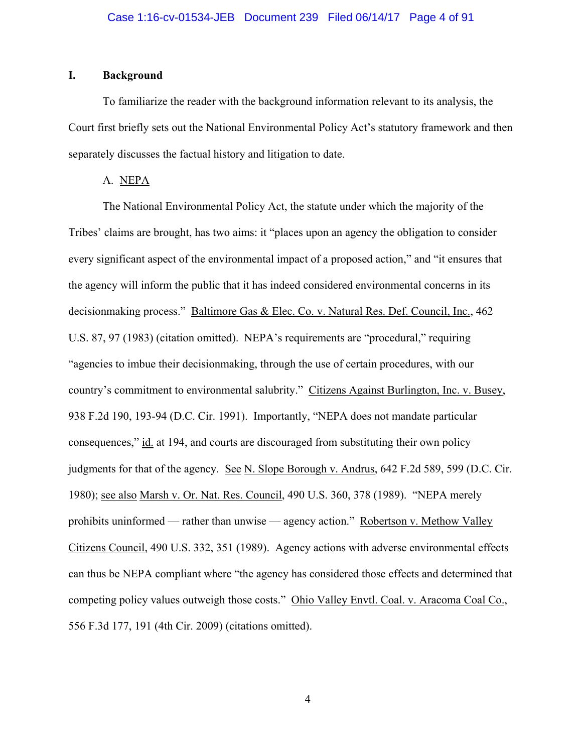# **I. Background**

To familiarize the reader with the background information relevant to its analysis, the Court first briefly sets out the National Environmental Policy Act's statutory framework and then separately discusses the factual history and litigation to date.

# A. NEPA

The National Environmental Policy Act, the statute under which the majority of the Tribes' claims are brought, has two aims: it "places upon an agency the obligation to consider every significant aspect of the environmental impact of a proposed action," and "it ensures that the agency will inform the public that it has indeed considered environmental concerns in its decisionmaking process." Baltimore Gas & Elec. Co. v. Natural Res. Def. Council, Inc., 462 U.S. 87, 97 (1983) (citation omitted). NEPA's requirements are "procedural," requiring "agencies to imbue their decisionmaking, through the use of certain procedures, with our country's commitment to environmental salubrity." Citizens Against Burlington, Inc. v. Busey, 938 F.2d 190, 193-94 (D.C. Cir. 1991). Importantly, "NEPA does not mandate particular consequences," id. at 194, and courts are discouraged from substituting their own policy judgments for that of the agency. See N. Slope Borough v. Andrus, 642 F.2d 589, 599 (D.C. Cir. 1980); see also Marsh v. Or. Nat. Res. Council, 490 U.S. 360, 378 (1989). "NEPA merely prohibits uninformed — rather than unwise — agency action." Robertson v. Methow Valley Citizens Council, 490 U.S. 332, 351 (1989). Agency actions with adverse environmental effects can thus be NEPA compliant where "the agency has considered those effects and determined that competing policy values outweigh those costs." Ohio Valley Envtl. Coal. v. Aracoma Coal Co., 556 F.3d 177, 191 (4th Cir. 2009) (citations omitted).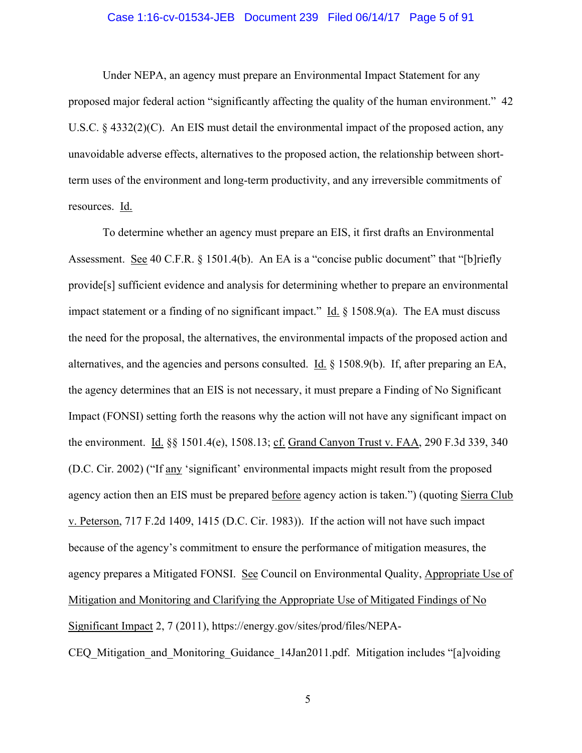## Case 1:16-cv-01534-JEB Document 239 Filed 06/14/17 Page 5 of 91

 Under NEPA, an agency must prepare an Environmental Impact Statement for any proposed major federal action "significantly affecting the quality of the human environment." 42 U.S.C.  $\&$  4332(2)(C). An EIS must detail the environmental impact of the proposed action, any unavoidable adverse effects, alternatives to the proposed action, the relationship between shortterm uses of the environment and long-term productivity, and any irreversible commitments of resources. Id.

To determine whether an agency must prepare an EIS, it first drafts an Environmental Assessment. See 40 C.F.R. § 1501.4(b). An EA is a "concise public document" that "[b]riefly provide[s] sufficient evidence and analysis for determining whether to prepare an environmental impact statement or a finding of no significant impact." Id.  $\S$  1508.9(a). The EA must discuss the need for the proposal, the alternatives, the environmental impacts of the proposed action and alternatives, and the agencies and persons consulted. Id. § 1508.9(b). If, after preparing an EA, the agency determines that an EIS is not necessary, it must prepare a Finding of No Significant Impact (FONSI) setting forth the reasons why the action will not have any significant impact on the environment. Id. §§ 1501.4(e), 1508.13; cf. Grand Canyon Trust v. FAA, 290 F.3d 339, 340 (D.C. Cir. 2002) ("If any 'significant' environmental impacts might result from the proposed agency action then an EIS must be prepared before agency action is taken.") (quoting Sierra Club v. Peterson, 717 F.2d 1409, 1415 (D.C. Cir. 1983)). If the action will not have such impact because of the agency's commitment to ensure the performance of mitigation measures, the agency prepares a Mitigated FONSI. See Council on Environmental Quality, Appropriate Use of Mitigation and Monitoring and Clarifying the Appropriate Use of Mitigated Findings of No Significant Impact 2, 7 (2011), https://energy.gov/sites/prod/files/NEPA-CEQ Mitigation and Monitoring Guidance 14Jan2011.pdf. Mitigation includes "[a]voiding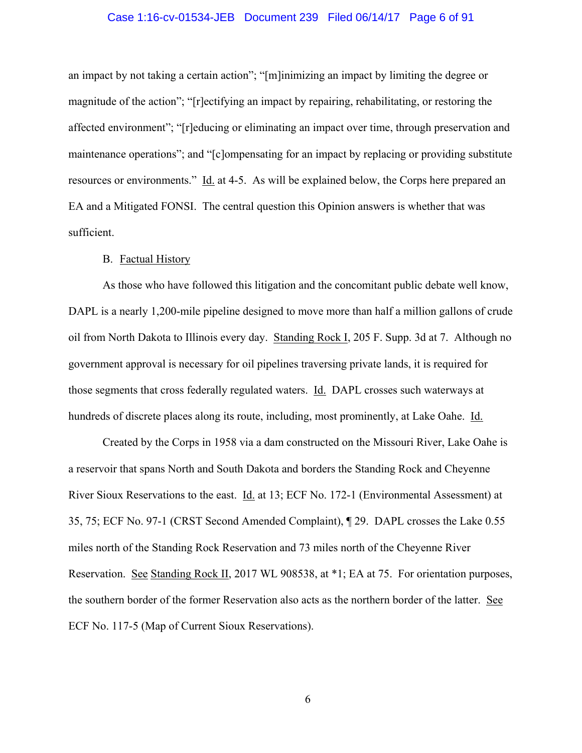## Case 1:16-cv-01534-JEB Document 239 Filed 06/14/17 Page 6 of 91

an impact by not taking a certain action"; "[m]inimizing an impact by limiting the degree or magnitude of the action"; "[r]ectifying an impact by repairing, rehabilitating, or restoring the affected environment"; "[r]educing or eliminating an impact over time, through preservation and maintenance operations"; and "[c]ompensating for an impact by replacing or providing substitute resources or environments." Id. at 4-5. As will be explained below, the Corps here prepared an EA and a Mitigated FONSI. The central question this Opinion answers is whether that was sufficient.

#### B. Factual History

As those who have followed this litigation and the concomitant public debate well know, DAPL is a nearly 1,200-mile pipeline designed to move more than half a million gallons of crude oil from North Dakota to Illinois every day. Standing Rock I, 205 F. Supp. 3d at 7. Although no government approval is necessary for oil pipelines traversing private lands, it is required for those segments that cross federally regulated waters. Id. DAPL crosses such waterways at hundreds of discrete places along its route, including, most prominently, at Lake Oahe. Id.

Created by the Corps in 1958 via a dam constructed on the Missouri River, Lake Oahe is a reservoir that spans North and South Dakota and borders the Standing Rock and Cheyenne River Sioux Reservations to the east. Id. at 13; ECF No. 172-1 (Environmental Assessment) at 35, 75; ECF No. 97-1 (CRST Second Amended Complaint), ¶ 29. DAPL crosses the Lake 0.55 miles north of the Standing Rock Reservation and 73 miles north of the Cheyenne River Reservation. See Standing Rock II, 2017 WL 908538, at \*1; EA at 75. For orientation purposes, the southern border of the former Reservation also acts as the northern border of the latter. See ECF No. 117-5 (Map of Current Sioux Reservations).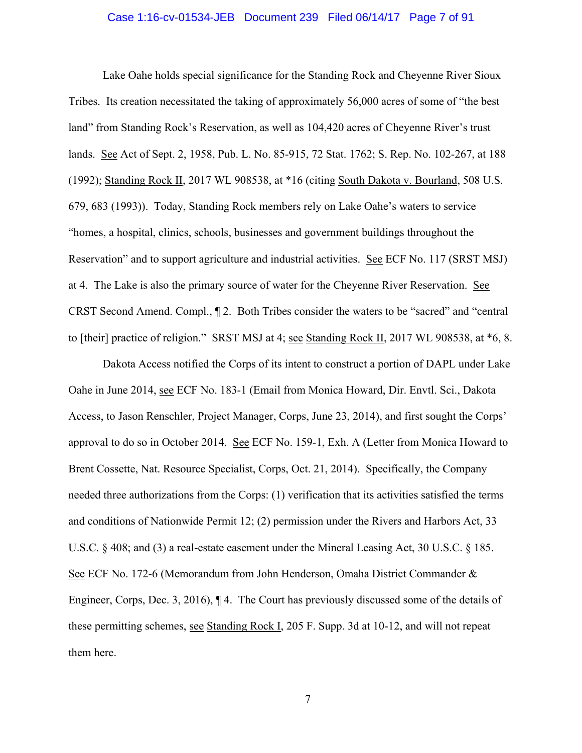### Case 1:16-cv-01534-JEB Document 239 Filed 06/14/17 Page 7 of 91

Lake Oahe holds special significance for the Standing Rock and Cheyenne River Sioux Tribes. Its creation necessitated the taking of approximately 56,000 acres of some of "the best land" from Standing Rock's Reservation, as well as 104,420 acres of Cheyenne River's trust lands. See Act of Sept. 2, 1958, Pub. L. No. 85-915, 72 Stat. 1762; S. Rep. No. 102-267, at 188 (1992); Standing Rock II, 2017 WL 908538, at \*16 (citing South Dakota v. Bourland, 508 U.S. 679, 683 (1993)). Today, Standing Rock members rely on Lake Oahe's waters to service "homes, a hospital, clinics, schools, businesses and government buildings throughout the Reservation" and to support agriculture and industrial activities. See ECF No. 117 (SRST MSJ) at 4. The Lake is also the primary source of water for the Cheyenne River Reservation. See CRST Second Amend. Compl., ¶ 2. Both Tribes consider the waters to be "sacred" and "central to [their] practice of religion." SRST MSJ at 4; see Standing Rock II, 2017 WL 908538, at \*6, 8.

Dakota Access notified the Corps of its intent to construct a portion of DAPL under Lake Oahe in June 2014, see ECF No. 183-1 (Email from Monica Howard, Dir. Envtl. Sci., Dakota Access, to Jason Renschler, Project Manager, Corps, June 23, 2014), and first sought the Corps' approval to do so in October 2014. See ECF No. 159-1, Exh. A (Letter from Monica Howard to Brent Cossette, Nat. Resource Specialist, Corps, Oct. 21, 2014). Specifically, the Company needed three authorizations from the Corps: (1) verification that its activities satisfied the terms and conditions of Nationwide Permit 12; (2) permission under the Rivers and Harbors Act, 33 U.S.C. § 408; and (3) a real-estate easement under the Mineral Leasing Act, 30 U.S.C. § 185. See ECF No. 172-6 (Memorandum from John Henderson, Omaha District Commander & Engineer, Corps, Dec. 3, 2016), ¶ 4. The Court has previously discussed some of the details of these permitting schemes, see Standing Rock I, 205 F. Supp. 3d at 10-12, and will not repeat them here.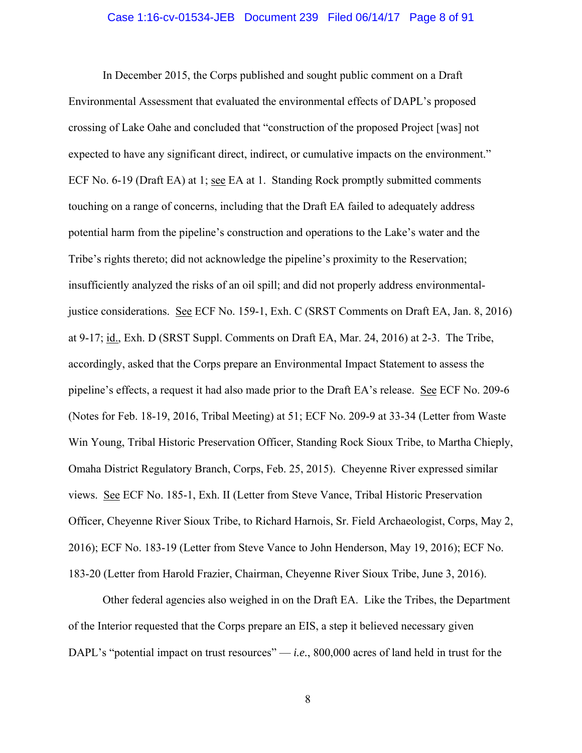#### Case 1:16-cv-01534-JEB Document 239 Filed 06/14/17 Page 8 of 91

In December 2015, the Corps published and sought public comment on a Draft Environmental Assessment that evaluated the environmental effects of DAPL's proposed crossing of Lake Oahe and concluded that "construction of the proposed Project [was] not expected to have any significant direct, indirect, or cumulative impacts on the environment." ECF No. 6-19 (Draft EA) at 1; see EA at 1. Standing Rock promptly submitted comments touching on a range of concerns, including that the Draft EA failed to adequately address potential harm from the pipeline's construction and operations to the Lake's water and the Tribe's rights thereto; did not acknowledge the pipeline's proximity to the Reservation; insufficiently analyzed the risks of an oil spill; and did not properly address environmentaljustice considerations. See ECF No. 159-1, Exh. C (SRST Comments on Draft EA, Jan. 8, 2016) at 9-17; id., Exh. D (SRST Suppl. Comments on Draft EA, Mar. 24, 2016) at 2-3. The Tribe, accordingly, asked that the Corps prepare an Environmental Impact Statement to assess the pipeline's effects, a request it had also made prior to the Draft EA's release. See ECF No. 209-6 (Notes for Feb. 18-19, 2016, Tribal Meeting) at 51; ECF No. 209-9 at 33-34 (Letter from Waste Win Young, Tribal Historic Preservation Officer, Standing Rock Sioux Tribe, to Martha Chieply, Omaha District Regulatory Branch, Corps, Feb. 25, 2015). Cheyenne River expressed similar views. See ECF No. 185-1, Exh. II (Letter from Steve Vance, Tribal Historic Preservation Officer, Cheyenne River Sioux Tribe, to Richard Harnois, Sr. Field Archaeologist, Corps, May 2, 2016); ECF No. 183-19 (Letter from Steve Vance to John Henderson, May 19, 2016); ECF No. 183-20 (Letter from Harold Frazier, Chairman, Cheyenne River Sioux Tribe, June 3, 2016).

Other federal agencies also weighed in on the Draft EA. Like the Tribes, the Department of the Interior requested that the Corps prepare an EIS, a step it believed necessary given DAPL's "potential impact on trust resources" — *i.e.*, 800,000 acres of land held in trust for the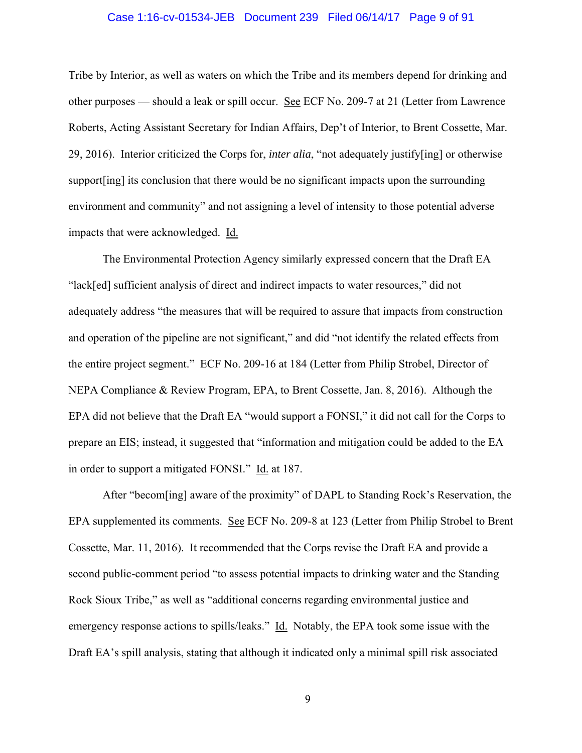## Case 1:16-cv-01534-JEB Document 239 Filed 06/14/17 Page 9 of 91

Tribe by Interior, as well as waters on which the Tribe and its members depend for drinking and other purposes — should a leak or spill occur. See ECF No. 209-7 at 21 (Letter from Lawrence Roberts, Acting Assistant Secretary for Indian Affairs, Dep't of Interior, to Brent Cossette, Mar. 29, 2016). Interior criticized the Corps for, *inter alia*, "not adequately justify[ing] or otherwise support[ing] its conclusion that there would be no significant impacts upon the surrounding environment and community" and not assigning a level of intensity to those potential adverse impacts that were acknowledged. Id.

The Environmental Protection Agency similarly expressed concern that the Draft EA "lack[ed] sufficient analysis of direct and indirect impacts to water resources," did not adequately address "the measures that will be required to assure that impacts from construction and operation of the pipeline are not significant," and did "not identify the related effects from the entire project segment." ECF No. 209-16 at 184 (Letter from Philip Strobel, Director of NEPA Compliance & Review Program, EPA, to Brent Cossette, Jan. 8, 2016). Although the EPA did not believe that the Draft EA "would support a FONSI," it did not call for the Corps to prepare an EIS; instead, it suggested that "information and mitigation could be added to the EA in order to support a mitigated FONSI." Id. at 187.

After "becom[ing] aware of the proximity" of DAPL to Standing Rock's Reservation, the EPA supplemented its comments. See ECF No. 209-8 at 123 (Letter from Philip Strobel to Brent Cossette, Mar. 11, 2016). It recommended that the Corps revise the Draft EA and provide a second public-comment period "to assess potential impacts to drinking water and the Standing Rock Sioux Tribe," as well as "additional concerns regarding environmental justice and emergency response actions to spills/leaks." Id. Notably, the EPA took some issue with the Draft EA's spill analysis, stating that although it indicated only a minimal spill risk associated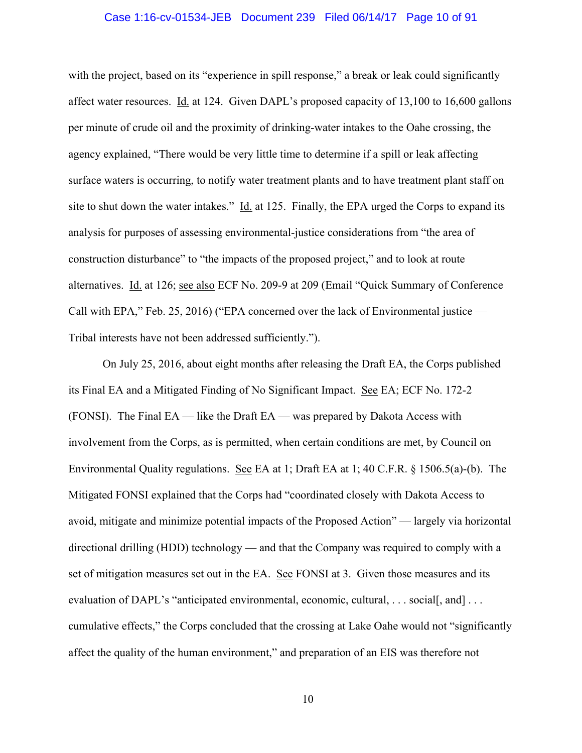#### Case 1:16-cv-01534-JEB Document 239 Filed 06/14/17 Page 10 of 91

with the project, based on its "experience in spill response," a break or leak could significantly affect water resources. Id. at 124. Given DAPL's proposed capacity of 13,100 to 16,600 gallons per minute of crude oil and the proximity of drinking-water intakes to the Oahe crossing, the agency explained, "There would be very little time to determine if a spill or leak affecting surface waters is occurring, to notify water treatment plants and to have treatment plant staff on site to shut down the water intakes." Id. at 125. Finally, the EPA urged the Corps to expand its analysis for purposes of assessing environmental-justice considerations from "the area of construction disturbance" to "the impacts of the proposed project," and to look at route alternatives. Id. at 126; see also ECF No. 209-9 at 209 (Email "Quick Summary of Conference Call with EPA," Feb. 25, 2016) ("EPA concerned over the lack of Environmental justice — Tribal interests have not been addressed sufficiently.").

On July 25, 2016, about eight months after releasing the Draft EA, the Corps published its Final EA and a Mitigated Finding of No Significant Impact. See EA; ECF No. 172-2 (FONSI). The Final EA — like the Draft EA — was prepared by Dakota Access with involvement from the Corps, as is permitted, when certain conditions are met, by Council on Environmental Quality regulations. See EA at 1; Draft EA at 1; 40 C.F.R. § 1506.5(a)-(b). The Mitigated FONSI explained that the Corps had "coordinated closely with Dakota Access to avoid, mitigate and minimize potential impacts of the Proposed Action" — largely via horizontal directional drilling (HDD) technology — and that the Company was required to comply with a set of mitigation measures set out in the EA. See FONSI at 3. Given those measures and its evaluation of DAPL's "anticipated environmental, economic, cultural, ... social, and  $\ldots$ cumulative effects," the Corps concluded that the crossing at Lake Oahe would not "significantly affect the quality of the human environment," and preparation of an EIS was therefore not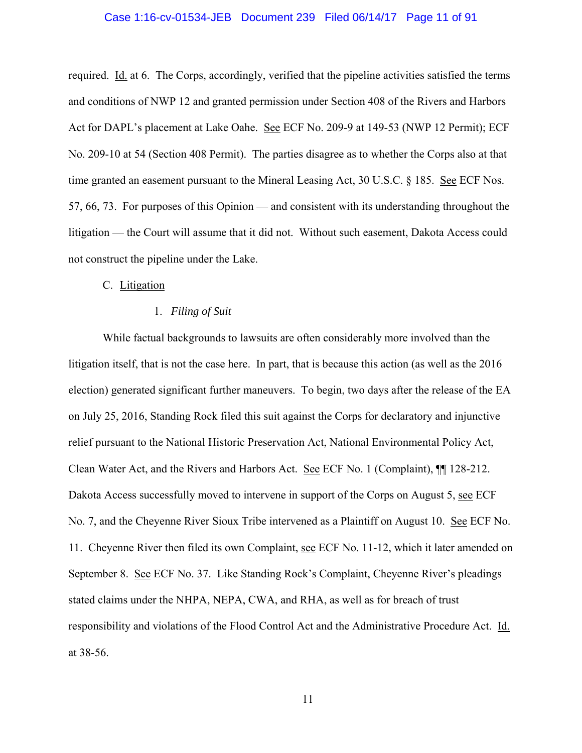### Case 1:16-cv-01534-JEB Document 239 Filed 06/14/17 Page 11 of 91

required. Id. at 6. The Corps, accordingly, verified that the pipeline activities satisfied the terms and conditions of NWP 12 and granted permission under Section 408 of the Rivers and Harbors Act for DAPL's placement at Lake Oahe. See ECF No. 209-9 at 149-53 (NWP 12 Permit); ECF No. 209-10 at 54 (Section 408 Permit). The parties disagree as to whether the Corps also at that time granted an easement pursuant to the Mineral Leasing Act, 30 U.S.C. § 185. See ECF Nos. 57, 66, 73. For purposes of this Opinion — and consistent with its understanding throughout the litigation — the Court will assume that it did not. Without such easement, Dakota Access could not construct the pipeline under the Lake.

## C. Litigation

#### 1. *Filing of Suit*

While factual backgrounds to lawsuits are often considerably more involved than the litigation itself, that is not the case here. In part, that is because this action (as well as the 2016 election) generated significant further maneuvers. To begin, two days after the release of the EA on July 25, 2016, Standing Rock filed this suit against the Corps for declaratory and injunctive relief pursuant to the National Historic Preservation Act, National Environmental Policy Act, Clean Water Act, and the Rivers and Harbors Act. See ECF No. 1 (Complaint), ¶¶ 128-212. Dakota Access successfully moved to intervene in support of the Corps on August 5, see ECF No. 7, and the Cheyenne River Sioux Tribe intervened as a Plaintiff on August 10. See ECF No. 11. Cheyenne River then filed its own Complaint, see ECF No. 11-12, which it later amended on September 8. See ECF No. 37. Like Standing Rock's Complaint, Cheyenne River's pleadings stated claims under the NHPA, NEPA, CWA, and RHA, as well as for breach of trust responsibility and violations of the Flood Control Act and the Administrative Procedure Act. Id. at 38-56.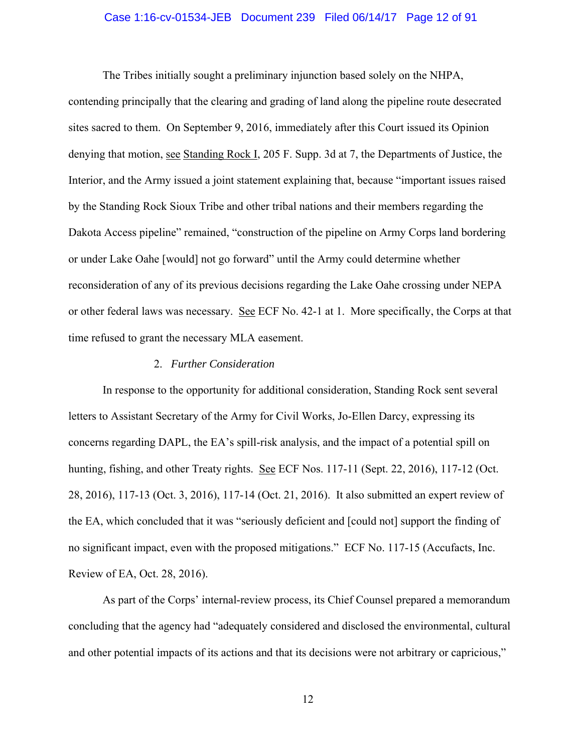#### Case 1:16-cv-01534-JEB Document 239 Filed 06/14/17 Page 12 of 91

 The Tribes initially sought a preliminary injunction based solely on the NHPA, contending principally that the clearing and grading of land along the pipeline route desecrated sites sacred to them. On September 9, 2016, immediately after this Court issued its Opinion denying that motion, see Standing Rock I, 205 F. Supp. 3d at 7, the Departments of Justice, the Interior, and the Army issued a joint statement explaining that, because "important issues raised by the Standing Rock Sioux Tribe and other tribal nations and their members regarding the Dakota Access pipeline" remained, "construction of the pipeline on Army Corps land bordering or under Lake Oahe [would] not go forward" until the Army could determine whether reconsideration of any of its previous decisions regarding the Lake Oahe crossing under NEPA or other federal laws was necessary. See ECF No. 42-1 at 1. More specifically, the Corps at that time refused to grant the necessary MLA easement.

#### 2. *Further Consideration*

 In response to the opportunity for additional consideration, Standing Rock sent several letters to Assistant Secretary of the Army for Civil Works, Jo-Ellen Darcy, expressing its concerns regarding DAPL, the EA's spill-risk analysis, and the impact of a potential spill on hunting, fishing, and other Treaty rights. See ECF Nos. 117-11 (Sept. 22, 2016), 117-12 (Oct. 28, 2016), 117-13 (Oct. 3, 2016), 117-14 (Oct. 21, 2016). It also submitted an expert review of the EA, which concluded that it was "seriously deficient and [could not] support the finding of no significant impact, even with the proposed mitigations." ECF No. 117-15 (Accufacts, Inc. Review of EA, Oct. 28, 2016).

 As part of the Corps' internal-review process, its Chief Counsel prepared a memorandum concluding that the agency had "adequately considered and disclosed the environmental, cultural and other potential impacts of its actions and that its decisions were not arbitrary or capricious,"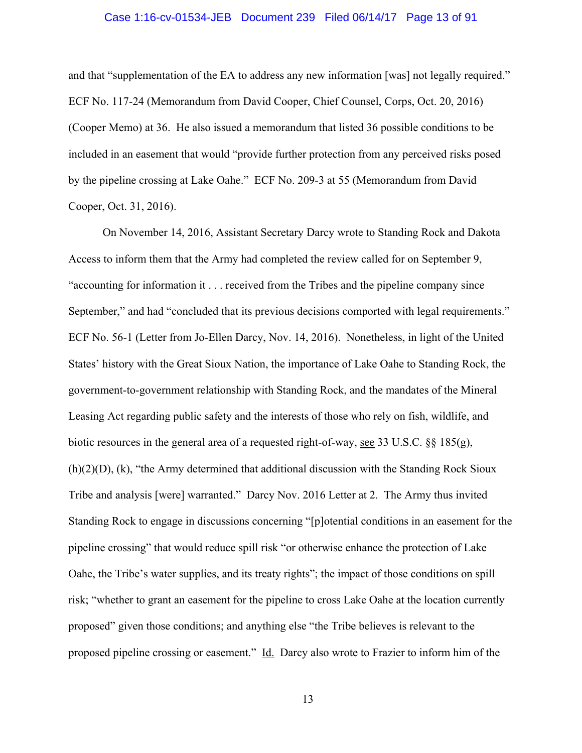#### Case 1:16-cv-01534-JEB Document 239 Filed 06/14/17 Page 13 of 91

and that "supplementation of the EA to address any new information [was] not legally required." ECF No. 117-24 (Memorandum from David Cooper, Chief Counsel, Corps, Oct. 20, 2016) (Cooper Memo) at 36. He also issued a memorandum that listed 36 possible conditions to be included in an easement that would "provide further protection from any perceived risks posed by the pipeline crossing at Lake Oahe." ECF No. 209-3 at 55 (Memorandum from David Cooper, Oct. 31, 2016).

On November 14, 2016, Assistant Secretary Darcy wrote to Standing Rock and Dakota Access to inform them that the Army had completed the review called for on September 9, "accounting for information it . . . received from the Tribes and the pipeline company since September," and had "concluded that its previous decisions comported with legal requirements." ECF No. 56-1 (Letter from Jo-Ellen Darcy, Nov. 14, 2016). Nonetheless, in light of the United States' history with the Great Sioux Nation, the importance of Lake Oahe to Standing Rock, the government-to-government relationship with Standing Rock, and the mandates of the Mineral Leasing Act regarding public safety and the interests of those who rely on fish, wildlife, and biotic resources in the general area of a requested right-of-way, see 33 U.S.C.  $\S 8185(g)$ , (h)(2)(D), (k), "the Army determined that additional discussion with the Standing Rock Sioux Tribe and analysis [were] warranted." Darcy Nov. 2016 Letter at 2. The Army thus invited Standing Rock to engage in discussions concerning "[p]otential conditions in an easement for the pipeline crossing" that would reduce spill risk "or otherwise enhance the protection of Lake Oahe, the Tribe's water supplies, and its treaty rights"; the impact of those conditions on spill risk; "whether to grant an easement for the pipeline to cross Lake Oahe at the location currently proposed" given those conditions; and anything else "the Tribe believes is relevant to the proposed pipeline crossing or easement." Id. Darcy also wrote to Frazier to inform him of the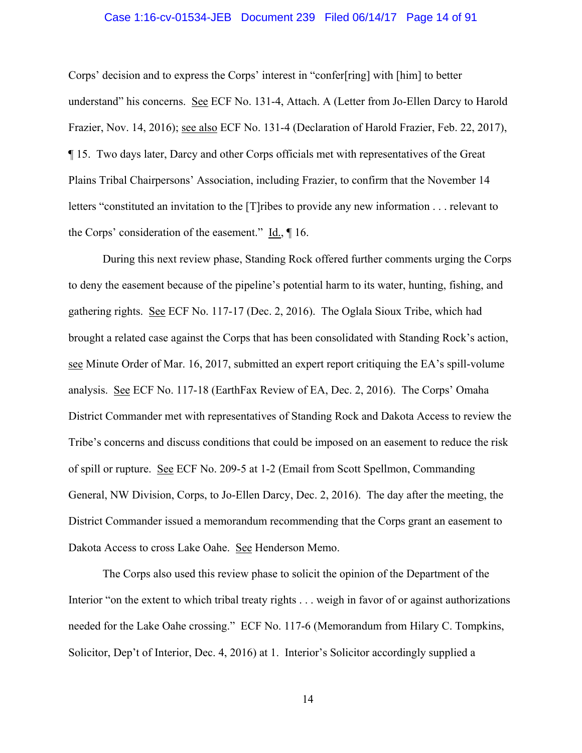#### Case 1:16-cv-01534-JEB Document 239 Filed 06/14/17 Page 14 of 91

Corps' decision and to express the Corps' interest in "confer[ring] with [him] to better understand" his concerns. See ECF No. 131-4, Attach. A (Letter from Jo-Ellen Darcy to Harold Frazier, Nov. 14, 2016); see also ECF No. 131-4 (Declaration of Harold Frazier, Feb. 22, 2017), ¶ 15. Two days later, Darcy and other Corps officials met with representatives of the Great Plains Tribal Chairpersons' Association, including Frazier, to confirm that the November 14 letters "constituted an invitation to the [T]ribes to provide any new information . . . relevant to the Corps' consideration of the easement." Id., ¶ 16.

 During this next review phase, Standing Rock offered further comments urging the Corps to deny the easement because of the pipeline's potential harm to its water, hunting, fishing, and gathering rights. See ECF No. 117-17 (Dec. 2, 2016). The Oglala Sioux Tribe, which had brought a related case against the Corps that has been consolidated with Standing Rock's action, see Minute Order of Mar. 16, 2017, submitted an expert report critiquing the EA's spill-volume analysis. See ECF No. 117-18 (EarthFax Review of EA, Dec. 2, 2016). The Corps' Omaha District Commander met with representatives of Standing Rock and Dakota Access to review the Tribe's concerns and discuss conditions that could be imposed on an easement to reduce the risk of spill or rupture. See ECF No. 209-5 at 1-2 (Email from Scott Spellmon, Commanding General, NW Division, Corps, to Jo-Ellen Darcy, Dec. 2, 2016). The day after the meeting, the District Commander issued a memorandum recommending that the Corps grant an easement to Dakota Access to cross Lake Oahe. See Henderson Memo.

 The Corps also used this review phase to solicit the opinion of the Department of the Interior "on the extent to which tribal treaty rights . . . weigh in favor of or against authorizations needed for the Lake Oahe crossing." ECF No. 117-6 (Memorandum from Hilary C. Tompkins, Solicitor, Dep't of Interior, Dec. 4, 2016) at 1. Interior's Solicitor accordingly supplied a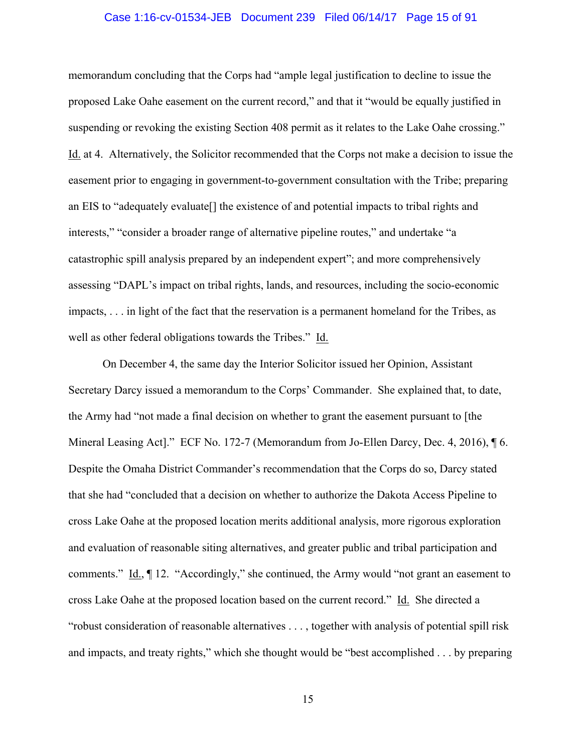#### Case 1:16-cv-01534-JEB Document 239 Filed 06/14/17 Page 15 of 91

memorandum concluding that the Corps had "ample legal justification to decline to issue the proposed Lake Oahe easement on the current record," and that it "would be equally justified in suspending or revoking the existing Section 408 permit as it relates to the Lake Oahe crossing." Id. at 4. Alternatively, the Solicitor recommended that the Corps not make a decision to issue the easement prior to engaging in government-to-government consultation with the Tribe; preparing an EIS to "adequately evaluate[] the existence of and potential impacts to tribal rights and interests," "consider a broader range of alternative pipeline routes," and undertake "a catastrophic spill analysis prepared by an independent expert"; and more comprehensively assessing "DAPL's impact on tribal rights, lands, and resources, including the socio-economic impacts, . . . in light of the fact that the reservation is a permanent homeland for the Tribes, as well as other federal obligations towards the Tribes." Id.

 On December 4, the same day the Interior Solicitor issued her Opinion, Assistant Secretary Darcy issued a memorandum to the Corps' Commander. She explained that, to date, the Army had "not made a final decision on whether to grant the easement pursuant to [the Mineral Leasing Act]." ECF No. 172-7 (Memorandum from Jo-Ellen Darcy, Dec. 4, 2016), ¶ 6. Despite the Omaha District Commander's recommendation that the Corps do so, Darcy stated that she had "concluded that a decision on whether to authorize the Dakota Access Pipeline to cross Lake Oahe at the proposed location merits additional analysis, more rigorous exploration and evaluation of reasonable siting alternatives, and greater public and tribal participation and comments." Id., ¶ 12. "Accordingly," she continued, the Army would "not grant an easement to cross Lake Oahe at the proposed location based on the current record." Id. She directed a "robust consideration of reasonable alternatives . . . , together with analysis of potential spill risk and impacts, and treaty rights," which she thought would be "best accomplished . . . by preparing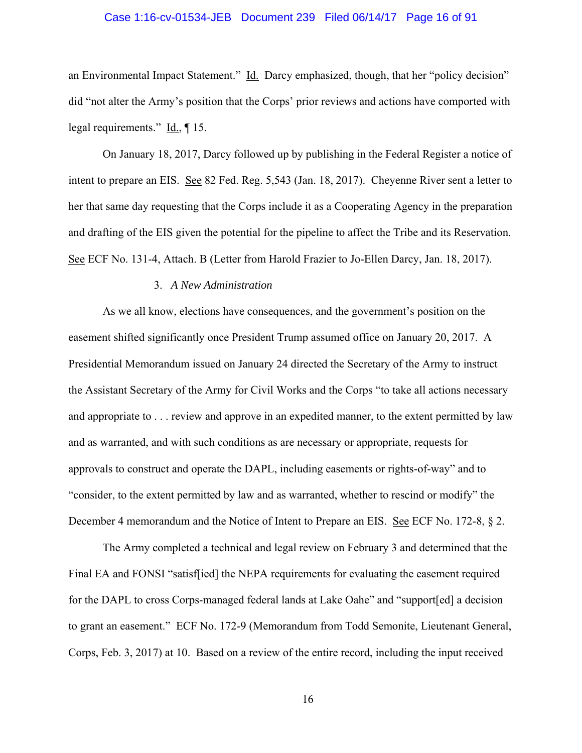### Case 1:16-cv-01534-JEB Document 239 Filed 06/14/17 Page 16 of 91

an Environmental Impact Statement." Id. Darcy emphasized, though, that her "policy decision" did "not alter the Army's position that the Corps' prior reviews and actions have comported with legal requirements." Id., ¶ 15.

On January 18, 2017, Darcy followed up by publishing in the Federal Register a notice of intent to prepare an EIS. See 82 Fed. Reg. 5,543 (Jan. 18, 2017). Cheyenne River sent a letter to her that same day requesting that the Corps include it as a Cooperating Agency in the preparation and drafting of the EIS given the potential for the pipeline to affect the Tribe and its Reservation. See ECF No. 131-4, Attach. B (Letter from Harold Frazier to Jo-Ellen Darcy, Jan. 18, 2017).

## 3. *A New Administration*

As we all know, elections have consequences, and the government's position on the easement shifted significantly once President Trump assumed office on January 20, 2017. A Presidential Memorandum issued on January 24 directed the Secretary of the Army to instruct the Assistant Secretary of the Army for Civil Works and the Corps "to take all actions necessary and appropriate to . . . review and approve in an expedited manner, to the extent permitted by law and as warranted, and with such conditions as are necessary or appropriate, requests for approvals to construct and operate the DAPL, including easements or rights-of-way" and to "consider, to the extent permitted by law and as warranted, whether to rescind or modify" the December 4 memorandum and the Notice of Intent to Prepare an EIS. See ECF No. 172-8, § 2.

The Army completed a technical and legal review on February 3 and determined that the Final EA and FONSI "satisffied] the NEPA requirements for evaluating the easement required for the DAPL to cross Corps-managed federal lands at Lake Oahe" and "support[ed] a decision to grant an easement." ECF No. 172-9 (Memorandum from Todd Semonite, Lieutenant General, Corps, Feb. 3, 2017) at 10. Based on a review of the entire record, including the input received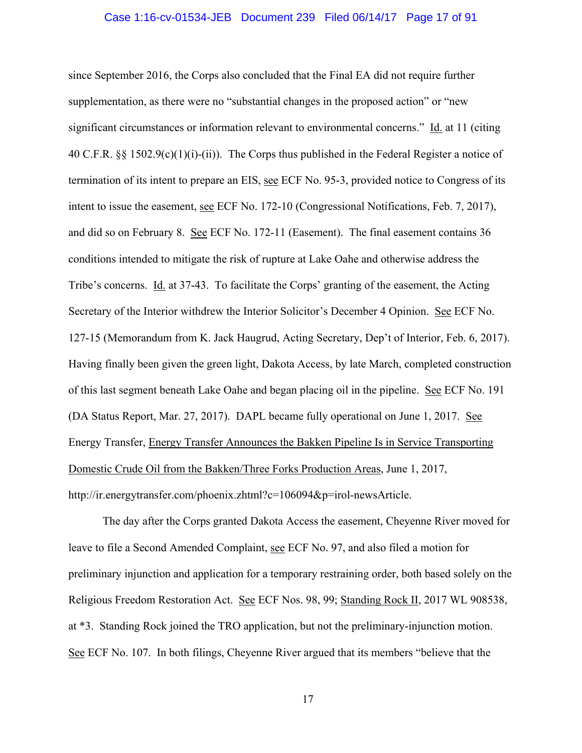#### Case 1:16-cv-01534-JEB Document 239 Filed 06/14/17 Page 17 of 91

since September 2016, the Corps also concluded that the Final EA did not require further supplementation, as there were no "substantial changes in the proposed action" or "new significant circumstances or information relevant to environmental concerns." Id. at 11 (citing 40 C.F.R. §§ 1502.9(c)(1)(i)-(ii)). The Corps thus published in the Federal Register a notice of termination of its intent to prepare an EIS, see ECF No. 95-3, provided notice to Congress of its intent to issue the easement, see ECF No. 172-10 (Congressional Notifications, Feb. 7, 2017), and did so on February 8. See ECF No. 172-11 (Easement). The final easement contains 36 conditions intended to mitigate the risk of rupture at Lake Oahe and otherwise address the Tribe's concerns. Id. at 37-43. To facilitate the Corps' granting of the easement, the Acting Secretary of the Interior withdrew the Interior Solicitor's December 4 Opinion. See ECF No. 127-15 (Memorandum from K. Jack Haugrud, Acting Secretary, Dep't of Interior, Feb. 6, 2017). Having finally been given the green light, Dakota Access, by late March, completed construction of this last segment beneath Lake Oahe and began placing oil in the pipeline. See ECF No. 191 (DA Status Report, Mar. 27, 2017). DAPL became fully operational on June 1, 2017. See Energy Transfer, Energy Transfer Announces the Bakken Pipeline Is in Service Transporting Domestic Crude Oil from the Bakken/Three Forks Production Areas, June 1, 2017, http://ir.energytransfer.com/phoenix.zhtml?c=106094&p=irol-newsArticle.

The day after the Corps granted Dakota Access the easement, Cheyenne River moved for leave to file a Second Amended Complaint, see ECF No. 97, and also filed a motion for preliminary injunction and application for a temporary restraining order, both based solely on the Religious Freedom Restoration Act. See ECF Nos. 98, 99; Standing Rock II, 2017 WL 908538, at \*3. Standing Rock joined the TRO application, but not the preliminary-injunction motion. See ECF No. 107. In both filings, Cheyenne River argued that its members "believe that the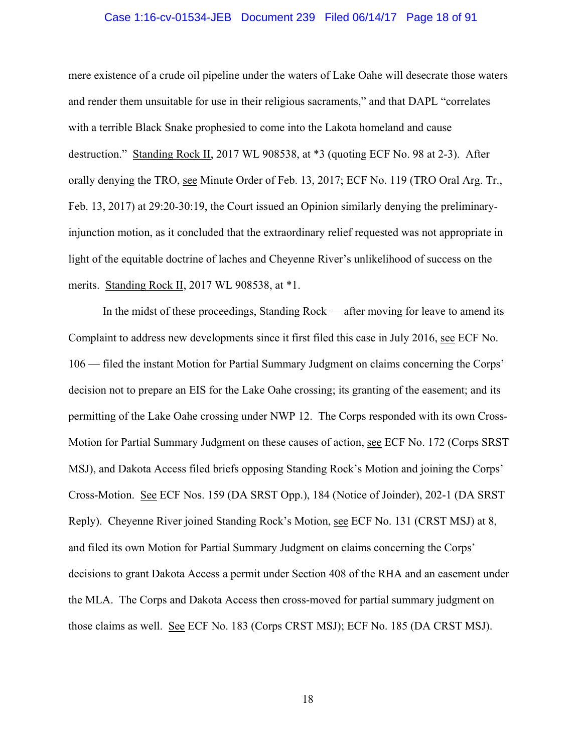#### Case 1:16-cv-01534-JEB Document 239 Filed 06/14/17 Page 18 of 91

mere existence of a crude oil pipeline under the waters of Lake Oahe will desecrate those waters and render them unsuitable for use in their religious sacraments," and that DAPL "correlates with a terrible Black Snake prophesied to come into the Lakota homeland and cause destruction." Standing Rock II, 2017 WL 908538, at \*3 (quoting ECF No. 98 at 2-3). After orally denying the TRO, see Minute Order of Feb. 13, 2017; ECF No. 119 (TRO Oral Arg. Tr., Feb. 13, 2017) at 29:20-30:19, the Court issued an Opinion similarly denying the preliminaryinjunction motion, as it concluded that the extraordinary relief requested was not appropriate in light of the equitable doctrine of laches and Cheyenne River's unlikelihood of success on the merits. Standing Rock II, 2017 WL 908538, at \*1.

In the midst of these proceedings, Standing Rock — after moving for leave to amend its Complaint to address new developments since it first filed this case in July 2016, see ECF No. 106 — filed the instant Motion for Partial Summary Judgment on claims concerning the Corps' decision not to prepare an EIS for the Lake Oahe crossing; its granting of the easement; and its permitting of the Lake Oahe crossing under NWP 12. The Corps responded with its own Cross-Motion for Partial Summary Judgment on these causes of action, see ECF No. 172 (Corps SRST MSJ), and Dakota Access filed briefs opposing Standing Rock's Motion and joining the Corps' Cross-Motion. See ECF Nos. 159 (DA SRST Opp.), 184 (Notice of Joinder), 202-1 (DA SRST Reply). Cheyenne River joined Standing Rock's Motion, see ECF No. 131 (CRST MSJ) at 8, and filed its own Motion for Partial Summary Judgment on claims concerning the Corps' decisions to grant Dakota Access a permit under Section 408 of the RHA and an easement under the MLA. The Corps and Dakota Access then cross-moved for partial summary judgment on those claims as well. See ECF No. 183 (Corps CRST MSJ); ECF No. 185 (DA CRST MSJ).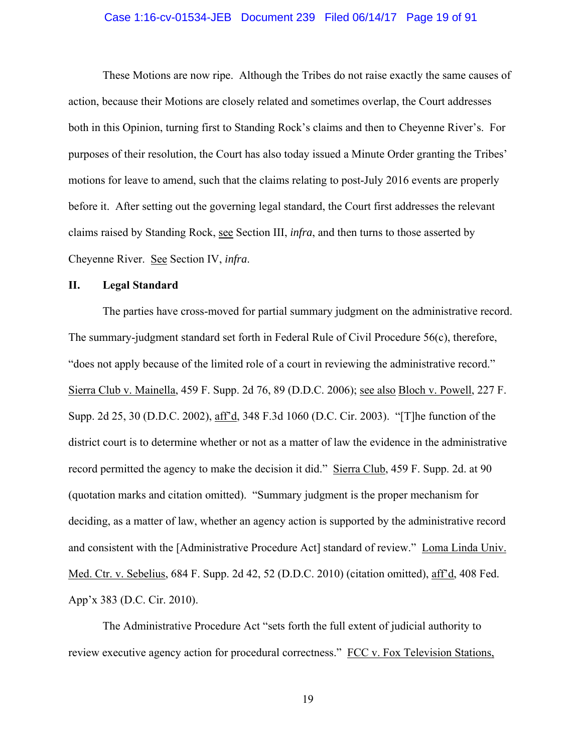#### Case 1:16-cv-01534-JEB Document 239 Filed 06/14/17 Page 19 of 91

These Motions are now ripe. Although the Tribes do not raise exactly the same causes of action, because their Motions are closely related and sometimes overlap, the Court addresses both in this Opinion, turning first to Standing Rock's claims and then to Cheyenne River's. For purposes of their resolution, the Court has also today issued a Minute Order granting the Tribes' motions for leave to amend, such that the claims relating to post-July 2016 events are properly before it. After setting out the governing legal standard, the Court first addresses the relevant claims raised by Standing Rock, see Section III, *infra*, and then turns to those asserted by Cheyenne River. See Section IV, *infra*.

# **II. Legal Standard**

The parties have cross-moved for partial summary judgment on the administrative record. The summary-judgment standard set forth in Federal Rule of Civil Procedure 56(c), therefore, "does not apply because of the limited role of a court in reviewing the administrative record." Sierra Club v. Mainella, 459 F. Supp. 2d 76, 89 (D.D.C. 2006); see also Bloch v. Powell, 227 F. Supp. 2d 25, 30 (D.D.C. 2002), aff'd, 348 F.3d 1060 (D.C. Cir. 2003). "[T]he function of the district court is to determine whether or not as a matter of law the evidence in the administrative record permitted the agency to make the decision it did." Sierra Club, 459 F. Supp. 2d. at 90 (quotation marks and citation omitted). "Summary judgment is the proper mechanism for deciding, as a matter of law, whether an agency action is supported by the administrative record and consistent with the [Administrative Procedure Act] standard of review." Loma Linda Univ. Med. Ctr. v. Sebelius, 684 F. Supp. 2d 42, 52 (D.D.C. 2010) (citation omitted), aff'd, 408 Fed. App'x 383 (D.C. Cir. 2010).

The Administrative Procedure Act "sets forth the full extent of judicial authority to review executive agency action for procedural correctness." FCC v. Fox Television Stations,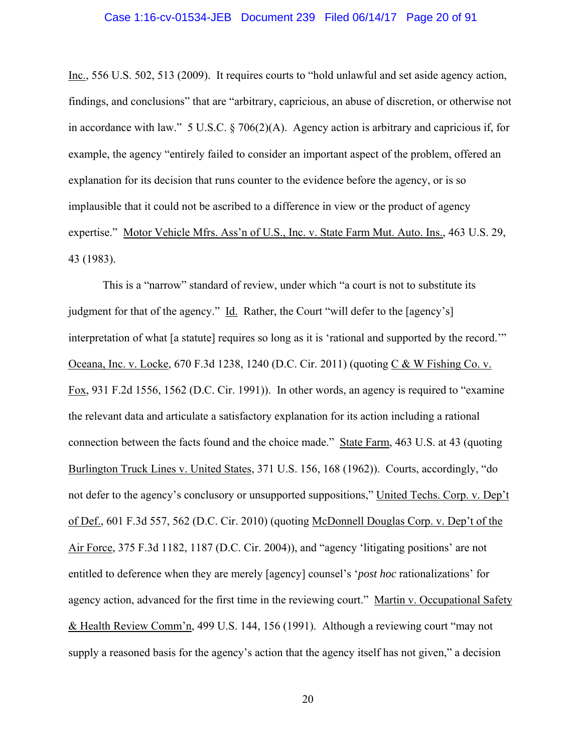#### Case 1:16-cv-01534-JEB Document 239 Filed 06/14/17 Page 20 of 91

Inc., 556 U.S. 502, 513 (2009). It requires courts to "hold unlawful and set aside agency action, findings, and conclusions" that are "arbitrary, capricious, an abuse of discretion, or otherwise not in accordance with law." 5 U.S.C. § 706(2)(A). Agency action is arbitrary and capricious if, for example, the agency "entirely failed to consider an important aspect of the problem, offered an explanation for its decision that runs counter to the evidence before the agency, or is so implausible that it could not be ascribed to a difference in view or the product of agency expertise." Motor Vehicle Mfrs. Ass'n of U.S., Inc. v. State Farm Mut. Auto. Ins., 463 U.S. 29, 43 (1983).

This is a "narrow" standard of review, under which "a court is not to substitute its judgment for that of the agency." Id. Rather, the Court "will defer to the [agency's] interpretation of what [a statute] requires so long as it is 'rational and supported by the record.'" Oceana, Inc. v. Locke, 670 F.3d 1238, 1240 (D.C. Cir. 2011) (quoting C & W Fishing Co. v. Fox, 931 F.2d 1556, 1562 (D.C. Cir. 1991)). In other words, an agency is required to "examine the relevant data and articulate a satisfactory explanation for its action including a rational connection between the facts found and the choice made." State Farm, 463 U.S. at 43 (quoting Burlington Truck Lines v. United States, 371 U.S. 156, 168 (1962)). Courts, accordingly, "do not defer to the agency's conclusory or unsupported suppositions," United Techs. Corp. v. Dep't of Def., 601 F.3d 557, 562 (D.C. Cir. 2010) (quoting McDonnell Douglas Corp. v. Dep't of the Air Force, 375 F.3d 1182, 1187 (D.C. Cir. 2004)), and "agency 'litigating positions' are not entitled to deference when they are merely [agency] counsel's '*post hoc* rationalizations' for agency action, advanced for the first time in the reviewing court." Martin v. Occupational Safety & Health Review Comm'n, 499 U.S. 144, 156 (1991). Although a reviewing court "may not supply a reasoned basis for the agency's action that the agency itself has not given," a decision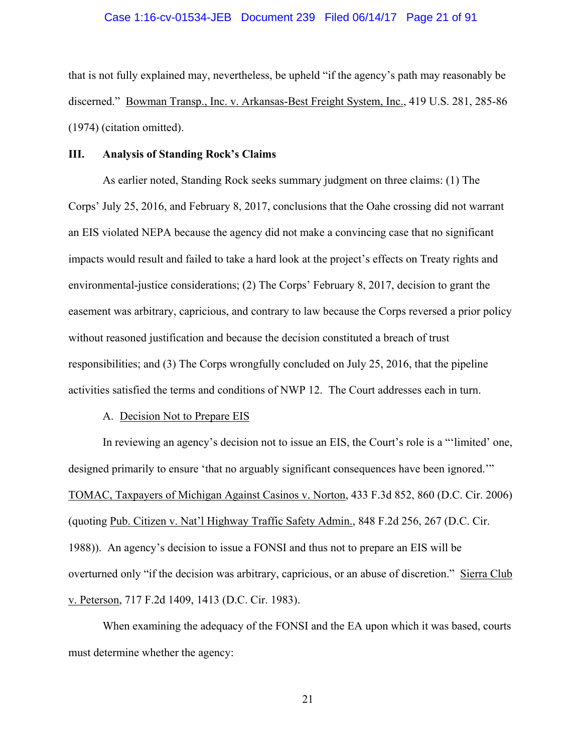#### Case 1:16-cv-01534-JEB Document 239 Filed 06/14/17 Page 21 of 91

that is not fully explained may, nevertheless, be upheld "if the agency's path may reasonably be discerned." Bowman Transp., Inc. v. Arkansas-Best Freight System, Inc., 419 U.S. 281, 285-86 (1974) (citation omitted).

#### **III. Analysis of Standing Rock's Claims**

 As earlier noted, Standing Rock seeks summary judgment on three claims: (1) The Corps' July 25, 2016, and February 8, 2017, conclusions that the Oahe crossing did not warrant an EIS violated NEPA because the agency did not make a convincing case that no significant impacts would result and failed to take a hard look at the project's effects on Treaty rights and environmental-justice considerations; (2) The Corps' February 8, 2017, decision to grant the easement was arbitrary, capricious, and contrary to law because the Corps reversed a prior policy without reasoned justification and because the decision constituted a breach of trust responsibilities; and (3) The Corps wrongfully concluded on July 25, 2016, that the pipeline activities satisfied the terms and conditions of NWP 12. The Court addresses each in turn.

#### A. Decision Not to Prepare EIS

 In reviewing an agency's decision not to issue an EIS, the Court's role is a "'limited' one, designed primarily to ensure 'that no arguably significant consequences have been ignored.'" TOMAC, Taxpayers of Michigan Against Casinos v. Norton, 433 F.3d 852, 860 (D.C. Cir. 2006) (quoting Pub. Citizen v. Nat'l Highway Traffic Safety Admin., 848 F.2d 256, 267 (D.C. Cir. 1988)). An agency's decision to issue a FONSI and thus not to prepare an EIS will be overturned only "if the decision was arbitrary, capricious, or an abuse of discretion." Sierra Club v. Peterson, 717 F.2d 1409, 1413 (D.C. Cir. 1983).

 When examining the adequacy of the FONSI and the EA upon which it was based, courts must determine whether the agency: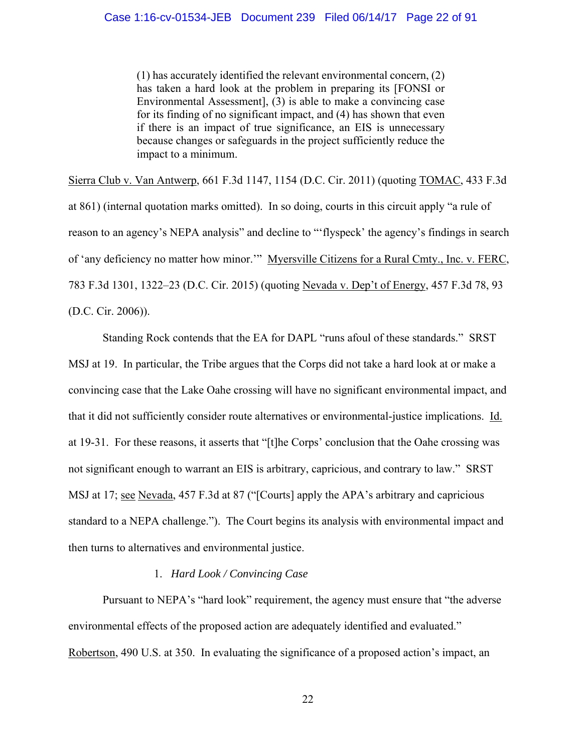(1) has accurately identified the relevant environmental concern, (2) has taken a hard look at the problem in preparing its [FONSI or Environmental Assessment], (3) is able to make a convincing case for its finding of no significant impact, and (4) has shown that even if there is an impact of true significance, an EIS is unnecessary because changes or safeguards in the project sufficiently reduce the impact to a minimum.

Sierra Club v. Van Antwerp, 661 F.3d 1147, 1154 (D.C. Cir. 2011) (quoting TOMAC, 433 F.3d at 861) (internal quotation marks omitted). In so doing, courts in this circuit apply "a rule of reason to an agency's NEPA analysis" and decline to "'flyspeck' the agency's findings in search of 'any deficiency no matter how minor.'" Myersville Citizens for a Rural Cmty., Inc. v. FERC, 783 F.3d 1301, 1322–23 (D.C. Cir. 2015) (quoting Nevada v. Dep't of Energy, 457 F.3d 78, 93 (D.C. Cir. 2006)).

Standing Rock contends that the EA for DAPL "runs afoul of these standards." SRST MSJ at 19. In particular, the Tribe argues that the Corps did not take a hard look at or make a convincing case that the Lake Oahe crossing will have no significant environmental impact, and that it did not sufficiently consider route alternatives or environmental-justice implications. Id. at 19-31. For these reasons, it asserts that "[t]he Corps' conclusion that the Oahe crossing was not significant enough to warrant an EIS is arbitrary, capricious, and contrary to law." SRST MSJ at 17; see Nevada, 457 F.3d at 87 ("[Courts] apply the APA's arbitrary and capricious standard to a NEPA challenge."). The Court begins its analysis with environmental impact and then turns to alternatives and environmental justice.

# 1. *Hard Look / Convincing Case*

 Pursuant to NEPA's "hard look" requirement, the agency must ensure that "the adverse environmental effects of the proposed action are adequately identified and evaluated." Robertson, 490 U.S. at 350. In evaluating the significance of a proposed action's impact, an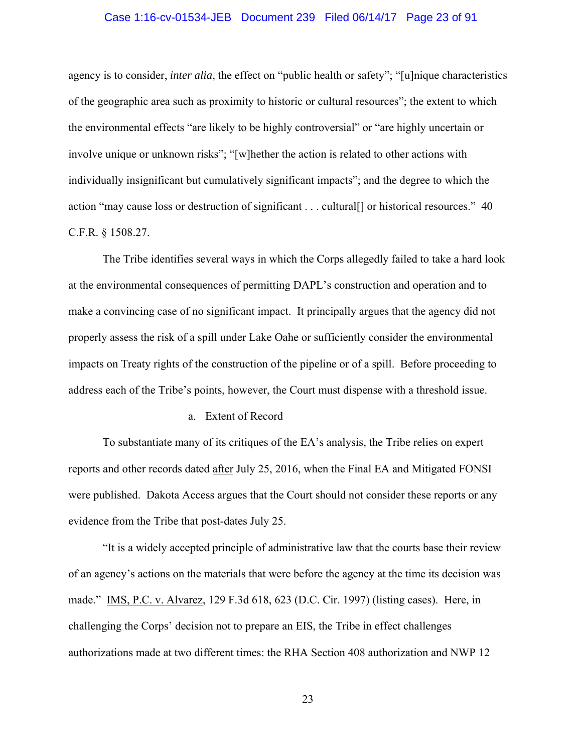#### Case 1:16-cv-01534-JEB Document 239 Filed 06/14/17 Page 23 of 91

agency is to consider, *inter alia*, the effect on "public health or safety"; "[u]nique characteristics of the geographic area such as proximity to historic or cultural resources"; the extent to which the environmental effects "are likely to be highly controversial" or "are highly uncertain or involve unique or unknown risks"; "[w]hether the action is related to other actions with individually insignificant but cumulatively significant impacts"; and the degree to which the action "may cause loss or destruction of significant . . . cultural[] or historical resources." 40 C.F.R. § 1508.27.

The Tribe identifies several ways in which the Corps allegedly failed to take a hard look at the environmental consequences of permitting DAPL's construction and operation and to make a convincing case of no significant impact. It principally argues that the agency did not properly assess the risk of a spill under Lake Oahe or sufficiently consider the environmental impacts on Treaty rights of the construction of the pipeline or of a spill. Before proceeding to address each of the Tribe's points, however, the Court must dispense with a threshold issue.

#### a. Extent of Record

To substantiate many of its critiques of the EA's analysis, the Tribe relies on expert reports and other records dated after July 25, 2016, when the Final EA and Mitigated FONSI were published. Dakota Access argues that the Court should not consider these reports or any evidence from the Tribe that post-dates July 25.

"It is a widely accepted principle of administrative law that the courts base their review of an agency's actions on the materials that were before the agency at the time its decision was made." IMS, P.C. v. Alvarez, 129 F.3d 618, 623 (D.C. Cir. 1997) (listing cases). Here, in challenging the Corps' decision not to prepare an EIS, the Tribe in effect challenges authorizations made at two different times: the RHA Section 408 authorization and NWP 12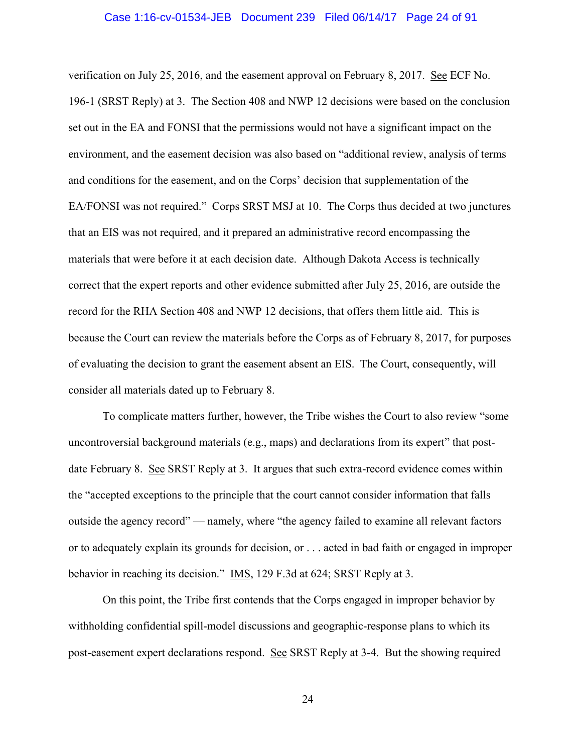#### Case 1:16-cv-01534-JEB Document 239 Filed 06/14/17 Page 24 of 91

verification on July 25, 2016, and the easement approval on February 8, 2017. See ECF No. 196-1 (SRST Reply) at 3. The Section 408 and NWP 12 decisions were based on the conclusion set out in the EA and FONSI that the permissions would not have a significant impact on the environment, and the easement decision was also based on "additional review, analysis of terms and conditions for the easement, and on the Corps' decision that supplementation of the EA/FONSI was not required." Corps SRST MSJ at 10. The Corps thus decided at two junctures that an EIS was not required, and it prepared an administrative record encompassing the materials that were before it at each decision date. Although Dakota Access is technically correct that the expert reports and other evidence submitted after July 25, 2016, are outside the record for the RHA Section 408 and NWP 12 decisions, that offers them little aid. This is because the Court can review the materials before the Corps as of February 8, 2017, for purposes of evaluating the decision to grant the easement absent an EIS. The Court, consequently, will consider all materials dated up to February 8.

To complicate matters further, however, the Tribe wishes the Court to also review "some uncontroversial background materials (e.g., maps) and declarations from its expert" that postdate February 8. See SRST Reply at 3. It argues that such extra-record evidence comes within the "accepted exceptions to the principle that the court cannot consider information that falls outside the agency record" — namely, where "the agency failed to examine all relevant factors or to adequately explain its grounds for decision, or . . . acted in bad faith or engaged in improper behavior in reaching its decision." IMS, 129 F.3d at 624; SRST Reply at 3.

On this point, the Tribe first contends that the Corps engaged in improper behavior by withholding confidential spill-model discussions and geographic-response plans to which its post-easement expert declarations respond. See SRST Reply at 3-4. But the showing required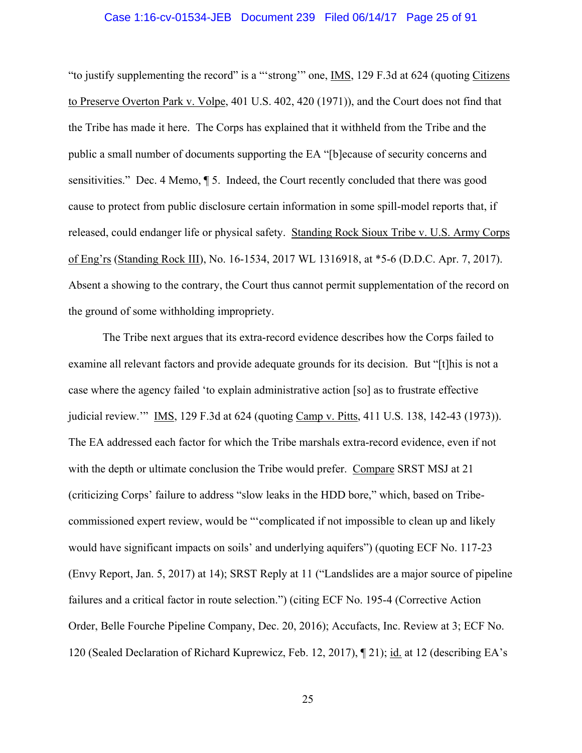#### Case 1:16-cv-01534-JEB Document 239 Filed 06/14/17 Page 25 of 91

"to justify supplementing the record" is a "'strong'" one, IMS, 129 F.3d at 624 (quoting Citizens to Preserve Overton Park v. Volpe, 401 U.S. 402, 420 (1971)), and the Court does not find that the Tribe has made it here. The Corps has explained that it withheld from the Tribe and the public a small number of documents supporting the EA "[b]ecause of security concerns and sensitivities." Dec. 4 Memo, ¶ 5. Indeed, the Court recently concluded that there was good cause to protect from public disclosure certain information in some spill-model reports that, if released, could endanger life or physical safety. Standing Rock Sioux Tribe v. U.S. Army Corps of Eng'rs (Standing Rock III), No. 16-1534, 2017 WL 1316918, at \*5-6 (D.D.C. Apr. 7, 2017). Absent a showing to the contrary, the Court thus cannot permit supplementation of the record on the ground of some withholding impropriety.

The Tribe next argues that its extra-record evidence describes how the Corps failed to examine all relevant factors and provide adequate grounds for its decision. But "[t]his is not a case where the agency failed 'to explain administrative action [so] as to frustrate effective judicial review.'" IMS, 129 F.3d at 624 (quoting Camp v. Pitts, 411 U.S. 138, 142-43 (1973)). The EA addressed each factor for which the Tribe marshals extra-record evidence, even if not with the depth or ultimate conclusion the Tribe would prefer. Compare SRST MSJ at 21 (criticizing Corps' failure to address "slow leaks in the HDD bore," which, based on Tribecommissioned expert review, would be "'complicated if not impossible to clean up and likely would have significant impacts on soils' and underlying aquifers") (quoting ECF No. 117-23 (Envy Report, Jan. 5, 2017) at 14); SRST Reply at 11 ("Landslides are a major source of pipeline failures and a critical factor in route selection.") (citing ECF No. 195-4 (Corrective Action Order, Belle Fourche Pipeline Company, Dec. 20, 2016); Accufacts, Inc. Review at 3; ECF No. 120 (Sealed Declaration of Richard Kuprewicz, Feb. 12, 2017), ¶ 21); id. at 12 (describing EA's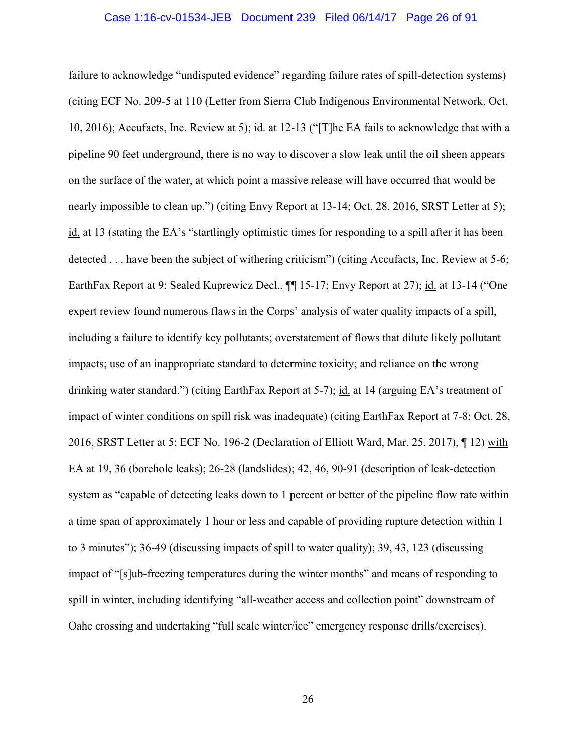#### Case 1:16-cv-01534-JEB Document 239 Filed 06/14/17 Page 26 of 91

failure to acknowledge "undisputed evidence" regarding failure rates of spill-detection systems) (citing ECF No. 209-5 at 110 (Letter from Sierra Club Indigenous Environmental Network, Oct. 10, 2016); Accufacts, Inc. Review at 5); id. at 12-13 ("[T]he EA fails to acknowledge that with a pipeline 90 feet underground, there is no way to discover a slow leak until the oil sheen appears on the surface of the water, at which point a massive release will have occurred that would be nearly impossible to clean up.") (citing Envy Report at 13-14; Oct. 28, 2016, SRST Letter at 5); id. at 13 (stating the EA's "startlingly optimistic times for responding to a spill after it has been detected . . . have been the subject of withering criticism") (citing Accufacts, Inc. Review at 5-6; EarthFax Report at 9; Sealed Kuprewicz Decl.,  $\P\P$  15-17; Envy Report at 27); id. at 13-14 ("One expert review found numerous flaws in the Corps' analysis of water quality impacts of a spill, including a failure to identify key pollutants; overstatement of flows that dilute likely pollutant impacts; use of an inappropriate standard to determine toxicity; and reliance on the wrong drinking water standard.") (citing EarthFax Report at 5-7); id. at 14 (arguing EA's treatment of impact of winter conditions on spill risk was inadequate) (citing EarthFax Report at 7-8; Oct. 28, 2016, SRST Letter at 5; ECF No. 196-2 (Declaration of Elliott Ward, Mar. 25, 2017), ¶ 12) with EA at 19, 36 (borehole leaks); 26-28 (landslides); 42, 46, 90-91 (description of leak-detection system as "capable of detecting leaks down to 1 percent or better of the pipeline flow rate within a time span of approximately 1 hour or less and capable of providing rupture detection within 1 to 3 minutes"); 36-49 (discussing impacts of spill to water quality); 39, 43, 123 (discussing impact of "[s]ub-freezing temperatures during the winter months" and means of responding to spill in winter, including identifying "all-weather access and collection point" downstream of Oahe crossing and undertaking "full scale winter/ice" emergency response drills/exercises).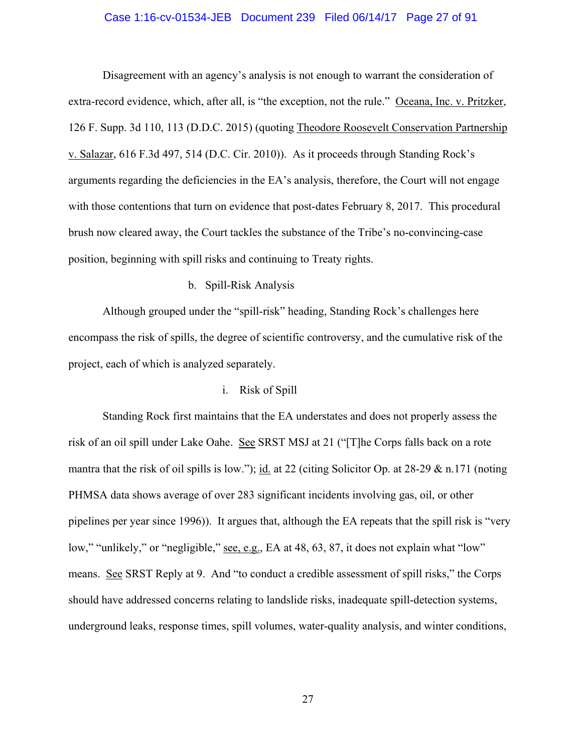## Case 1:16-cv-01534-JEB Document 239 Filed 06/14/17 Page 27 of 91

Disagreement with an agency's analysis is not enough to warrant the consideration of extra-record evidence, which, after all, is "the exception, not the rule." Oceana, Inc. v. Pritzker, 126 F. Supp. 3d 110, 113 (D.D.C. 2015) (quoting Theodore Roosevelt Conservation Partnership v. Salazar, 616 F.3d 497, 514 (D.C. Cir. 2010)). As it proceeds through Standing Rock's arguments regarding the deficiencies in the EA's analysis, therefore, the Court will not engage with those contentions that turn on evidence that post-dates February 8, 2017. This procedural brush now cleared away, the Court tackles the substance of the Tribe's no-convincing-case position, beginning with spill risks and continuing to Treaty rights.

# b. Spill-Risk Analysis

Although grouped under the "spill-risk" heading, Standing Rock's challenges here encompass the risk of spills, the degree of scientific controversy, and the cumulative risk of the project, each of which is analyzed separately.

## i. Risk of Spill

Standing Rock first maintains that the EA understates and does not properly assess the risk of an oil spill under Lake Oahe. See SRST MSJ at 21 ("[T]he Corps falls back on a rote mantra that the risk of oil spills is low."); id. at 22 (citing Solicitor Op. at 28-29 & n.171 (noting PHMSA data shows average of over 283 significant incidents involving gas, oil, or other pipelines per year since 1996)). It argues that, although the EA repeats that the spill risk is "very low," "unlikely," or "negligible," <u>see, e.g.</u>, EA at 48, 63, 87, it does not explain what "low" means. See SRST Reply at 9. And "to conduct a credible assessment of spill risks," the Corps should have addressed concerns relating to landslide risks, inadequate spill-detection systems, underground leaks, response times, spill volumes, water-quality analysis, and winter conditions,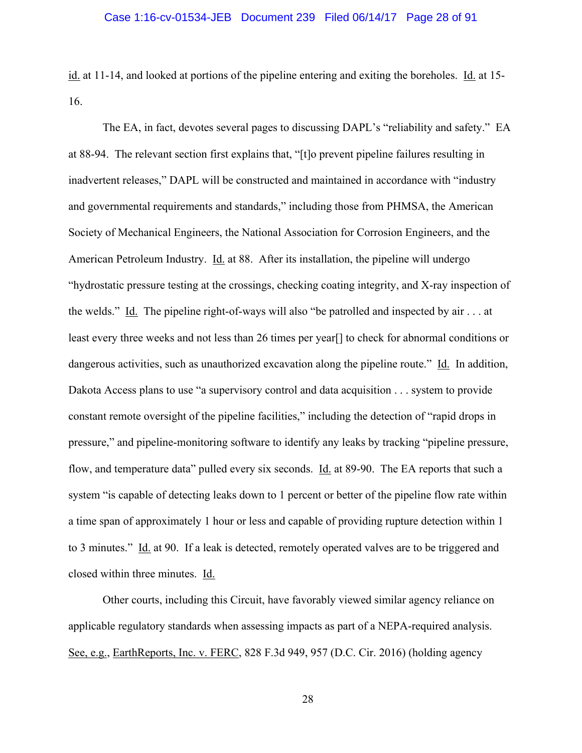#### Case 1:16-cv-01534-JEB Document 239 Filed 06/14/17 Page 28 of 91

id. at 11-14, and looked at portions of the pipeline entering and exiting the boreholes. Id. at 15- 16.

The EA, in fact, devotes several pages to discussing DAPL's "reliability and safety." EA at 88-94. The relevant section first explains that, "[t]o prevent pipeline failures resulting in inadvertent releases," DAPL will be constructed and maintained in accordance with "industry and governmental requirements and standards," including those from PHMSA, the American Society of Mechanical Engineers, the National Association for Corrosion Engineers, and the American Petroleum Industry. Id. at 88. After its installation, the pipeline will undergo "hydrostatic pressure testing at the crossings, checking coating integrity, and X-ray inspection of the welds." Id. The pipeline right-of-ways will also "be patrolled and inspected by air . . . at least every three weeks and not less than 26 times per year[] to check for abnormal conditions or dangerous activities, such as unauthorized excavation along the pipeline route." Id. In addition, Dakota Access plans to use "a supervisory control and data acquisition . . . system to provide constant remote oversight of the pipeline facilities," including the detection of "rapid drops in pressure," and pipeline-monitoring software to identify any leaks by tracking "pipeline pressure, flow, and temperature data" pulled every six seconds. Id. at 89-90. The EA reports that such a system "is capable of detecting leaks down to 1 percent or better of the pipeline flow rate within a time span of approximately 1 hour or less and capable of providing rupture detection within 1 to 3 minutes." Id. at 90. If a leak is detected, remotely operated valves are to be triggered and closed within three minutes. Id.

Other courts, including this Circuit, have favorably viewed similar agency reliance on applicable regulatory standards when assessing impacts as part of a NEPA-required analysis. See, e.g., EarthReports, Inc. v. FERC, 828 F.3d 949, 957 (D.C. Cir. 2016) (holding agency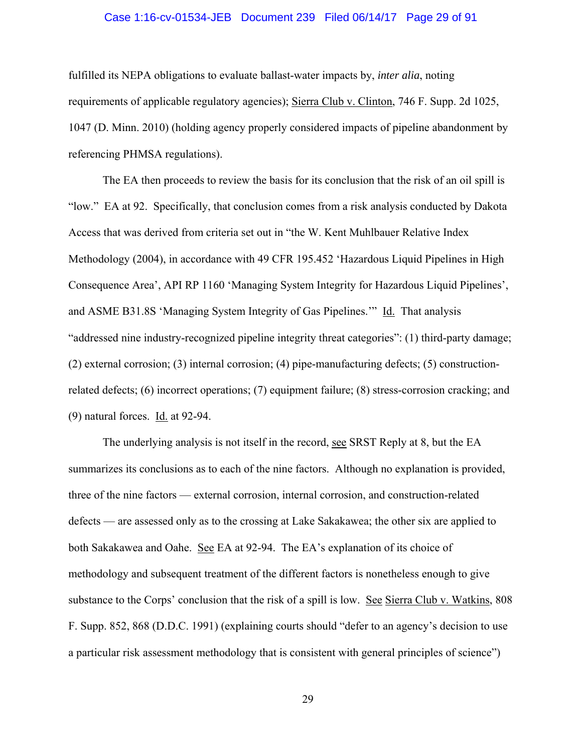#### Case 1:16-cv-01534-JEB Document 239 Filed 06/14/17 Page 29 of 91

fulfilled its NEPA obligations to evaluate ballast-water impacts by, *inter alia*, noting requirements of applicable regulatory agencies); Sierra Club v. Clinton, 746 F. Supp. 2d 1025, 1047 (D. Minn. 2010) (holding agency properly considered impacts of pipeline abandonment by referencing PHMSA regulations).

The EA then proceeds to review the basis for its conclusion that the risk of an oil spill is "low." EA at 92. Specifically, that conclusion comes from a risk analysis conducted by Dakota Access that was derived from criteria set out in "the W. Kent Muhlbauer Relative Index Methodology (2004), in accordance with 49 CFR 195.452 'Hazardous Liquid Pipelines in High Consequence Area', API RP 1160 'Managing System Integrity for Hazardous Liquid Pipelines', and ASME B31.8S 'Managing System Integrity of Gas Pipelines.'" Id. That analysis "addressed nine industry-recognized pipeline integrity threat categories": (1) third-party damage; (2) external corrosion; (3) internal corrosion; (4) pipe-manufacturing defects; (5) constructionrelated defects; (6) incorrect operations; (7) equipment failure; (8) stress-corrosion cracking; and (9) natural forces. Id. at 92-94.

The underlying analysis is not itself in the record, see SRST Reply at 8, but the EA summarizes its conclusions as to each of the nine factors. Although no explanation is provided, three of the nine factors — external corrosion, internal corrosion, and construction-related defects — are assessed only as to the crossing at Lake Sakakawea; the other six are applied to both Sakakawea and Oahe. See EA at 92-94. The EA's explanation of its choice of methodology and subsequent treatment of the different factors is nonetheless enough to give substance to the Corps' conclusion that the risk of a spill is low. See Sierra Club v. Watkins, 808 F. Supp. 852, 868 (D.D.C. 1991) (explaining courts should "defer to an agency's decision to use a particular risk assessment methodology that is consistent with general principles of science")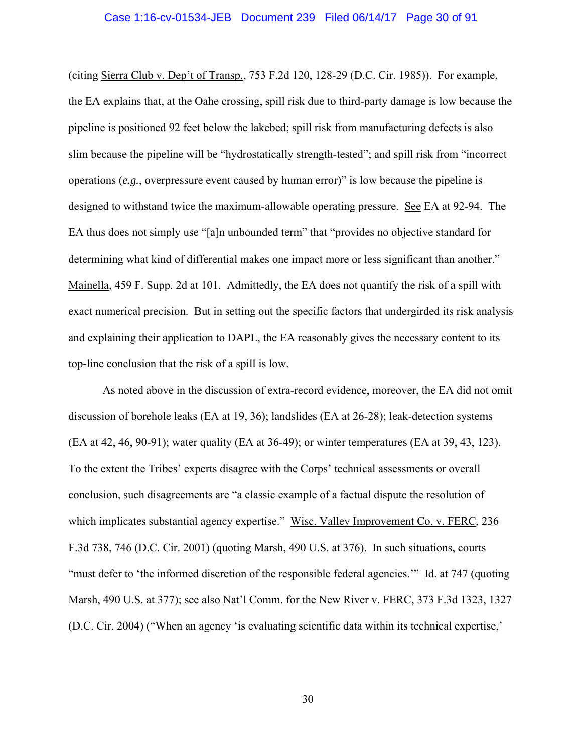#### Case 1:16-cv-01534-JEB Document 239 Filed 06/14/17 Page 30 of 91

(citing Sierra Club v. Dep't of Transp., 753 F.2d 120, 128-29 (D.C. Cir. 1985)). For example, the EA explains that, at the Oahe crossing, spill risk due to third-party damage is low because the pipeline is positioned 92 feet below the lakebed; spill risk from manufacturing defects is also slim because the pipeline will be "hydrostatically strength-tested"; and spill risk from "incorrect operations (*e.g.*, overpressure event caused by human error)" is low because the pipeline is designed to withstand twice the maximum-allowable operating pressure. See EA at 92-94. The EA thus does not simply use "[a]n unbounded term" that "provides no objective standard for determining what kind of differential makes one impact more or less significant than another." Mainella, 459 F. Supp. 2d at 101. Admittedly, the EA does not quantify the risk of a spill with exact numerical precision. But in setting out the specific factors that undergirded its risk analysis and explaining their application to DAPL, the EA reasonably gives the necessary content to its top-line conclusion that the risk of a spill is low.

As noted above in the discussion of extra-record evidence, moreover, the EA did not omit discussion of borehole leaks (EA at 19, 36); landslides (EA at 26-28); leak-detection systems (EA at 42, 46, 90-91); water quality (EA at 36-49); or winter temperatures (EA at 39, 43, 123). To the extent the Tribes' experts disagree with the Corps' technical assessments or overall conclusion, such disagreements are "a classic example of a factual dispute the resolution of which implicates substantial agency expertise." Wisc. Valley Improvement Co. v. FERC, 236 F.3d 738, 746 (D.C. Cir. 2001) (quoting Marsh, 490 U.S. at 376). In such situations, courts "must defer to 'the informed discretion of the responsible federal agencies.'" Id. at 747 (quoting Marsh, 490 U.S. at 377); see also Nat'l Comm. for the New River v. FERC, 373 F.3d 1323, 1327 (D.C. Cir. 2004) ("When an agency 'is evaluating scientific data within its technical expertise,'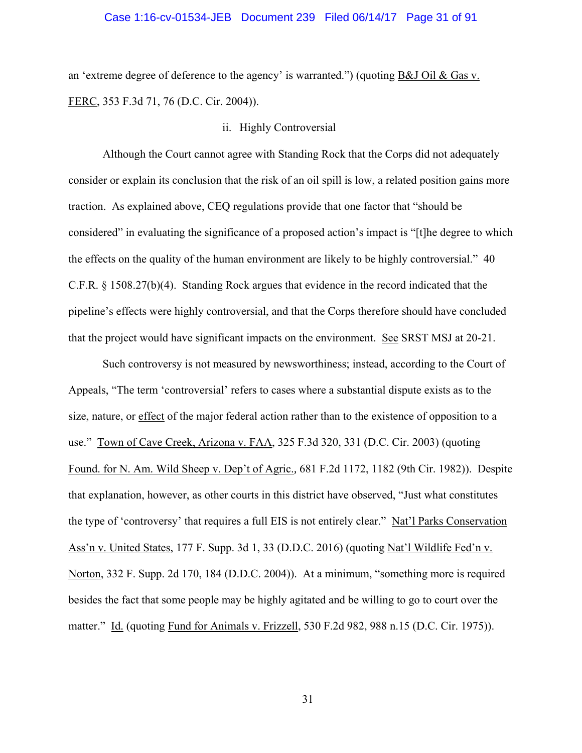#### Case 1:16-cv-01534-JEB Document 239 Filed 06/14/17 Page 31 of 91

an 'extreme degree of deference to the agency' is warranted.") (quoting B&J Oil & Gas v. FERC, 353 F.3d 71, 76 (D.C. Cir. 2004)).

# ii. Highly Controversial

Although the Court cannot agree with Standing Rock that the Corps did not adequately consider or explain its conclusion that the risk of an oil spill is low, a related position gains more traction. As explained above, CEQ regulations provide that one factor that "should be considered" in evaluating the significance of a proposed action's impact is "[t]he degree to which the effects on the quality of the human environment are likely to be highly controversial." 40 C.F.R. § 1508.27(b)(4). Standing Rock argues that evidence in the record indicated that the pipeline's effects were highly controversial, and that the Corps therefore should have concluded that the project would have significant impacts on the environment. See SRST MSJ at 20-21.

Such controversy is not measured by newsworthiness; instead, according to the Court of Appeals, "The term 'controversial' refers to cases where a substantial dispute exists as to the size, nature, or effect of the major federal action rather than to the existence of opposition to a use." Town of Cave Creek, Arizona v. FAA, 325 F.3d 320, 331 (D.C. Cir. 2003) (quoting Found. for N. Am. Wild Sheep v. Dep't of Agric.*,* 681 F.2d 1172, 1182 (9th Cir. 1982)). Despite that explanation, however, as other courts in this district have observed, "Just what constitutes the type of 'controversy' that requires a full EIS is not entirely clear." Nat'l Parks Conservation Ass'n v. United States, 177 F. Supp. 3d 1, 33 (D.D.C. 2016) (quoting Nat'l Wildlife Fed'n v. Norton, 332 F. Supp. 2d 170, 184 (D.D.C. 2004)). At a minimum, "something more is required besides the fact that some people may be highly agitated and be willing to go to court over the matter." Id. (quoting Fund for Animals v. Frizzell, 530 F.2d 982, 988 n.15 (D.C. Cir. 1975)).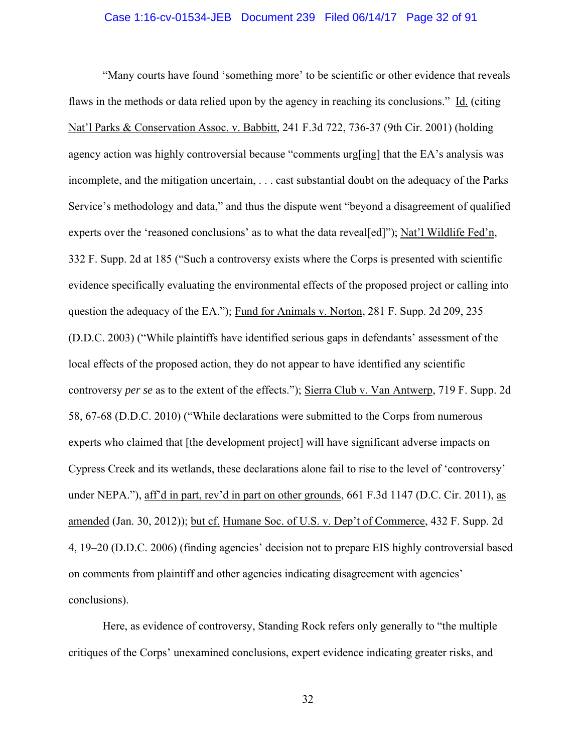#### Case 1:16-cv-01534-JEB Document 239 Filed 06/14/17 Page 32 of 91

"Many courts have found 'something more' to be scientific or other evidence that reveals flaws in the methods or data relied upon by the agency in reaching its conclusions." Id. (citing Nat'l Parks & Conservation Assoc. v. Babbitt, 241 F.3d 722, 736-37 (9th Cir. 2001) (holding agency action was highly controversial because "comments urg[ing] that the EA's analysis was incomplete, and the mitigation uncertain, . . . cast substantial doubt on the adequacy of the Parks Service's methodology and data," and thus the dispute went "beyond a disagreement of qualified experts over the 'reasoned conclusions' as to what the data reveal[ed]"); Nat'l Wildlife Fed'n, 332 F. Supp. 2d at 185 ("Such a controversy exists where the Corps is presented with scientific evidence specifically evaluating the environmental effects of the proposed project or calling into question the adequacy of the EA."); Fund for Animals v. Norton, 281 F. Supp. 2d 209, 235 (D.D.C. 2003) ("While plaintiffs have identified serious gaps in defendants' assessment of the local effects of the proposed action, they do not appear to have identified any scientific controversy *per se* as to the extent of the effects."); Sierra Club v. Van Antwerp, 719 F. Supp. 2d 58, 67-68 (D.D.C. 2010) ("While declarations were submitted to the Corps from numerous experts who claimed that [the development project] will have significant adverse impacts on Cypress Creek and its wetlands, these declarations alone fail to rise to the level of 'controversy' under NEPA."), aff'd in part, rev'd in part on other grounds, 661 F.3d 1147 (D.C. Cir. 2011), as amended (Jan. 30, 2012)); but cf. Humane Soc. of U.S. v. Dep't of Commerce, 432 F. Supp. 2d 4, 19–20 (D.D.C. 2006) (finding agencies' decision not to prepare EIS highly controversial based on comments from plaintiff and other agencies indicating disagreement with agencies' conclusions).

Here, as evidence of controversy, Standing Rock refers only generally to "the multiple critiques of the Corps' unexamined conclusions, expert evidence indicating greater risks, and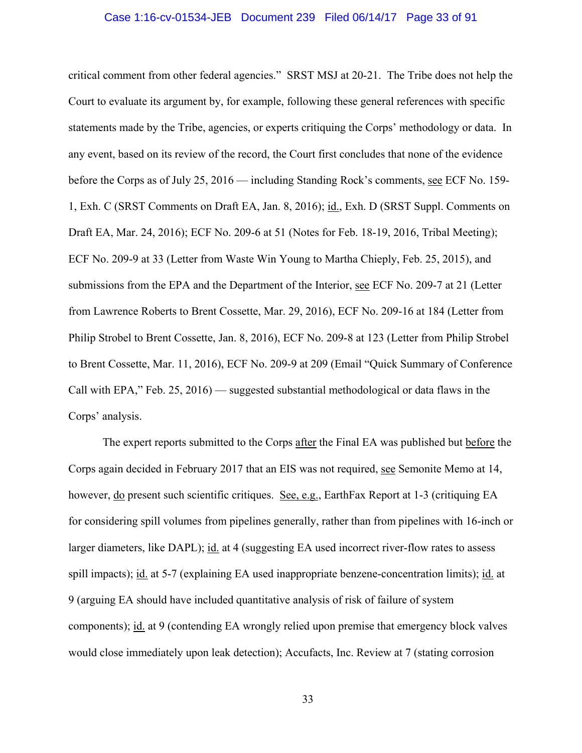#### Case 1:16-cv-01534-JEB Document 239 Filed 06/14/17 Page 33 of 91

critical comment from other federal agencies." SRST MSJ at 20-21. The Tribe does not help the Court to evaluate its argument by, for example, following these general references with specific statements made by the Tribe, agencies, or experts critiquing the Corps' methodology or data. In any event, based on its review of the record, the Court first concludes that none of the evidence before the Corps as of July 25, 2016 — including Standing Rock's comments, see ECF No. 159- 1, Exh. C (SRST Comments on Draft EA, Jan. 8, 2016); id., Exh. D (SRST Suppl. Comments on Draft EA, Mar. 24, 2016); ECF No. 209-6 at 51 (Notes for Feb. 18-19, 2016, Tribal Meeting); ECF No. 209-9 at 33 (Letter from Waste Win Young to Martha Chieply, Feb. 25, 2015), and submissions from the EPA and the Department of the Interior, see ECF No. 209-7 at 21 (Letter from Lawrence Roberts to Brent Cossette, Mar. 29, 2016), ECF No. 209-16 at 184 (Letter from Philip Strobel to Brent Cossette, Jan. 8, 2016), ECF No. 209-8 at 123 (Letter from Philip Strobel to Brent Cossette, Mar. 11, 2016), ECF No. 209-9 at 209 (Email "Quick Summary of Conference Call with EPA," Feb. 25, 2016) — suggested substantial methodological or data flaws in the Corps' analysis.

The expert reports submitted to the Corps after the Final EA was published but before the Corps again decided in February 2017 that an EIS was not required, see Semonite Memo at 14, however, do present such scientific critiques. See, e.g., EarthFax Report at 1-3 (critiquing EA for considering spill volumes from pipelines generally, rather than from pipelines with 16-inch or larger diameters, like DAPL); id. at 4 (suggesting EA used incorrect river-flow rates to assess spill impacts); id. at 5-7 (explaining EA used inappropriate benzene-concentration limits); id. at 9 (arguing EA should have included quantitative analysis of risk of failure of system components); id. at 9 (contending EA wrongly relied upon premise that emergency block valves would close immediately upon leak detection); Accufacts, Inc. Review at 7 (stating corrosion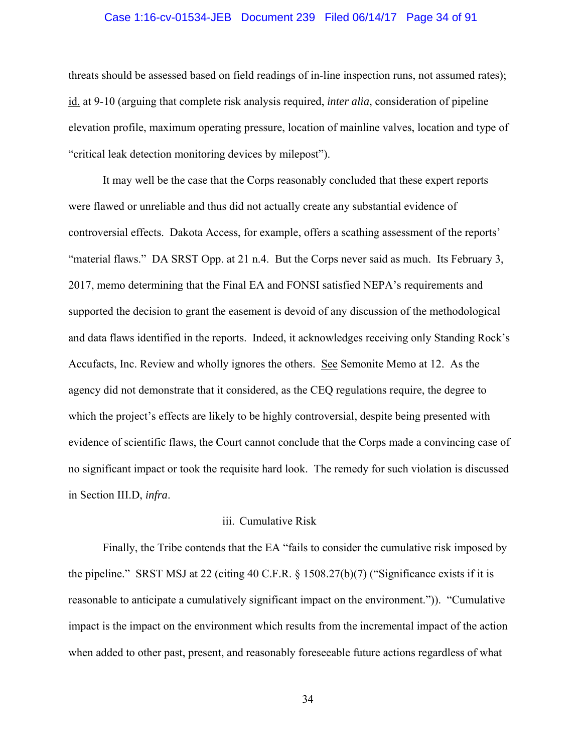## Case 1:16-cv-01534-JEB Document 239 Filed 06/14/17 Page 34 of 91

threats should be assessed based on field readings of in-line inspection runs, not assumed rates); id. at 9-10 (arguing that complete risk analysis required, *inter alia*, consideration of pipeline elevation profile, maximum operating pressure, location of mainline valves, location and type of "critical leak detection monitoring devices by milepost").

It may well be the case that the Corps reasonably concluded that these expert reports were flawed or unreliable and thus did not actually create any substantial evidence of controversial effects. Dakota Access, for example, offers a scathing assessment of the reports' "material flaws." DA SRST Opp. at 21 n.4. But the Corps never said as much. Its February 3, 2017, memo determining that the Final EA and FONSI satisfied NEPA's requirements and supported the decision to grant the easement is devoid of any discussion of the methodological and data flaws identified in the reports. Indeed, it acknowledges receiving only Standing Rock's Accufacts, Inc. Review and wholly ignores the others. See Semonite Memo at 12. As the agency did not demonstrate that it considered, as the CEQ regulations require, the degree to which the project's effects are likely to be highly controversial, despite being presented with evidence of scientific flaws, the Court cannot conclude that the Corps made a convincing case of no significant impact or took the requisite hard look. The remedy for such violation is discussed in Section III.D, *infra*.

#### iii. Cumulative Risk

Finally, the Tribe contends that the EA "fails to consider the cumulative risk imposed by the pipeline." SRST MSJ at 22 (citing 40 C.F.R. § 1508.27(b)(7) ("Significance exists if it is reasonable to anticipate a cumulatively significant impact on the environment.")). "Cumulative impact is the impact on the environment which results from the incremental impact of the action when added to other past, present, and reasonably foreseeable future actions regardless of what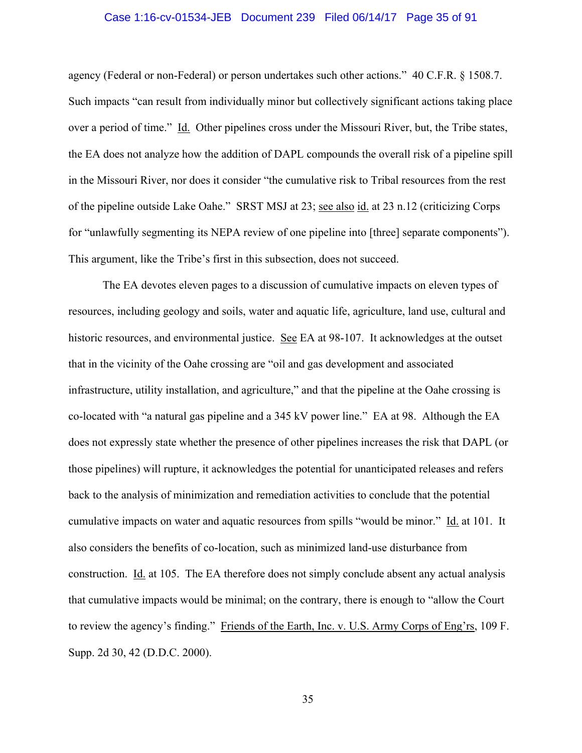#### Case 1:16-cv-01534-JEB Document 239 Filed 06/14/17 Page 35 of 91

agency (Federal or non-Federal) or person undertakes such other actions." 40 C.F.R. § 1508.7. Such impacts "can result from individually minor but collectively significant actions taking place over a period of time." Id. Other pipelines cross under the Missouri River, but, the Tribe states, the EA does not analyze how the addition of DAPL compounds the overall risk of a pipeline spill in the Missouri River, nor does it consider "the cumulative risk to Tribal resources from the rest of the pipeline outside Lake Oahe." SRST MSJ at 23; see also id. at 23 n.12 (criticizing Corps for "unlawfully segmenting its NEPA review of one pipeline into [three] separate components"). This argument, like the Tribe's first in this subsection, does not succeed.

The EA devotes eleven pages to a discussion of cumulative impacts on eleven types of resources, including geology and soils, water and aquatic life, agriculture, land use, cultural and historic resources, and environmental justice. See EA at 98-107. It acknowledges at the outset that in the vicinity of the Oahe crossing are "oil and gas development and associated infrastructure, utility installation, and agriculture," and that the pipeline at the Oahe crossing is co-located with "a natural gas pipeline and a 345 kV power line." EA at 98. Although the EA does not expressly state whether the presence of other pipelines increases the risk that DAPL (or those pipelines) will rupture, it acknowledges the potential for unanticipated releases and refers back to the analysis of minimization and remediation activities to conclude that the potential cumulative impacts on water and aquatic resources from spills "would be minor." Id. at 101. It also considers the benefits of co-location, such as minimized land-use disturbance from construction. Id. at 105. The EA therefore does not simply conclude absent any actual analysis that cumulative impacts would be minimal; on the contrary, there is enough to "allow the Court to review the agency's finding." Friends of the Earth, Inc. v. U.S. Army Corps of Eng'rs, 109 F. Supp. 2d 30, 42 (D.D.C. 2000).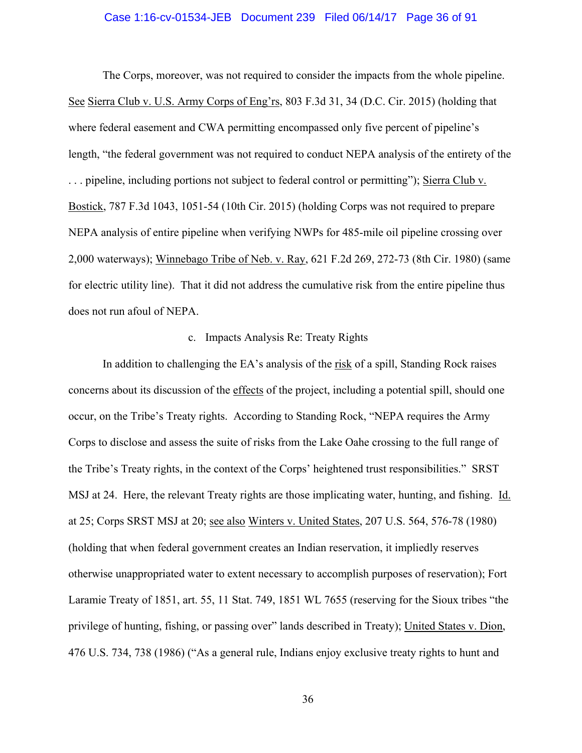#### Case 1:16-cv-01534-JEB Document 239 Filed 06/14/17 Page 36 of 91

The Corps, moreover, was not required to consider the impacts from the whole pipeline. See Sierra Club v. U.S. Army Corps of Eng'rs, 803 F.3d 31, 34 (D.C. Cir. 2015) (holding that where federal easement and CWA permitting encompassed only five percent of pipeline's length, "the federal government was not required to conduct NEPA analysis of the entirety of the . . . pipeline, including portions not subject to federal control or permitting"); Sierra Club v. Bostick, 787 F.3d 1043, 1051-54 (10th Cir. 2015) (holding Corps was not required to prepare NEPA analysis of entire pipeline when verifying NWPs for 485-mile oil pipeline crossing over 2,000 waterways); Winnebago Tribe of Neb. v. Ray, 621 F.2d 269, 272-73 (8th Cir. 1980) (same for electric utility line). That it did not address the cumulative risk from the entire pipeline thus does not run afoul of NEPA.

# c. Impacts Analysis Re: Treaty Rights

In addition to challenging the EA's analysis of the risk of a spill, Standing Rock raises concerns about its discussion of the effects of the project, including a potential spill, should one occur, on the Tribe's Treaty rights. According to Standing Rock, "NEPA requires the Army Corps to disclose and assess the suite of risks from the Lake Oahe crossing to the full range of the Tribe's Treaty rights, in the context of the Corps' heightened trust responsibilities." SRST MSJ at 24. Here, the relevant Treaty rights are those implicating water, hunting, and fishing. Id. at 25; Corps SRST MSJ at 20; see also Winters v. United States, 207 U.S. 564, 576-78 (1980) (holding that when federal government creates an Indian reservation, it impliedly reserves otherwise unappropriated water to extent necessary to accomplish purposes of reservation); Fort Laramie Treaty of 1851, art. 55, 11 Stat. 749, 1851 WL 7655 (reserving for the Sioux tribes "the privilege of hunting, fishing, or passing over" lands described in Treaty); United States v. Dion, 476 U.S. 734, 738 (1986) ("As a general rule, Indians enjoy exclusive treaty rights to hunt and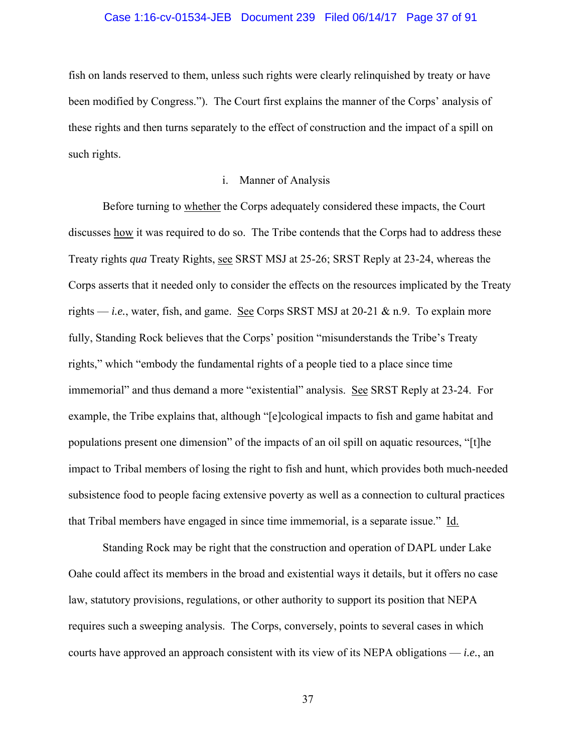## Case 1:16-cv-01534-JEB Document 239 Filed 06/14/17 Page 37 of 91

fish on lands reserved to them, unless such rights were clearly relinquished by treaty or have been modified by Congress."). The Court first explains the manner of the Corps' analysis of these rights and then turns separately to the effect of construction and the impact of a spill on such rights.

# i. Manner of Analysis

Before turning to whether the Corps adequately considered these impacts, the Court discusses how it was required to do so. The Tribe contends that the Corps had to address these Treaty rights *qua* Treaty Rights, see SRST MSJ at 25-26; SRST Reply at 23-24, whereas the Corps asserts that it needed only to consider the effects on the resources implicated by the Treaty rights — *i.e.*, water, fish, and game. See Corps SRST MSJ at 20-21  $\&$  n.9. To explain more fully, Standing Rock believes that the Corps' position "misunderstands the Tribe's Treaty rights," which "embody the fundamental rights of a people tied to a place since time immemorial" and thus demand a more "existential" analysis. See SRST Reply at 23-24. For example, the Tribe explains that, although "[e]cological impacts to fish and game habitat and populations present one dimension" of the impacts of an oil spill on aquatic resources, "[t]he impact to Tribal members of losing the right to fish and hunt, which provides both much-needed subsistence food to people facing extensive poverty as well as a connection to cultural practices that Tribal members have engaged in since time immemorial, is a separate issue." Id.

Standing Rock may be right that the construction and operation of DAPL under Lake Oahe could affect its members in the broad and existential ways it details, but it offers no case law, statutory provisions, regulations, or other authority to support its position that NEPA requires such a sweeping analysis. The Corps, conversely, points to several cases in which courts have approved an approach consistent with its view of its NEPA obligations — *i.e.*, an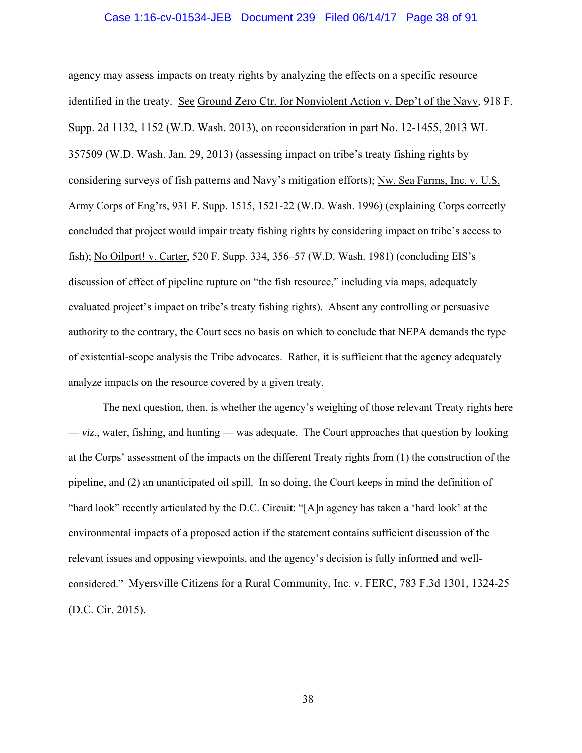#### Case 1:16-cv-01534-JEB Document 239 Filed 06/14/17 Page 38 of 91

agency may assess impacts on treaty rights by analyzing the effects on a specific resource identified in the treaty. See Ground Zero Ctr. for Nonviolent Action v. Dep't of the Navy, 918 F. Supp. 2d 1132, 1152 (W.D. Wash. 2013), on reconsideration in part No. 12-1455, 2013 WL 357509 (W.D. Wash. Jan. 29, 2013) (assessing impact on tribe's treaty fishing rights by considering surveys of fish patterns and Navy's mitigation efforts); Nw. Sea Farms, Inc. v. U.S. Army Corps of Eng'rs, 931 F. Supp. 1515, 1521-22 (W.D. Wash. 1996) (explaining Corps correctly concluded that project would impair treaty fishing rights by considering impact on tribe's access to fish); No Oilport! v. Carter, 520 F. Supp. 334, 356–57 (W.D. Wash. 1981) (concluding EIS's discussion of effect of pipeline rupture on "the fish resource," including via maps, adequately evaluated project's impact on tribe's treaty fishing rights). Absent any controlling or persuasive authority to the contrary, the Court sees no basis on which to conclude that NEPA demands the type of existential-scope analysis the Tribe advocates. Rather, it is sufficient that the agency adequately analyze impacts on the resource covered by a given treaty.

The next question, then, is whether the agency's weighing of those relevant Treaty rights here  $-\nu$ *iz.*, water, fishing, and hunting — was adequate. The Court approaches that question by looking at the Corps' assessment of the impacts on the different Treaty rights from (1) the construction of the pipeline, and (2) an unanticipated oil spill. In so doing, the Court keeps in mind the definition of "hard look" recently articulated by the D.C. Circuit: "[A]n agency has taken a 'hard look' at the environmental impacts of a proposed action if the statement contains sufficient discussion of the relevant issues and opposing viewpoints, and the agency's decision is fully informed and wellconsidered." Myersville Citizens for a Rural Community, Inc. v. FERC, 783 F.3d 1301, 1324-25 (D.C. Cir. 2015).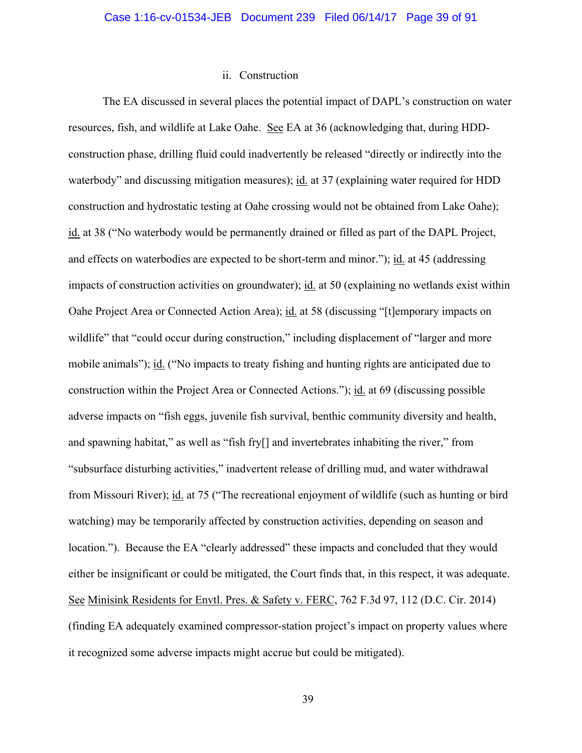## ii. Construction

The EA discussed in several places the potential impact of DAPL's construction on water resources, fish, and wildlife at Lake Oahe. See EA at 36 (acknowledging that, during HDDconstruction phase, drilling fluid could inadvertently be released "directly or indirectly into the waterbody" and discussing mitigation measures); id. at 37 (explaining water required for HDD construction and hydrostatic testing at Oahe crossing would not be obtained from Lake Oahe); id. at 38 ("No waterbody would be permanently drained or filled as part of the DAPL Project, and effects on waterbodies are expected to be short-term and minor."); id. at 45 (addressing impacts of construction activities on groundwater); id. at 50 (explaining no wetlands exist within Oahe Project Area or Connected Action Area); id. at 58 (discussing "[t]emporary impacts on wildlife" that "could occur during construction," including displacement of "larger and more mobile animals"); id. ("No impacts to treaty fishing and hunting rights are anticipated due to construction within the Project Area or Connected Actions."); id. at 69 (discussing possible adverse impacts on "fish eggs, juvenile fish survival, benthic community diversity and health, and spawning habitat," as well as "fish fry[] and invertebrates inhabiting the river," from "subsurface disturbing activities," inadvertent release of drilling mud, and water withdrawal from Missouri River); id. at 75 ("The recreational enjoyment of wildlife (such as hunting or bird watching) may be temporarily affected by construction activities, depending on season and location."). Because the EA "clearly addressed" these impacts and concluded that they would either be insignificant or could be mitigated, the Court finds that, in this respect, it was adequate. See Minisink Residents for Envtl. Pres. & Safety v. FERC, 762 F.3d 97, 112 (D.C. Cir. 2014) (finding EA adequately examined compressor-station project's impact on property values where it recognized some adverse impacts might accrue but could be mitigated).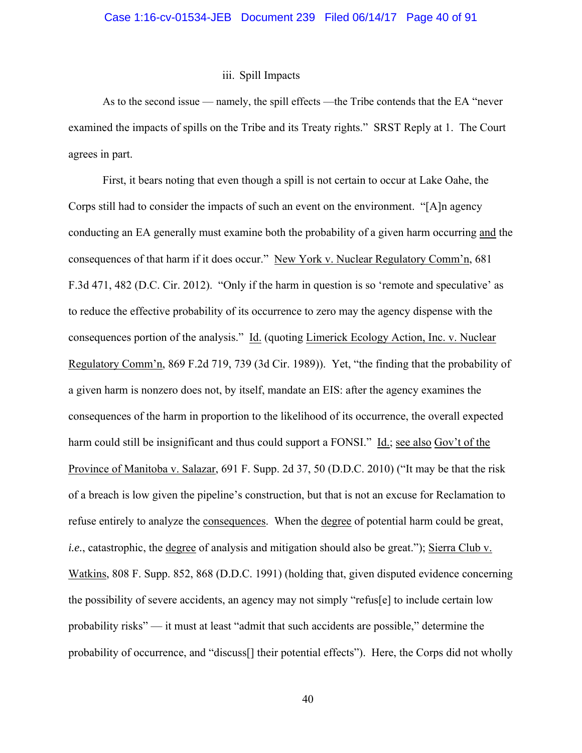## iii. Spill Impacts

As to the second issue — namely, the spill effects —the Tribe contends that the EA "never examined the impacts of spills on the Tribe and its Treaty rights." SRST Reply at 1. The Court agrees in part.

First, it bears noting that even though a spill is not certain to occur at Lake Oahe, the Corps still had to consider the impacts of such an event on the environment. "[A]n agency conducting an EA generally must examine both the probability of a given harm occurring and the consequences of that harm if it does occur." New York v. Nuclear Regulatory Comm'n, 681 F.3d 471, 482 (D.C. Cir. 2012). "Only if the harm in question is so 'remote and speculative' as to reduce the effective probability of its occurrence to zero may the agency dispense with the consequences portion of the analysis." Id. (quoting Limerick Ecology Action, Inc. v. Nuclear Regulatory Comm'n, 869 F.2d 719, 739 (3d Cir. 1989)). Yet, "the finding that the probability of a given harm is nonzero does not, by itself, mandate an EIS: after the agency examines the consequences of the harm in proportion to the likelihood of its occurrence, the overall expected harm could still be insignificant and thus could support a FONSI." Id.; see also Gov't of the Province of Manitoba v. Salazar, 691 F. Supp. 2d 37, 50 (D.D.C. 2010) ("It may be that the risk of a breach is low given the pipeline's construction, but that is not an excuse for Reclamation to refuse entirely to analyze the consequences. When the degree of potential harm could be great, *i.e.*, catastrophic, the degree of analysis and mitigation should also be great."); Sierra Club v. Watkins, 808 F. Supp. 852, 868 (D.D.C. 1991) (holding that, given disputed evidence concerning the possibility of severe accidents, an agency may not simply "refus[e] to include certain low probability risks" — it must at least "admit that such accidents are possible," determine the probability of occurrence, and "discuss[] their potential effects"). Here, the Corps did not wholly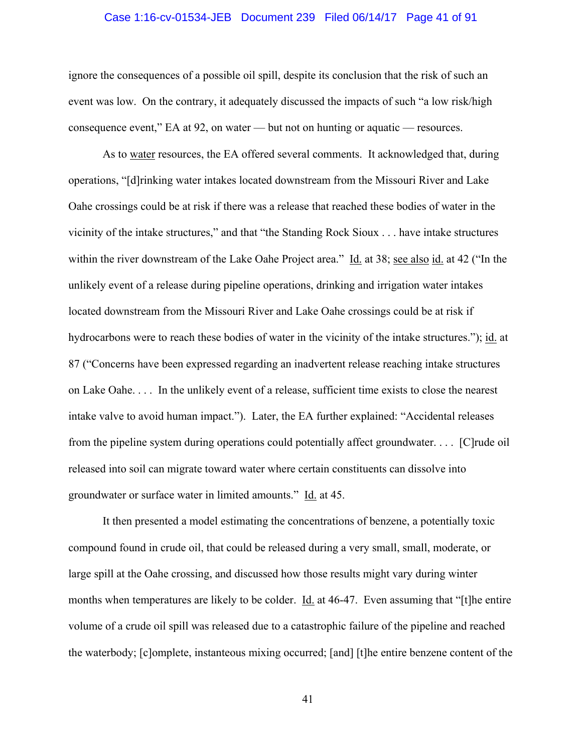#### Case 1:16-cv-01534-JEB Document 239 Filed 06/14/17 Page 41 of 91

ignore the consequences of a possible oil spill, despite its conclusion that the risk of such an event was low. On the contrary, it adequately discussed the impacts of such "a low risk/high consequence event," EA at 92, on water — but not on hunting or aquatic — resources.

As to water resources, the EA offered several comments. It acknowledged that, during operations, "[d]rinking water intakes located downstream from the Missouri River and Lake Oahe crossings could be at risk if there was a release that reached these bodies of water in the vicinity of the intake structures," and that "the Standing Rock Sioux . . . have intake structures within the river downstream of the Lake Oahe Project area." Id. at 38; see also id. at 42 ("In the unlikely event of a release during pipeline operations, drinking and irrigation water intakes located downstream from the Missouri River and Lake Oahe crossings could be at risk if hydrocarbons were to reach these bodies of water in the vicinity of the intake structures."); id. at 87 ("Concerns have been expressed regarding an inadvertent release reaching intake structures on Lake Oahe. . . . In the unlikely event of a release, sufficient time exists to close the nearest intake valve to avoid human impact."). Later, the EA further explained: "Accidental releases from the pipeline system during operations could potentially affect groundwater. . . . [C]rude oil released into soil can migrate toward water where certain constituents can dissolve into groundwater or surface water in limited amounts." Id. at 45.

It then presented a model estimating the concentrations of benzene, a potentially toxic compound found in crude oil, that could be released during a very small, small, moderate, or large spill at the Oahe crossing, and discussed how those results might vary during winter months when temperatures are likely to be colder. Id. at 46-47. Even assuming that "[t]he entire volume of a crude oil spill was released due to a catastrophic failure of the pipeline and reached the waterbody; [c]omplete, instanteous mixing occurred; [and] [t]he entire benzene content of the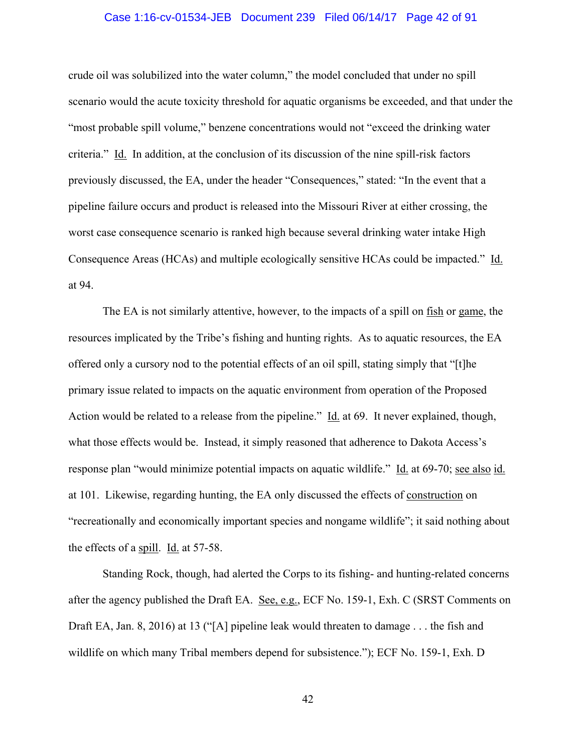## Case 1:16-cv-01534-JEB Document 239 Filed 06/14/17 Page 42 of 91

crude oil was solubilized into the water column," the model concluded that under no spill scenario would the acute toxicity threshold for aquatic organisms be exceeded, and that under the "most probable spill volume," benzene concentrations would not "exceed the drinking water criteria." Id. In addition, at the conclusion of its discussion of the nine spill-risk factors previously discussed, the EA, under the header "Consequences," stated: "In the event that a pipeline failure occurs and product is released into the Missouri River at either crossing, the worst case consequence scenario is ranked high because several drinking water intake High Consequence Areas (HCAs) and multiple ecologically sensitive HCAs could be impacted." Id. at 94.

The EA is not similarly attentive, however, to the impacts of a spill on fish or game, the resources implicated by the Tribe's fishing and hunting rights. As to aquatic resources, the EA offered only a cursory nod to the potential effects of an oil spill, stating simply that "[t]he primary issue related to impacts on the aquatic environment from operation of the Proposed Action would be related to a release from the pipeline." Id. at 69. It never explained, though, what those effects would be. Instead, it simply reasoned that adherence to Dakota Access's response plan "would minimize potential impacts on aquatic wildlife." Id. at 69-70; see also id. at 101. Likewise, regarding hunting, the EA only discussed the effects of construction on "recreationally and economically important species and nongame wildlife"; it said nothing about the effects of a spill. Id. at 57-58.

Standing Rock, though, had alerted the Corps to its fishing- and hunting-related concerns after the agency published the Draft EA. See, e.g., ECF No. 159-1, Exh. C (SRST Comments on Draft EA, Jan. 8, 2016) at 13 ("[A] pipeline leak would threaten to damage . . . the fish and wildlife on which many Tribal members depend for subsistence."); ECF No. 159-1, Exh. D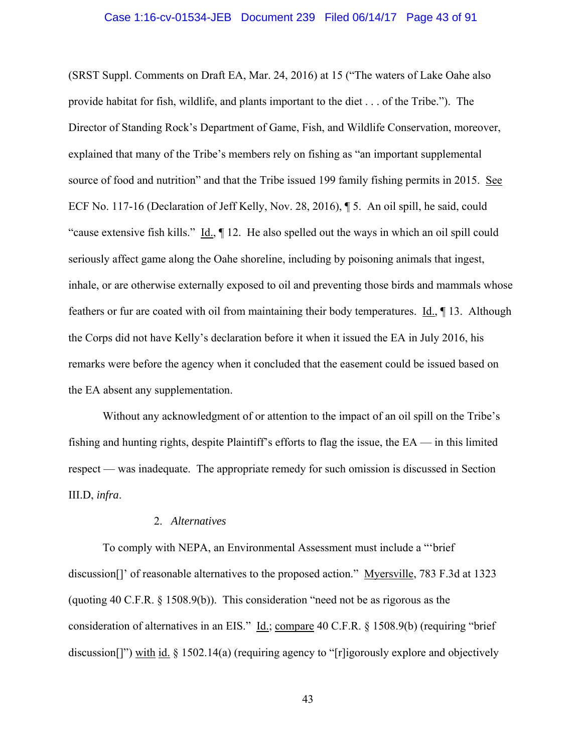#### Case 1:16-cv-01534-JEB Document 239 Filed 06/14/17 Page 43 of 91

(SRST Suppl. Comments on Draft EA, Mar. 24, 2016) at 15 ("The waters of Lake Oahe also provide habitat for fish, wildlife, and plants important to the diet . . . of the Tribe."). The Director of Standing Rock's Department of Game, Fish, and Wildlife Conservation, moreover, explained that many of the Tribe's members rely on fishing as "an important supplemental source of food and nutrition" and that the Tribe issued 199 family fishing permits in 2015. See ECF No. 117-16 (Declaration of Jeff Kelly, Nov. 28, 2016), ¶ 5. An oil spill, he said, could "cause extensive fish kills." Id., ¶ 12. He also spelled out the ways in which an oil spill could seriously affect game along the Oahe shoreline, including by poisoning animals that ingest, inhale, or are otherwise externally exposed to oil and preventing those birds and mammals whose feathers or fur are coated with oil from maintaining their body temperatures.  $\underline{Id}$ ,  $\P$  13. Although the Corps did not have Kelly's declaration before it when it issued the EA in July 2016, his remarks were before the agency when it concluded that the easement could be issued based on the EA absent any supplementation.

Without any acknowledgment of or attention to the impact of an oil spill on the Tribe's fishing and hunting rights, despite Plaintiff's efforts to flag the issue, the  $EA$  — in this limited respect — was inadequate. The appropriate remedy for such omission is discussed in Section III.D, *infra*.

#### 2. *Alternatives*

To comply with NEPA, an Environmental Assessment must include a "'brief discussion[]' of reasonable alternatives to the proposed action." Myersville, 783 F.3d at 1323 (quoting 40 C.F.R. § 1508.9(b)). This consideration "need not be as rigorous as the consideration of alternatives in an EIS." Id.; compare 40 C.F.R. § 1508.9(b) (requiring "brief discussion<sup>[]")</sup> with id. § 1502.14(a) (requiring agency to "[r]igorously explore and objectively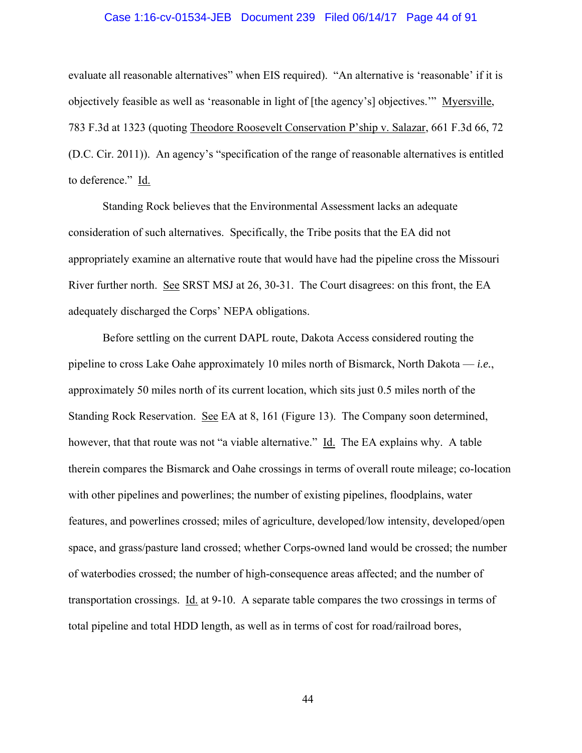## Case 1:16-cv-01534-JEB Document 239 Filed 06/14/17 Page 44 of 91

evaluate all reasonable alternatives" when EIS required). "An alternative is 'reasonable' if it is objectively feasible as well as 'reasonable in light of [the agency's] objectives.'" Myersville, 783 F.3d at 1323 (quoting Theodore Roosevelt Conservation P'ship v. Salazar, 661 F.3d 66, 72 (D.C. Cir. 2011)). An agency's "specification of the range of reasonable alternatives is entitled to deference." Id.

Standing Rock believes that the Environmental Assessment lacks an adequate consideration of such alternatives. Specifically, the Tribe posits that the EA did not appropriately examine an alternative route that would have had the pipeline cross the Missouri River further north. See SRST MSJ at 26, 30-31. The Court disagrees: on this front, the EA adequately discharged the Corps' NEPA obligations.

Before settling on the current DAPL route, Dakota Access considered routing the pipeline to cross Lake Oahe approximately 10 miles north of Bismarck, North Dakota — *i.e.*, approximately 50 miles north of its current location, which sits just 0.5 miles north of the Standing Rock Reservation. See EA at 8, 161 (Figure 13). The Company soon determined, however, that that route was not "a viable alternative." Id. The EA explains why. A table therein compares the Bismarck and Oahe crossings in terms of overall route mileage; co-location with other pipelines and powerlines; the number of existing pipelines, floodplains, water features, and powerlines crossed; miles of agriculture, developed/low intensity, developed/open space, and grass/pasture land crossed; whether Corps-owned land would be crossed; the number of waterbodies crossed; the number of high-consequence areas affected; and the number of transportation crossings. Id. at 9-10. A separate table compares the two crossings in terms of total pipeline and total HDD length, as well as in terms of cost for road/railroad bores,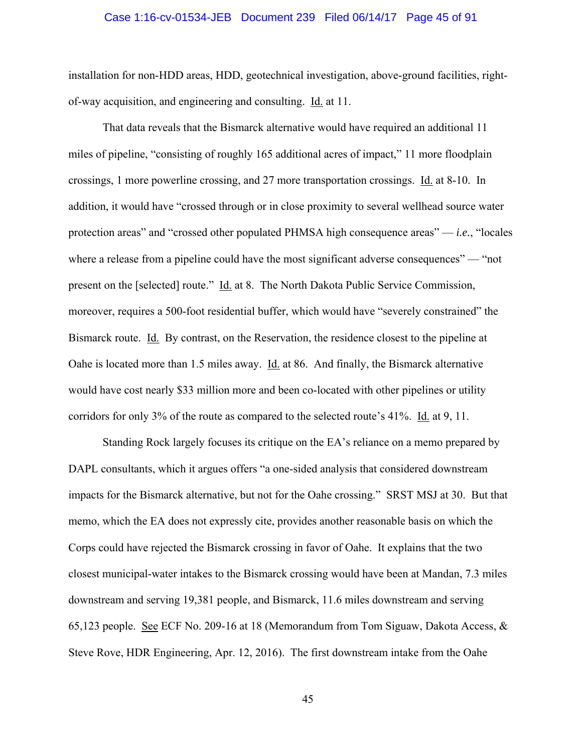#### Case 1:16-cv-01534-JEB Document 239 Filed 06/14/17 Page 45 of 91

installation for non-HDD areas, HDD, geotechnical investigation, above-ground facilities, rightof-way acquisition, and engineering and consulting. Id. at 11.

That data reveals that the Bismarck alternative would have required an additional 11 miles of pipeline, "consisting of roughly 165 additional acres of impact," 11 more floodplain crossings, 1 more powerline crossing, and 27 more transportation crossings. Id. at 8-10. In addition, it would have "crossed through or in close proximity to several wellhead source water protection areas" and "crossed other populated PHMSA high consequence areas" — *i.e.*, "locales where a release from a pipeline could have the most significant adverse consequences" — "not" present on the [selected] route." Id. at 8. The North Dakota Public Service Commission, moreover, requires a 500-foot residential buffer, which would have "severely constrained" the Bismarck route. Id. By contrast, on the Reservation, the residence closest to the pipeline at Oahe is located more than 1.5 miles away. Id. at 86. And finally, the Bismarck alternative would have cost nearly \$33 million more and been co-located with other pipelines or utility corridors for only 3% of the route as compared to the selected route's 41%. Id. at 9, 11.

Standing Rock largely focuses its critique on the EA's reliance on a memo prepared by DAPL consultants, which it argues offers "a one-sided analysis that considered downstream impacts for the Bismarck alternative, but not for the Oahe crossing." SRST MSJ at 30. But that memo, which the EA does not expressly cite, provides another reasonable basis on which the Corps could have rejected the Bismarck crossing in favor of Oahe. It explains that the two closest municipal-water intakes to the Bismarck crossing would have been at Mandan, 7.3 miles downstream and serving 19,381 people, and Bismarck, 11.6 miles downstream and serving 65,123 people. See ECF No. 209-16 at 18 (Memorandum from Tom Siguaw, Dakota Access, & Steve Rove, HDR Engineering, Apr. 12, 2016). The first downstream intake from the Oahe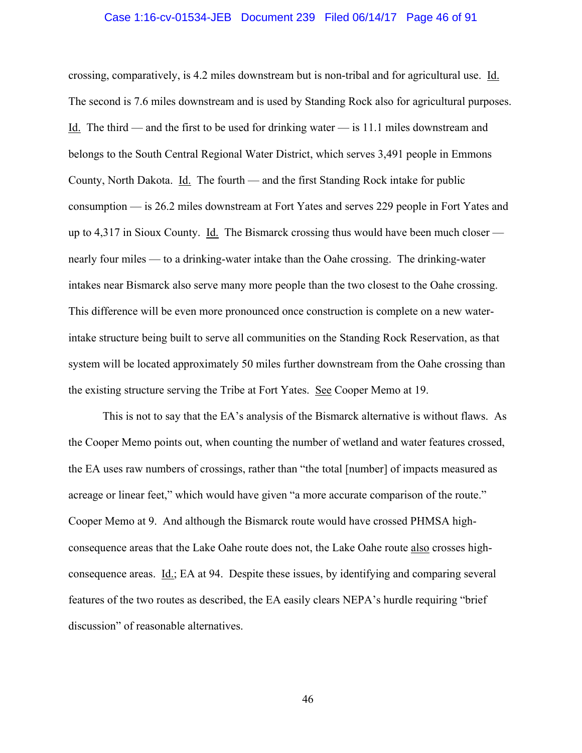#### Case 1:16-cv-01534-JEB Document 239 Filed 06/14/17 Page 46 of 91

crossing, comparatively, is 4.2 miles downstream but is non-tribal and for agricultural use. Id. The second is 7.6 miles downstream and is used by Standing Rock also for agricultural purposes. Id. The third — and the first to be used for drinking water — is 11.1 miles downstream and belongs to the South Central Regional Water District, which serves 3,491 people in Emmons County, North Dakota. Id. The fourth — and the first Standing Rock intake for public consumption — is 26.2 miles downstream at Fort Yates and serves 229 people in Fort Yates and up to 4,317 in Sioux County. Id. The Bismarck crossing thus would have been much closer nearly four miles — to a drinking-water intake than the Oahe crossing. The drinking-water intakes near Bismarck also serve many more people than the two closest to the Oahe crossing. This difference will be even more pronounced once construction is complete on a new waterintake structure being built to serve all communities on the Standing Rock Reservation, as that system will be located approximately 50 miles further downstream from the Oahe crossing than the existing structure serving the Tribe at Fort Yates. See Cooper Memo at 19.

This is not to say that the EA's analysis of the Bismarck alternative is without flaws. As the Cooper Memo points out, when counting the number of wetland and water features crossed, the EA uses raw numbers of crossings, rather than "the total [number] of impacts measured as acreage or linear feet," which would have given "a more accurate comparison of the route." Cooper Memo at 9. And although the Bismarck route would have crossed PHMSA highconsequence areas that the Lake Oahe route does not, the Lake Oahe route also crosses highconsequence areas. Id.; EA at 94. Despite these issues, by identifying and comparing several features of the two routes as described, the EA easily clears NEPA's hurdle requiring "brief discussion" of reasonable alternatives.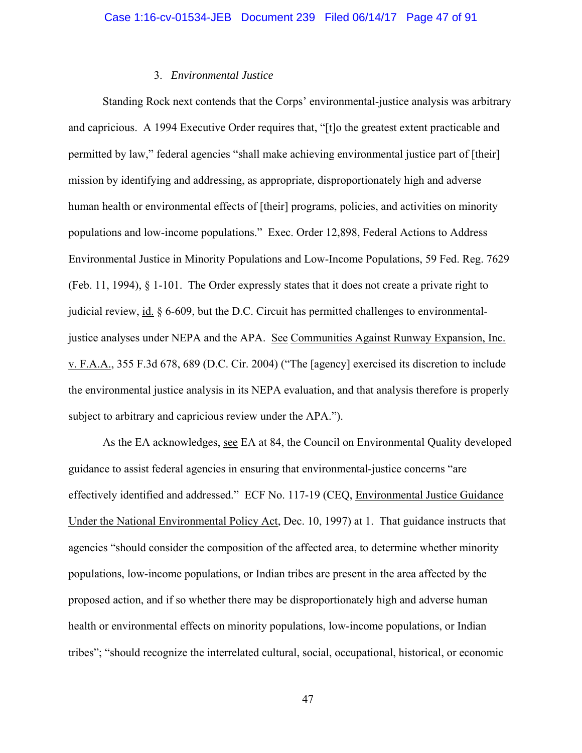# 3. *Environmental Justice*

Standing Rock next contends that the Corps' environmental-justice analysis was arbitrary and capricious. A 1994 Executive Order requires that, "[t]o the greatest extent practicable and permitted by law," federal agencies "shall make achieving environmental justice part of [their] mission by identifying and addressing, as appropriate, disproportionately high and adverse human health or environmental effects of [their] programs, policies, and activities on minority populations and low-income populations." Exec. Order 12,898, Federal Actions to Address Environmental Justice in Minority Populations and Low-Income Populations, 59 Fed. Reg. 7629 (Feb. 11, 1994), § 1-101. The Order expressly states that it does not create a private right to judicial review, id. § 6-609, but the D.C. Circuit has permitted challenges to environmentaljustice analyses under NEPA and the APA. See Communities Against Runway Expansion, Inc. v. F.A.A., 355 F.3d 678, 689 (D.C. Cir. 2004) ("The [agency] exercised its discretion to include the environmental justice analysis in its NEPA evaluation, and that analysis therefore is properly subject to arbitrary and capricious review under the APA.").

As the EA acknowledges, see EA at 84, the Council on Environmental Quality developed guidance to assist federal agencies in ensuring that environmental-justice concerns "are effectively identified and addressed." ECF No. 117-19 (CEQ, Environmental Justice Guidance Under the National Environmental Policy Act, Dec. 10, 1997) at 1. That guidance instructs that agencies "should consider the composition of the affected area, to determine whether minority populations, low-income populations, or Indian tribes are present in the area affected by the proposed action, and if so whether there may be disproportionately high and adverse human health or environmental effects on minority populations, low-income populations, or Indian tribes"; "should recognize the interrelated cultural, social, occupational, historical, or economic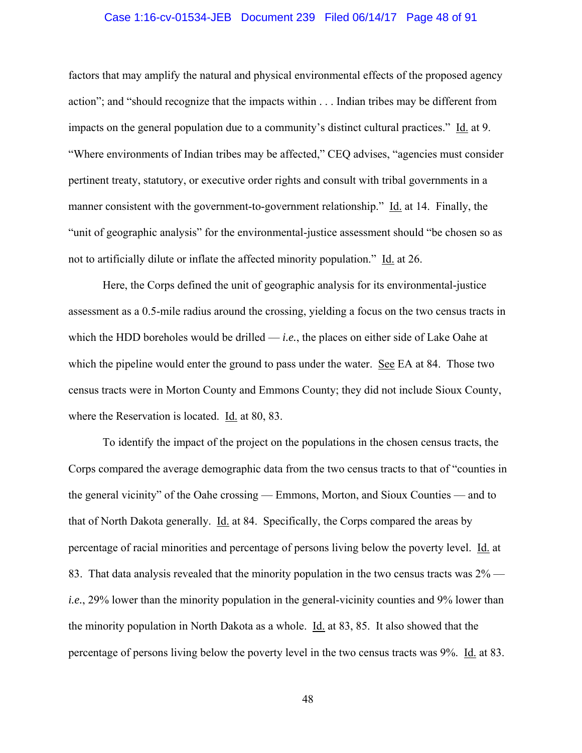## Case 1:16-cv-01534-JEB Document 239 Filed 06/14/17 Page 48 of 91

factors that may amplify the natural and physical environmental effects of the proposed agency action"; and "should recognize that the impacts within . . . Indian tribes may be different from impacts on the general population due to a community's distinct cultural practices." Id. at 9. "Where environments of Indian tribes may be affected," CEQ advises, "agencies must consider pertinent treaty, statutory, or executive order rights and consult with tribal governments in a manner consistent with the government-to-government relationship." Id. at 14. Finally, the "unit of geographic analysis" for the environmental-justice assessment should "be chosen so as not to artificially dilute or inflate the affected minority population." Id. at 26.

Here, the Corps defined the unit of geographic analysis for its environmental-justice assessment as a 0.5-mile radius around the crossing, yielding a focus on the two census tracts in which the HDD boreholes would be drilled — *i.e.*, the places on either side of Lake Oahe at which the pipeline would enter the ground to pass under the water. See EA at 84. Those two census tracts were in Morton County and Emmons County; they did not include Sioux County, where the Reservation is located. Id. at 80, 83.

To identify the impact of the project on the populations in the chosen census tracts, the Corps compared the average demographic data from the two census tracts to that of "counties in the general vicinity" of the Oahe crossing — Emmons, Morton, and Sioux Counties — and to that of North Dakota generally. Id. at 84. Specifically, the Corps compared the areas by percentage of racial minorities and percentage of persons living below the poverty level. Id. at 83. That data analysis revealed that the minority population in the two census tracts was 2% *i.e.*, 29% lower than the minority population in the general-vicinity counties and 9% lower than the minority population in North Dakota as a whole. Id. at 83, 85. It also showed that the percentage of persons living below the poverty level in the two census tracts was 9%. Id. at 83.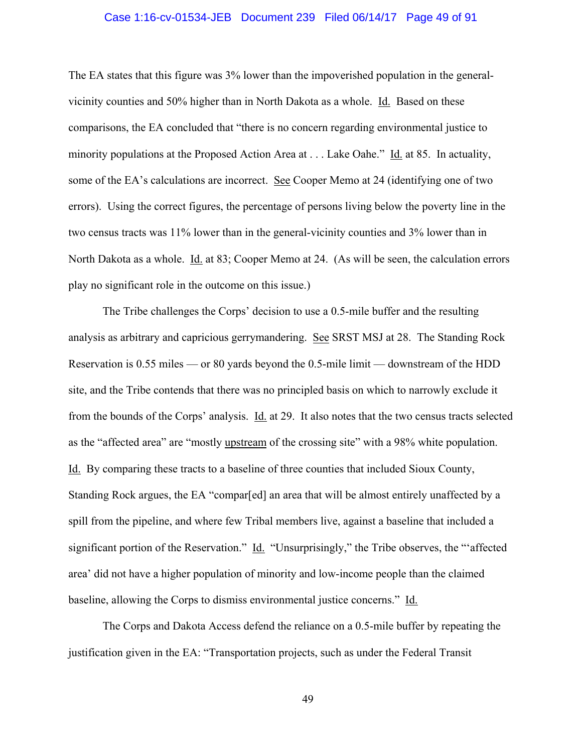## Case 1:16-cv-01534-JEB Document 239 Filed 06/14/17 Page 49 of 91

The EA states that this figure was 3% lower than the impoverished population in the generalvicinity counties and 50% higher than in North Dakota as a whole. Id. Based on these comparisons, the EA concluded that "there is no concern regarding environmental justice to minority populations at the Proposed Action Area at . . . Lake Oahe." Id. at 85. In actuality, some of the EA's calculations are incorrect. See Cooper Memo at 24 (identifying one of two errors). Using the correct figures, the percentage of persons living below the poverty line in the two census tracts was 11% lower than in the general-vicinity counties and 3% lower than in North Dakota as a whole. Id. at 83; Cooper Memo at 24. (As will be seen, the calculation errors play no significant role in the outcome on this issue.)

The Tribe challenges the Corps' decision to use a 0.5-mile buffer and the resulting analysis as arbitrary and capricious gerrymandering. See SRST MSJ at 28. The Standing Rock Reservation is 0.55 miles — or 80 yards beyond the 0.5-mile limit — downstream of the HDD site, and the Tribe contends that there was no principled basis on which to narrowly exclude it from the bounds of the Corps' analysis. Id. at 29. It also notes that the two census tracts selected as the "affected area" are "mostly upstream of the crossing site" with a 98% white population. Id. By comparing these tracts to a baseline of three counties that included Sioux County, Standing Rock argues, the EA "compar[ed] an area that will be almost entirely unaffected by a spill from the pipeline, and where few Tribal members live, against a baseline that included a significant portion of the Reservation." Id. "Unsurprisingly," the Tribe observes, the "'affected area' did not have a higher population of minority and low-income people than the claimed baseline, allowing the Corps to dismiss environmental justice concerns." Id.

The Corps and Dakota Access defend the reliance on a 0.5-mile buffer by repeating the justification given in the EA: "Transportation projects, such as under the Federal Transit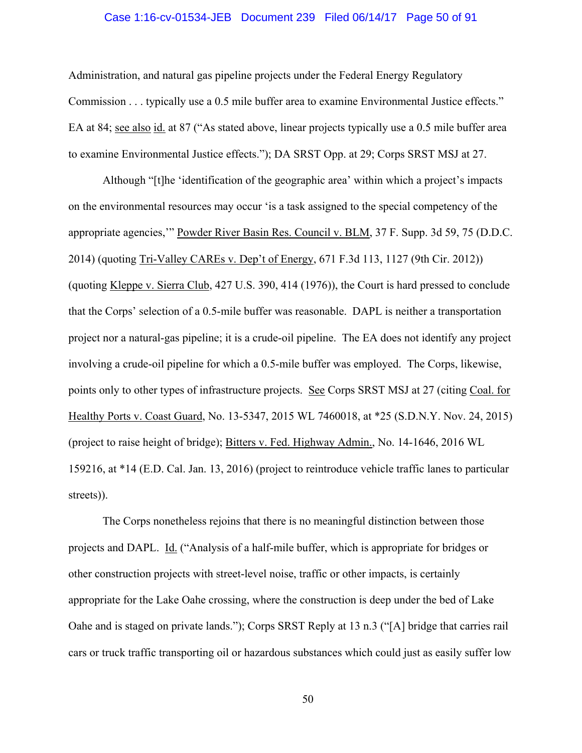## Case 1:16-cv-01534-JEB Document 239 Filed 06/14/17 Page 50 of 91

Administration, and natural gas pipeline projects under the Federal Energy Regulatory Commission . . . typically use a 0.5 mile buffer area to examine Environmental Justice effects." EA at 84; see also id. at 87 ("As stated above, linear projects typically use a 0.5 mile buffer area to examine Environmental Justice effects."); DA SRST Opp. at 29; Corps SRST MSJ at 27.

Although "[t]he 'identification of the geographic area' within which a project's impacts on the environmental resources may occur 'is a task assigned to the special competency of the appropriate agencies,'" Powder River Basin Res. Council v. BLM, 37 F. Supp. 3d 59, 75 (D.D.C. 2014) (quoting Tri-Valley CAREs v. Dep't of Energy, 671 F.3d 113, 1127 (9th Cir. 2012)) (quoting Kleppe v. Sierra Club, 427 U.S. 390, 414 (1976)), the Court is hard pressed to conclude that the Corps' selection of a 0.5-mile buffer was reasonable. DAPL is neither a transportation project nor a natural-gas pipeline; it is a crude-oil pipeline. The EA does not identify any project involving a crude-oil pipeline for which a 0.5-mile buffer was employed. The Corps, likewise, points only to other types of infrastructure projects. See Corps SRST MSJ at 27 (citing Coal. for Healthy Ports v. Coast Guard, No. 13-5347, 2015 WL 7460018, at \*25 (S.D.N.Y. Nov. 24, 2015) (project to raise height of bridge); Bitters v. Fed. Highway Admin., No. 14-1646, 2016 WL 159216, at \*14 (E.D. Cal. Jan. 13, 2016) (project to reintroduce vehicle traffic lanes to particular streets)).

The Corps nonetheless rejoins that there is no meaningful distinction between those projects and DAPL. Id. ("Analysis of a half-mile buffer, which is appropriate for bridges or other construction projects with street-level noise, traffic or other impacts, is certainly appropriate for the Lake Oahe crossing, where the construction is deep under the bed of Lake Oahe and is staged on private lands."); Corps SRST Reply at 13 n.3 ("[A] bridge that carries rail cars or truck traffic transporting oil or hazardous substances which could just as easily suffer low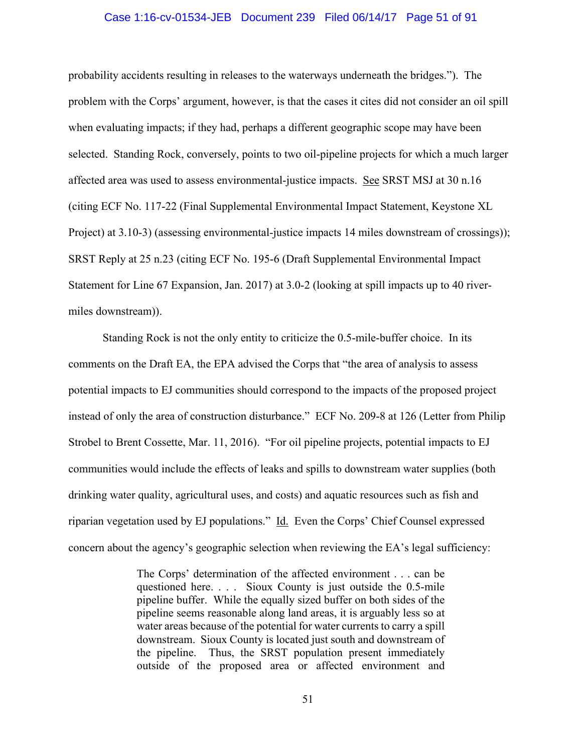## Case 1:16-cv-01534-JEB Document 239 Filed 06/14/17 Page 51 of 91

probability accidents resulting in releases to the waterways underneath the bridges."). The problem with the Corps' argument, however, is that the cases it cites did not consider an oil spill when evaluating impacts; if they had, perhaps a different geographic scope may have been selected. Standing Rock, conversely, points to two oil-pipeline projects for which a much larger affected area was used to assess environmental-justice impacts. See SRST MSJ at 30 n.16 (citing ECF No. 117-22 (Final Supplemental Environmental Impact Statement, Keystone XL Project) at 3.10-3) (assessing environmental-justice impacts 14 miles downstream of crossings)); SRST Reply at 25 n.23 (citing ECF No. 195-6 (Draft Supplemental Environmental Impact Statement for Line 67 Expansion, Jan. 2017) at 3.0-2 (looking at spill impacts up to 40 rivermiles downstream)).

Standing Rock is not the only entity to criticize the 0.5-mile-buffer choice. In its comments on the Draft EA, the EPA advised the Corps that "the area of analysis to assess potential impacts to EJ communities should correspond to the impacts of the proposed project instead of only the area of construction disturbance." ECF No. 209-8 at 126 (Letter from Philip Strobel to Brent Cossette, Mar. 11, 2016). "For oil pipeline projects, potential impacts to EJ communities would include the effects of leaks and spills to downstream water supplies (both drinking water quality, agricultural uses, and costs) and aquatic resources such as fish and riparian vegetation used by EJ populations." Id. Even the Corps' Chief Counsel expressed concern about the agency's geographic selection when reviewing the EA's legal sufficiency:

> The Corps' determination of the affected environment . . . can be questioned here. . . . Sioux County is just outside the 0.5-mile pipeline buffer. While the equally sized buffer on both sides of the pipeline seems reasonable along land areas, it is arguably less so at water areas because of the potential for water currents to carry a spill downstream. Sioux County is located just south and downstream of the pipeline. Thus, the SRST population present immediately outside of the proposed area or affected environment and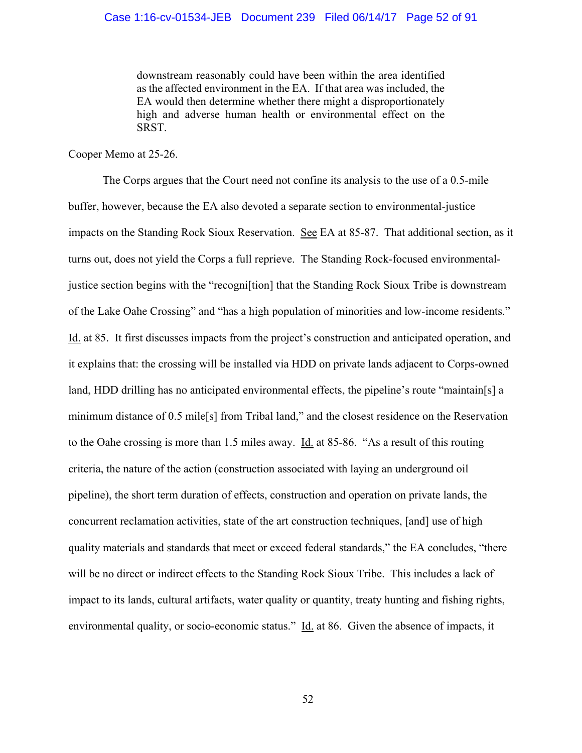downstream reasonably could have been within the area identified as the affected environment in the EA. If that area was included, the EA would then determine whether there might a disproportionately high and adverse human health or environmental effect on the SRST.

Cooper Memo at 25-26.

 The Corps argues that the Court need not confine its analysis to the use of a 0.5-mile buffer, however, because the EA also devoted a separate section to environmental-justice impacts on the Standing Rock Sioux Reservation. See EA at 85-87. That additional section, as it turns out, does not yield the Corps a full reprieve. The Standing Rock-focused environmentaljustice section begins with the "recogni[tion] that the Standing Rock Sioux Tribe is downstream of the Lake Oahe Crossing" and "has a high population of minorities and low-income residents." Id. at 85. It first discusses impacts from the project's construction and anticipated operation, and it explains that: the crossing will be installed via HDD on private lands adjacent to Corps-owned land, HDD drilling has no anticipated environmental effects, the pipeline's route "maintain[s] a minimum distance of 0.5 mile[s] from Tribal land," and the closest residence on the Reservation to the Oahe crossing is more than 1.5 miles away. Id. at 85-86. "As a result of this routing criteria, the nature of the action (construction associated with laying an underground oil pipeline), the short term duration of effects, construction and operation on private lands, the concurrent reclamation activities, state of the art construction techniques, [and] use of high quality materials and standards that meet or exceed federal standards," the EA concludes, "there will be no direct or indirect effects to the Standing Rock Sioux Tribe. This includes a lack of impact to its lands, cultural artifacts, water quality or quantity, treaty hunting and fishing rights, environmental quality, or socio-economic status." Id. at 86. Given the absence of impacts, it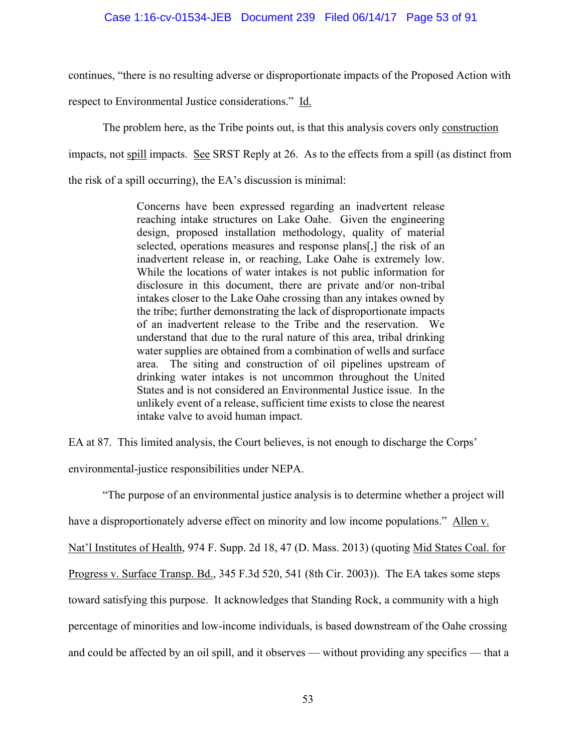continues, "there is no resulting adverse or disproportionate impacts of the Proposed Action with

respect to Environmental Justice considerations." Id.

The problem here, as the Tribe points out, is that this analysis covers only construction

impacts, not spill impacts. See SRST Reply at 26. As to the effects from a spill (as distinct from

the risk of a spill occurring), the EA's discussion is minimal:

Concerns have been expressed regarding an inadvertent release reaching intake structures on Lake Oahe. Given the engineering design, proposed installation methodology, quality of material selected, operations measures and response plans[,] the risk of an inadvertent release in, or reaching, Lake Oahe is extremely low. While the locations of water intakes is not public information for disclosure in this document, there are private and/or non-tribal intakes closer to the Lake Oahe crossing than any intakes owned by the tribe; further demonstrating the lack of disproportionate impacts of an inadvertent release to the Tribe and the reservation. We understand that due to the rural nature of this area, tribal drinking water supplies are obtained from a combination of wells and surface area. The siting and construction of oil pipelines upstream of drinking water intakes is not uncommon throughout the United States and is not considered an Environmental Justice issue. In the unlikely event of a release, sufficient time exists to close the nearest intake valve to avoid human impact.

EA at 87. This limited analysis, the Court believes, is not enough to discharge the Corps'

environmental-justice responsibilities under NEPA.

"The purpose of an environmental justice analysis is to determine whether a project will have a disproportionately adverse effect on minority and low income populations." Allen v. Nat'l Institutes of Health, 974 F. Supp. 2d 18, 47 (D. Mass. 2013) (quoting Mid States Coal. for Progress v. Surface Transp. Bd., 345 F.3d 520, 541 (8th Cir. 2003)). The EA takes some steps toward satisfying this purpose. It acknowledges that Standing Rock, a community with a high percentage of minorities and low-income individuals, is based downstream of the Oahe crossing and could be affected by an oil spill, and it observes — without providing any specifics — that a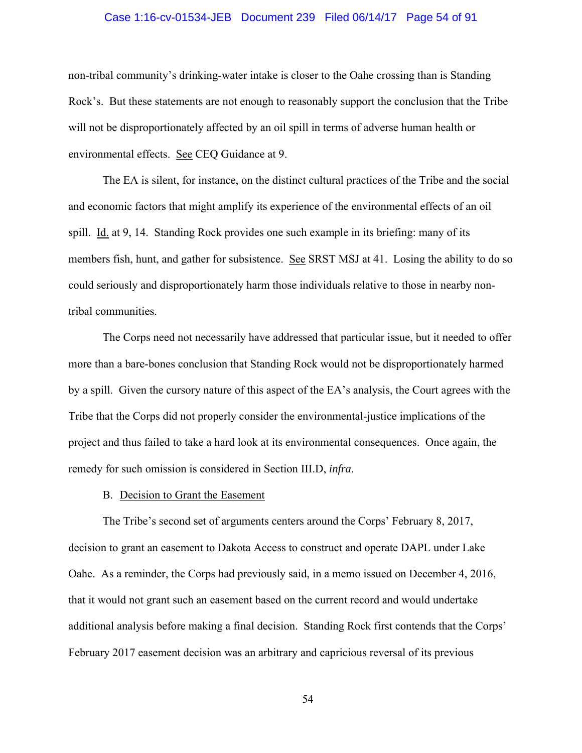## Case 1:16-cv-01534-JEB Document 239 Filed 06/14/17 Page 54 of 91

non-tribal community's drinking-water intake is closer to the Oahe crossing than is Standing Rock's. But these statements are not enough to reasonably support the conclusion that the Tribe will not be disproportionately affected by an oil spill in terms of adverse human health or environmental effects. See CEQ Guidance at 9.

The EA is silent, for instance, on the distinct cultural practices of the Tribe and the social and economic factors that might amplify its experience of the environmental effects of an oil spill. Id. at 9, 14. Standing Rock provides one such example in its briefing: many of its members fish, hunt, and gather for subsistence. See SRST MSJ at 41. Losing the ability to do so could seriously and disproportionately harm those individuals relative to those in nearby nontribal communities.

The Corps need not necessarily have addressed that particular issue, but it needed to offer more than a bare-bones conclusion that Standing Rock would not be disproportionately harmed by a spill. Given the cursory nature of this aspect of the EA's analysis, the Court agrees with the Tribe that the Corps did not properly consider the environmental-justice implications of the project and thus failed to take a hard look at its environmental consequences. Once again, the remedy for such omission is considered in Section III.D, *infra*.

#### B. Decision to Grant the Easement

The Tribe's second set of arguments centers around the Corps' February 8, 2017, decision to grant an easement to Dakota Access to construct and operate DAPL under Lake Oahe. As a reminder, the Corps had previously said, in a memo issued on December 4, 2016, that it would not grant such an easement based on the current record and would undertake additional analysis before making a final decision. Standing Rock first contends that the Corps' February 2017 easement decision was an arbitrary and capricious reversal of its previous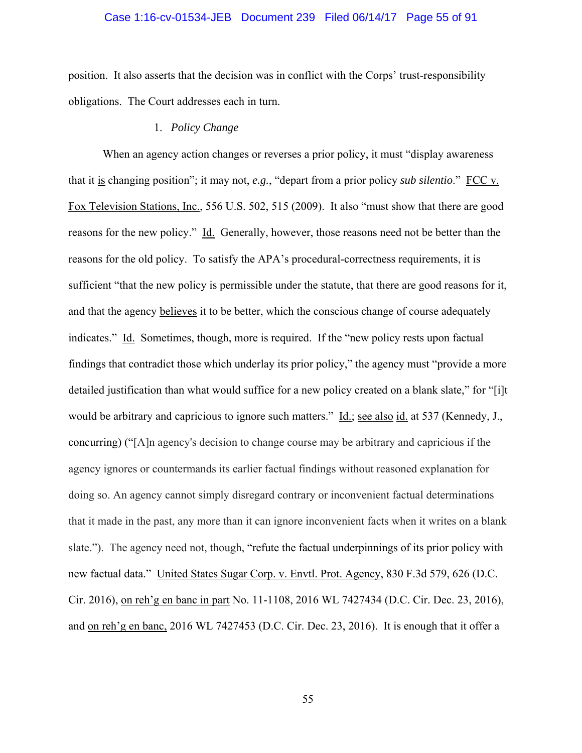## Case 1:16-cv-01534-JEB Document 239 Filed 06/14/17 Page 55 of 91

position. It also asserts that the decision was in conflict with the Corps' trust-responsibility obligations. The Court addresses each in turn.

# 1. *Policy Change*

When an agency action changes or reverses a prior policy, it must "display awareness that it is changing position"; it may not, *e.g.*, "depart from a prior policy *sub silentio.*" FCC v. Fox Television Stations, Inc., 556 U.S. 502, 515 (2009). It also "must show that there are good reasons for the new policy." Id. Generally, however, those reasons need not be better than the reasons for the old policy. To satisfy the APA's procedural-correctness requirements, it is sufficient "that the new policy is permissible under the statute, that there are good reasons for it, and that the agency believes it to be better, which the conscious change of course adequately indicates." Id. Sometimes, though, more is required. If the "new policy rests upon factual findings that contradict those which underlay its prior policy," the agency must "provide a more detailed justification than what would suffice for a new policy created on a blank slate," for "[i]t would be arbitrary and capricious to ignore such matters." Id.; see also id. at 537 (Kennedy, J., concurring) ("[A]n agency's decision to change course may be arbitrary and capricious if the agency ignores or countermands its earlier factual findings without reasoned explanation for doing so. An agency cannot simply disregard contrary or inconvenient factual determinations that it made in the past, any more than it can ignore inconvenient facts when it writes on a blank slate."). The agency need not, though, "refute the factual underpinnings of its prior policy with new factual data." United States Sugar Corp. v. Envtl. Prot. Agency, 830 F.3d 579, 626 (D.C. Cir. 2016), on reh'g en banc in part No. 11-1108, 2016 WL 7427434 (D.C. Cir. Dec. 23, 2016), and on reh'g en banc, 2016 WL 7427453 (D.C. Cir. Dec. 23, 2016). It is enough that it offer a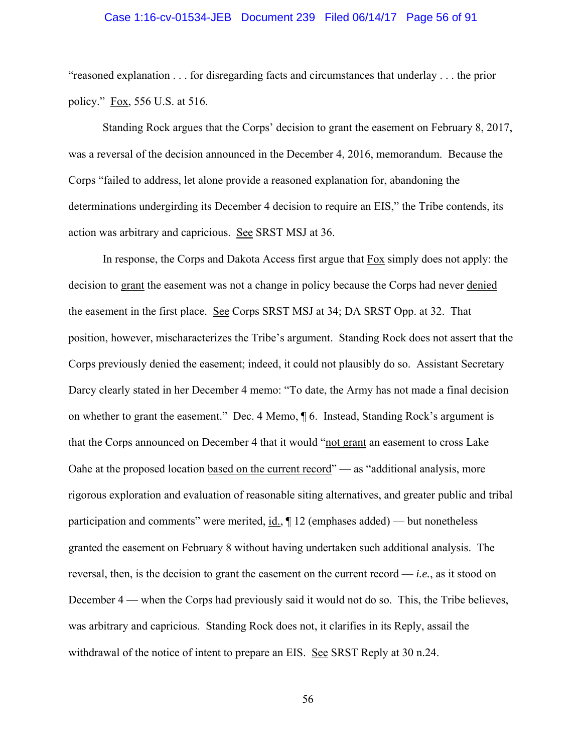## Case 1:16-cv-01534-JEB Document 239 Filed 06/14/17 Page 56 of 91

"reasoned explanation . . . for disregarding facts and circumstances that underlay . . . the prior policy." Fox, 556 U.S. at 516.

Standing Rock argues that the Corps' decision to grant the easement on February 8, 2017, was a reversal of the decision announced in the December 4, 2016, memorandum. Because the Corps "failed to address, let alone provide a reasoned explanation for, abandoning the determinations undergirding its December 4 decision to require an EIS," the Tribe contends, its action was arbitrary and capricious. See SRST MSJ at 36.

In response, the Corps and Dakota Access first argue that Fox simply does not apply: the decision to grant the easement was not a change in policy because the Corps had never denied the easement in the first place. See Corps SRST MSJ at 34; DA SRST Opp. at 32. That position, however, mischaracterizes the Tribe's argument. Standing Rock does not assert that the Corps previously denied the easement; indeed, it could not plausibly do so. Assistant Secretary Darcy clearly stated in her December 4 memo: "To date, the Army has not made a final decision on whether to grant the easement." Dec. 4 Memo, ¶ 6. Instead, Standing Rock's argument is that the Corps announced on December 4 that it would "not grant an easement to cross Lake Oahe at the proposed location based on the current record" — as "additional analysis, more rigorous exploration and evaluation of reasonable siting alternatives, and greater public and tribal participation and comments" were merited, id., ¶ 12 (emphases added) — but nonetheless granted the easement on February 8 without having undertaken such additional analysis. The reversal, then, is the decision to grant the easement on the current record — *i.e.*, as it stood on December 4 — when the Corps had previously said it would not do so. This, the Tribe believes, was arbitrary and capricious. Standing Rock does not, it clarifies in its Reply, assail the withdrawal of the notice of intent to prepare an EIS. See SRST Reply at 30 n.24.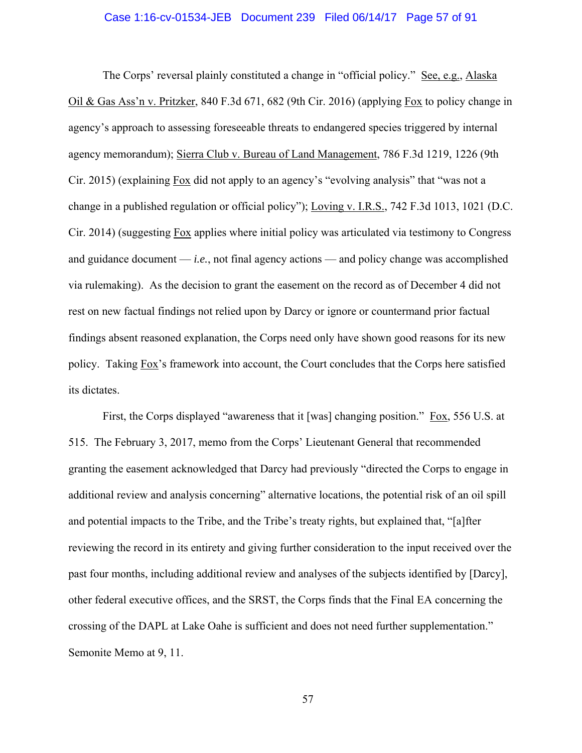#### Case 1:16-cv-01534-JEB Document 239 Filed 06/14/17 Page 57 of 91

The Corps' reversal plainly constituted a change in "official policy." See, e.g., Alaska Oil & Gas Ass'n v. Pritzker, 840 F.3d 671, 682 (9th Cir. 2016) (applying Fox to policy change in agency's approach to assessing foreseeable threats to endangered species triggered by internal agency memorandum); Sierra Club v. Bureau of Land Management, 786 F.3d 1219, 1226 (9th Cir. 2015) (explaining Fox did not apply to an agency's "evolving analysis" that "was not a change in a published regulation or official policy"); Loving v. I.R.S., 742 F.3d 1013, 1021 (D.C. Cir. 2014) (suggesting Fox applies where initial policy was articulated via testimony to Congress and guidance document — *i.e.*, not final agency actions — and policy change was accomplished via rulemaking). As the decision to grant the easement on the record as of December 4 did not rest on new factual findings not relied upon by Darcy or ignore or countermand prior factual findings absent reasoned explanation, the Corps need only have shown good reasons for its new policy. Taking Fox's framework into account, the Court concludes that the Corps here satisfied its dictates.

First, the Corps displayed "awareness that it [was] changing position." Fox, 556 U.S. at 515. The February 3, 2017, memo from the Corps' Lieutenant General that recommended granting the easement acknowledged that Darcy had previously "directed the Corps to engage in additional review and analysis concerning" alternative locations, the potential risk of an oil spill and potential impacts to the Tribe, and the Tribe's treaty rights, but explained that, "[a]fter reviewing the record in its entirety and giving further consideration to the input received over the past four months, including additional review and analyses of the subjects identified by [Darcy], other federal executive offices, and the SRST, the Corps finds that the Final EA concerning the crossing of the DAPL at Lake Oahe is sufficient and does not need further supplementation." Semonite Memo at 9, 11.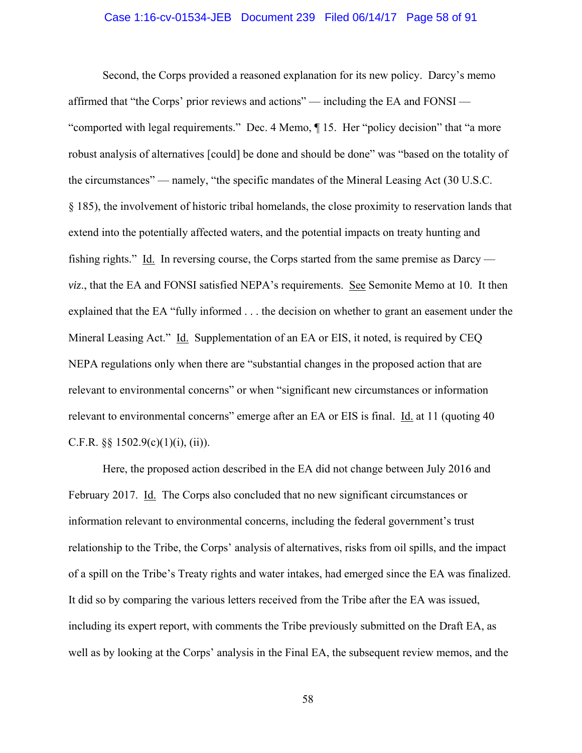## Case 1:16-cv-01534-JEB Document 239 Filed 06/14/17 Page 58 of 91

Second, the Corps provided a reasoned explanation for its new policy. Darcy's memo affirmed that "the Corps' prior reviews and actions" — including the EA and FONSI — "comported with legal requirements." Dec. 4 Memo, ¶ 15. Her "policy decision" that "a more robust analysis of alternatives [could] be done and should be done" was "based on the totality of the circumstances" — namely, "the specific mandates of the Mineral Leasing Act (30 U.S.C. § 185), the involvement of historic tribal homelands, the close proximity to reservation lands that extend into the potentially affected waters, and the potential impacts on treaty hunting and fishing rights." Id. In reversing course, the Corps started from the same premise as Darcy *viz*., that the EA and FONSI satisfied NEPA's requirements. See Semonite Memo at 10. It then explained that the EA "fully informed . . . the decision on whether to grant an easement under the Mineral Leasing Act." Id. Supplementation of an EA or EIS, it noted, is required by CEQ NEPA regulations only when there are "substantial changes in the proposed action that are relevant to environmental concerns" or when "significant new circumstances or information relevant to environmental concerns" emerge after an EA or EIS is final. Id. at 11 (quoting 40) C.F.R.  $\S$  $\S$  1502.9(c)(1)(i), (ii)).

Here, the proposed action described in the EA did not change between July 2016 and February 2017. Id. The Corps also concluded that no new significant circumstances or information relevant to environmental concerns, including the federal government's trust relationship to the Tribe, the Corps' analysis of alternatives, risks from oil spills, and the impact of a spill on the Tribe's Treaty rights and water intakes, had emerged since the EA was finalized. It did so by comparing the various letters received from the Tribe after the EA was issued, including its expert report, with comments the Tribe previously submitted on the Draft EA, as well as by looking at the Corps' analysis in the Final EA, the subsequent review memos, and the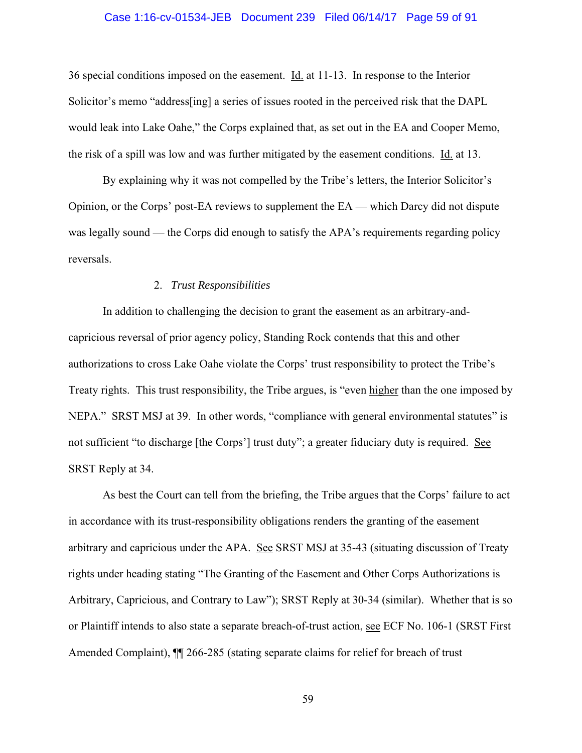## Case 1:16-cv-01534-JEB Document 239 Filed 06/14/17 Page 59 of 91

36 special conditions imposed on the easement. Id. at 11-13. In response to the Interior Solicitor's memo "address[ing] a series of issues rooted in the perceived risk that the DAPL would leak into Lake Oahe," the Corps explained that, as set out in the EA and Cooper Memo, the risk of a spill was low and was further mitigated by the easement conditions. Id. at 13.

By explaining why it was not compelled by the Tribe's letters, the Interior Solicitor's Opinion, or the Corps' post-EA reviews to supplement the EA — which Darcy did not dispute was legally sound — the Corps did enough to satisfy the APA's requirements regarding policy reversals.

## 2. *Trust Responsibilities*

In addition to challenging the decision to grant the easement as an arbitrary-andcapricious reversal of prior agency policy, Standing Rock contends that this and other authorizations to cross Lake Oahe violate the Corps' trust responsibility to protect the Tribe's Treaty rights. This trust responsibility, the Tribe argues, is "even higher than the one imposed by NEPA." SRST MSJ at 39. In other words, "compliance with general environmental statutes" is not sufficient "to discharge [the Corps'] trust duty"; a greater fiduciary duty is required. See SRST Reply at 34.

As best the Court can tell from the briefing, the Tribe argues that the Corps' failure to act in accordance with its trust-responsibility obligations renders the granting of the easement arbitrary and capricious under the APA. See SRST MSJ at 35-43 (situating discussion of Treaty rights under heading stating "The Granting of the Easement and Other Corps Authorizations is Arbitrary, Capricious, and Contrary to Law"); SRST Reply at 30-34 (similar). Whether that is so or Plaintiff intends to also state a separate breach-of-trust action, see ECF No. 106-1 (SRST First Amended Complaint),  $\P$  266-285 (stating separate claims for relief for breach of trust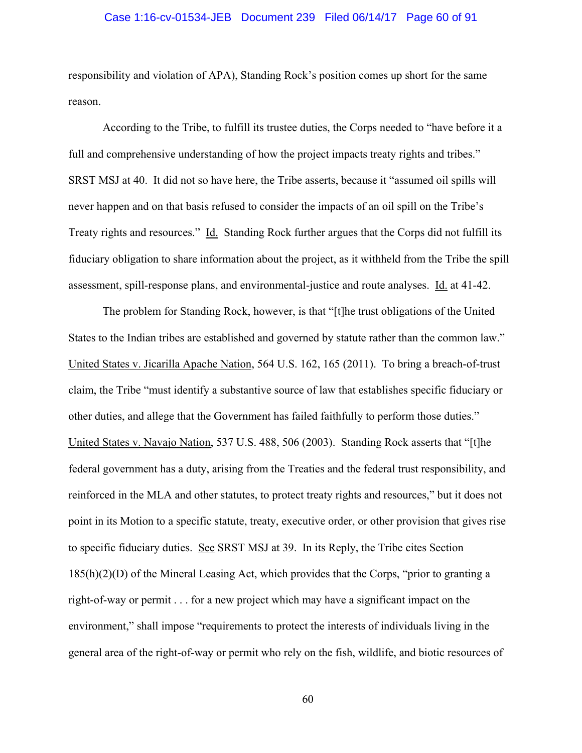## Case 1:16-cv-01534-JEB Document 239 Filed 06/14/17 Page 60 of 91

responsibility and violation of APA), Standing Rock's position comes up short for the same reason.

According to the Tribe, to fulfill its trustee duties, the Corps needed to "have before it a full and comprehensive understanding of how the project impacts treaty rights and tribes." SRST MSJ at 40. It did not so have here, the Tribe asserts, because it "assumed oil spills will never happen and on that basis refused to consider the impacts of an oil spill on the Tribe's Treaty rights and resources." Id. Standing Rock further argues that the Corps did not fulfill its fiduciary obligation to share information about the project, as it withheld from the Tribe the spill assessment, spill-response plans, and environmental-justice and route analyses. Id. at 41-42.

The problem for Standing Rock, however, is that "[t]he trust obligations of the United States to the Indian tribes are established and governed by statute rather than the common law." United States v. Jicarilla Apache Nation, 564 U.S. 162, 165 (2011). To bring a breach-of-trust claim, the Tribe "must identify a substantive source of law that establishes specific fiduciary or other duties, and allege that the Government has failed faithfully to perform those duties." United States v. Navajo Nation, 537 U.S. 488, 506 (2003). Standing Rock asserts that "[t]he federal government has a duty, arising from the Treaties and the federal trust responsibility, and reinforced in the MLA and other statutes, to protect treaty rights and resources," but it does not point in its Motion to a specific statute, treaty, executive order, or other provision that gives rise to specific fiduciary duties. See SRST MSJ at 39. In its Reply, the Tribe cites Section  $185(h)(2)(D)$  of the Mineral Leasing Act, which provides that the Corps, "prior to granting a right-of-way or permit . . . for a new project which may have a significant impact on the environment," shall impose "requirements to protect the interests of individuals living in the general area of the right-of-way or permit who rely on the fish, wildlife, and biotic resources of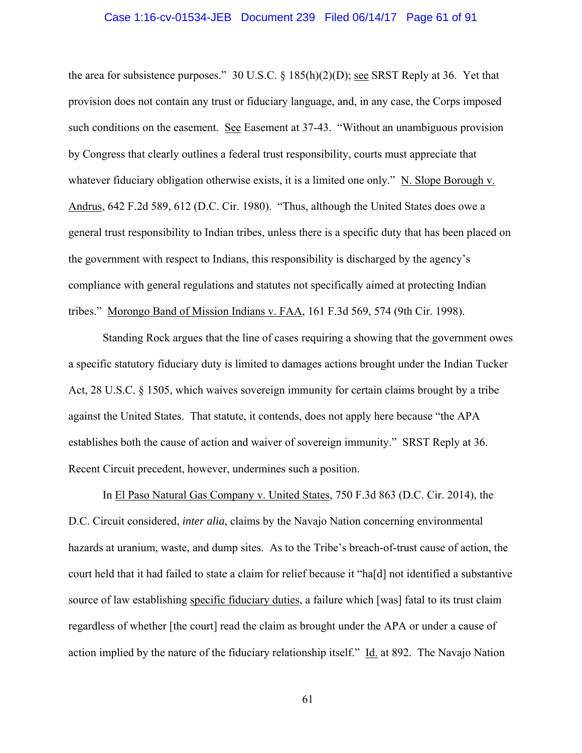#### Case 1:16-cv-01534-JEB Document 239 Filed 06/14/17 Page 61 of 91

the area for subsistence purposes." 30 U.S.C.  $\S$  185(h)(2)(D); <u>see</u> SRST Reply at 36. Yet that provision does not contain any trust or fiduciary language, and, in any case, the Corps imposed such conditions on the easement. See Easement at 37-43. "Without an unambiguous provision by Congress that clearly outlines a federal trust responsibility, courts must appreciate that whatever fiduciary obligation otherwise exists, it is a limited one only." N. Slope Borough v. Andrus, 642 F.2d 589, 612 (D.C. Cir. 1980). "Thus, although the United States does owe a general trust responsibility to Indian tribes, unless there is a specific duty that has been placed on the government with respect to Indians, this responsibility is discharged by the agency's compliance with general regulations and statutes not specifically aimed at protecting Indian tribes." Morongo Band of Mission Indians v. FAA, 161 F.3d 569, 574 (9th Cir. 1998).

Standing Rock argues that the line of cases requiring a showing that the government owes a specific statutory fiduciary duty is limited to damages actions brought under the Indian Tucker Act, 28 U.S.C. § 1505, which waives sovereign immunity for certain claims brought by a tribe against the United States. That statute, it contends, does not apply here because "the APA establishes both the cause of action and waiver of sovereign immunity." SRST Reply at 36. Recent Circuit precedent, however, undermines such a position.

In El Paso Natural Gas Company v. United States, 750 F.3d 863 (D.C. Cir. 2014), the D.C. Circuit considered, *inter alia*, claims by the Navajo Nation concerning environmental hazards at uranium, waste, and dump sites. As to the Tribe's breach-of-trust cause of action, the court held that it had failed to state a claim for relief because it "ha[d] not identified a substantive source of law establishing specific fiduciary duties, a failure which [was] fatal to its trust claim regardless of whether [the court] read the claim as brought under the APA or under a cause of action implied by the nature of the fiduciary relationship itself." Id. at 892. The Navajo Nation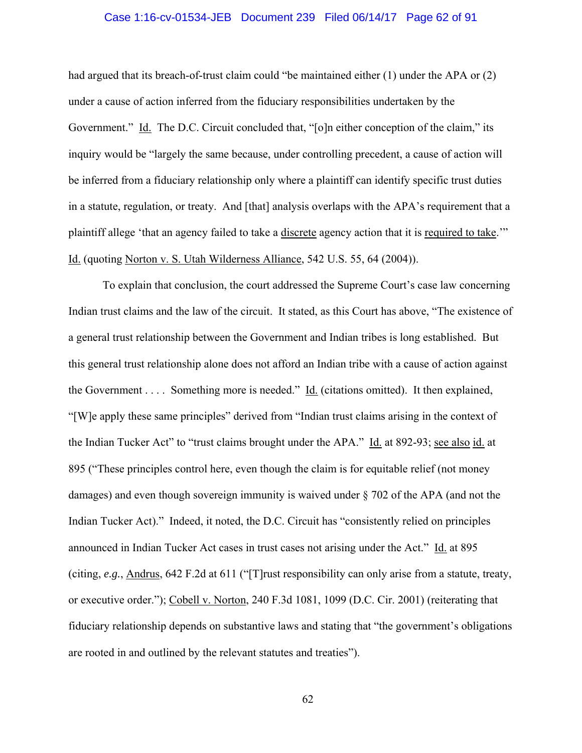## Case 1:16-cv-01534-JEB Document 239 Filed 06/14/17 Page 62 of 91

had argued that its breach-of-trust claim could "be maintained either (1) under the APA or (2) under a cause of action inferred from the fiduciary responsibilities undertaken by the Government." Id. The D.C. Circuit concluded that, "[o]n either conception of the claim," its inquiry would be "largely the same because, under controlling precedent, a cause of action will be inferred from a fiduciary relationship only where a plaintiff can identify specific trust duties in a statute, regulation, or treaty. And [that] analysis overlaps with the APA's requirement that a plaintiff allege 'that an agency failed to take a discrete agency action that it is required to take.'" Id. (quoting Norton v. S. Utah Wilderness Alliance, 542 U.S. 55, 64 (2004)).

To explain that conclusion, the court addressed the Supreme Court's case law concerning Indian trust claims and the law of the circuit. It stated, as this Court has above, "The existence of a general trust relationship between the Government and Indian tribes is long established. But this general trust relationship alone does not afford an Indian tribe with a cause of action against the Government . . . . Something more is needed." Id. (citations omitted). It then explained, "[W]e apply these same principles" derived from "Indian trust claims arising in the context of the Indian Tucker Act" to "trust claims brought under the APA." Id. at 892-93; see also id. at 895 ("These principles control here, even though the claim is for equitable relief (not money damages) and even though sovereign immunity is waived under § 702 of the APA (and not the Indian Tucker Act)." Indeed, it noted, the D.C. Circuit has "consistently relied on principles announced in Indian Tucker Act cases in trust cases not arising under the Act." Id. at 895 (citing, *e.g.*, Andrus, 642 F.2d at 611 ("[T]rust responsibility can only arise from a statute, treaty, or executive order."); Cobell v. Norton, 240 F.3d 1081, 1099 (D.C. Cir. 2001) (reiterating that fiduciary relationship depends on substantive laws and stating that "the government's obligations are rooted in and outlined by the relevant statutes and treaties").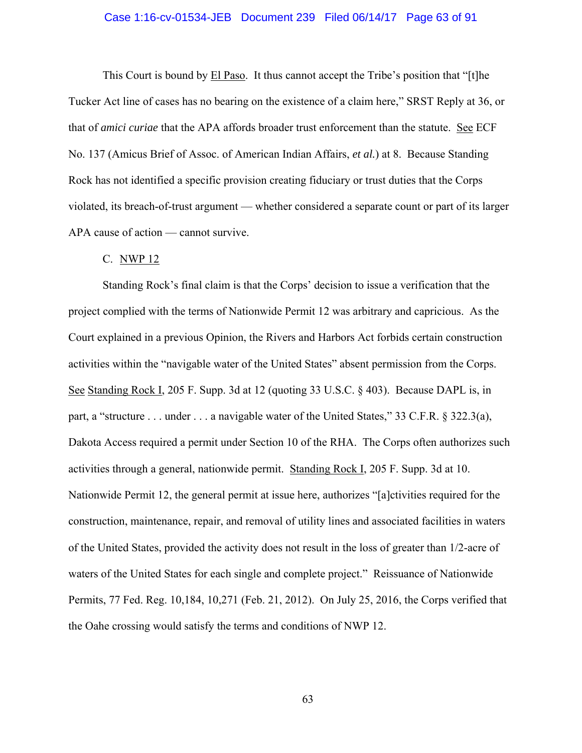## Case 1:16-cv-01534-JEB Document 239 Filed 06/14/17 Page 63 of 91

This Court is bound by El Paso. It thus cannot accept the Tribe's position that "[t]he Tucker Act line of cases has no bearing on the existence of a claim here," SRST Reply at 36, or that of *amici curiae* that the APA affords broader trust enforcement than the statute. See ECF No. 137 (Amicus Brief of Assoc. of American Indian Affairs, *et al.*) at 8. Because Standing Rock has not identified a specific provision creating fiduciary or trust duties that the Corps violated, its breach-of-trust argument — whether considered a separate count or part of its larger APA cause of action — cannot survive.

#### C. NWP 12

Standing Rock's final claim is that the Corps' decision to issue a verification that the project complied with the terms of Nationwide Permit 12 was arbitrary and capricious. As the Court explained in a previous Opinion, the Rivers and Harbors Act forbids certain construction activities within the "navigable water of the United States" absent permission from the Corps. See Standing Rock I, 205 F. Supp. 3d at 12 (quoting 33 U.S.C. § 403). Because DAPL is, in part, a "structure . . . under . . . a navigable water of the United States," 33 C.F.R. § 322.3(a), Dakota Access required a permit under Section 10 of the RHA. The Corps often authorizes such activities through a general, nationwide permit. Standing Rock I, 205 F. Supp. 3d at 10. Nationwide Permit 12, the general permit at issue here, authorizes "[a]ctivities required for the construction, maintenance, repair, and removal of utility lines and associated facilities in waters of the United States, provided the activity does not result in the loss of greater than 1/2-acre of waters of the United States for each single and complete project." Reissuance of Nationwide Permits, 77 Fed. Reg. 10,184, 10,271 (Feb. 21, 2012). On July 25, 2016, the Corps verified that the Oahe crossing would satisfy the terms and conditions of NWP 12.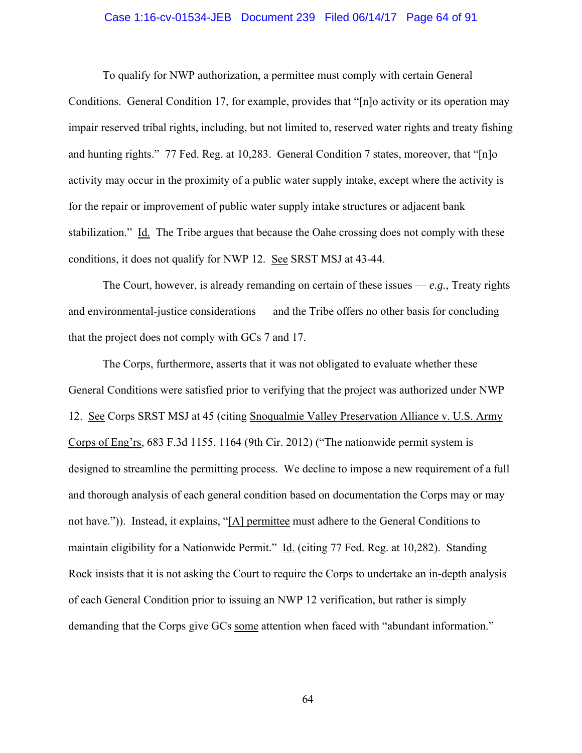## Case 1:16-cv-01534-JEB Document 239 Filed 06/14/17 Page 64 of 91

To qualify for NWP authorization, a permittee must comply with certain General Conditions. General Condition 17, for example, provides that "[n]o activity or its operation may impair reserved tribal rights, including, but not limited to, reserved water rights and treaty fishing and hunting rights." 77 Fed. Reg. at 10,283. General Condition 7 states, moreover, that "[n]o activity may occur in the proximity of a public water supply intake, except where the activity is for the repair or improvement of public water supply intake structures or adjacent bank stabilization." Id. The Tribe argues that because the Oahe crossing does not comply with these conditions, it does not qualify for NWP 12. See SRST MSJ at 43-44.

The Court, however, is already remanding on certain of these issues  $-e.g.,$  Treaty rights and environmental-justice considerations — and the Tribe offers no other basis for concluding that the project does not comply with GCs 7 and 17.

The Corps, furthermore, asserts that it was not obligated to evaluate whether these General Conditions were satisfied prior to verifying that the project was authorized under NWP 12. See Corps SRST MSJ at 45 (citing Snoqualmie Valley Preservation Alliance v. U.S. Army Corps of Eng'rs, 683 F.3d 1155, 1164 (9th Cir. 2012) ("The nationwide permit system is designed to streamline the permitting process. We decline to impose a new requirement of a full and thorough analysis of each general condition based on documentation the Corps may or may not have.")). Instead, it explains, "[A] permittee must adhere to the General Conditions to maintain eligibility for a Nationwide Permit." Id. (citing 77 Fed. Reg. at 10,282). Standing Rock insists that it is not asking the Court to require the Corps to undertake an in-depth analysis of each General Condition prior to issuing an NWP 12 verification, but rather is simply demanding that the Corps give GCs some attention when faced with "abundant information."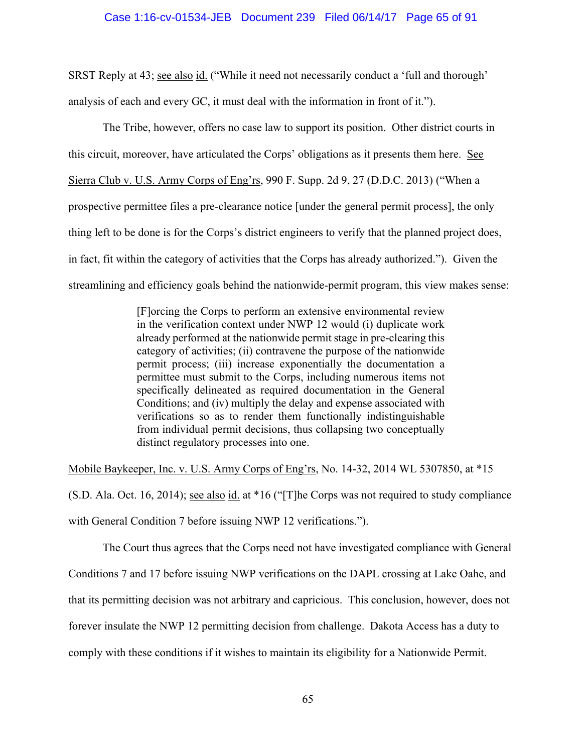## Case 1:16-cv-01534-JEB Document 239 Filed 06/14/17 Page 65 of 91

SRST Reply at 43; see also id. ("While it need not necessarily conduct a 'full and thorough' analysis of each and every GC, it must deal with the information in front of it.").

The Tribe, however, offers no case law to support its position. Other district courts in this circuit, moreover, have articulated the Corps' obligations as it presents them here. See Sierra Club v. U.S. Army Corps of Eng'rs, 990 F. Supp. 2d 9, 27 (D.D.C. 2013) ("When a prospective permittee files a pre-clearance notice [under the general permit process], the only thing left to be done is for the Corps's district engineers to verify that the planned project does, in fact, fit within the category of activities that the Corps has already authorized."). Given the streamlining and efficiency goals behind the nationwide-permit program, this view makes sense:

> [F]orcing the Corps to perform an extensive environmental review in the verification context under NWP 12 would (i) duplicate work already performed at the nationwide permit stage in pre-clearing this category of activities; (ii) contravene the purpose of the nationwide permit process; (iii) increase exponentially the documentation a permittee must submit to the Corps, including numerous items not specifically delineated as required documentation in the General Conditions; and (iv) multiply the delay and expense associated with verifications so as to render them functionally indistinguishable from individual permit decisions, thus collapsing two conceptually distinct regulatory processes into one.

Mobile Baykeeper, Inc. v. U.S. Army Corps of Eng'rs, No. 14-32, 2014 WL 5307850, at \*15 (S.D. Ala. Oct. 16, 2014); see also id. at \*16 ("[T]he Corps was not required to study compliance with General Condition 7 before issuing NWP 12 verifications.").

The Court thus agrees that the Corps need not have investigated compliance with General Conditions 7 and 17 before issuing NWP verifications on the DAPL crossing at Lake Oahe, and that its permitting decision was not arbitrary and capricious. This conclusion, however, does not forever insulate the NWP 12 permitting decision from challenge. Dakota Access has a duty to comply with these conditions if it wishes to maintain its eligibility for a Nationwide Permit.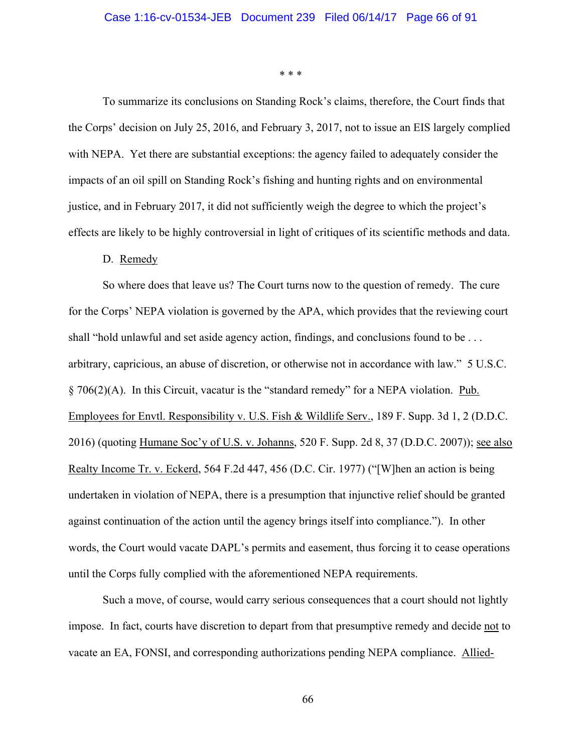\* \* \*

 To summarize its conclusions on Standing Rock's claims, therefore, the Court finds that the Corps' decision on July 25, 2016, and February 3, 2017, not to issue an EIS largely complied with NEPA. Yet there are substantial exceptions: the agency failed to adequately consider the impacts of an oil spill on Standing Rock's fishing and hunting rights and on environmental justice, and in February 2017, it did not sufficiently weigh the degree to which the project's effects are likely to be highly controversial in light of critiques of its scientific methods and data.

#### D. Remedy

So where does that leave us? The Court turns now to the question of remedy. The cure for the Corps' NEPA violation is governed by the APA, which provides that the reviewing court shall "hold unlawful and set aside agency action, findings, and conclusions found to be . . . arbitrary, capricious, an abuse of discretion, or otherwise not in accordance with law." 5 U.S.C. § 706(2)(A). In this Circuit, vacatur is the "standard remedy" for a NEPA violation. Pub. Employees for Envtl. Responsibility v. U.S. Fish & Wildlife Serv., 189 F. Supp. 3d 1, 2 (D.D.C. 2016) (quoting Humane Soc'y of U.S. v. Johanns, 520 F. Supp. 2d 8, 37 (D.D.C. 2007)); see also Realty Income Tr. v. Eckerd, 564 F.2d 447, 456 (D.C. Cir. 1977) ("[W]hen an action is being undertaken in violation of NEPA, there is a presumption that injunctive relief should be granted against continuation of the action until the agency brings itself into compliance."). In other words, the Court would vacate DAPL's permits and easement, thus forcing it to cease operations until the Corps fully complied with the aforementioned NEPA requirements.

Such a move, of course, would carry serious consequences that a court should not lightly impose. In fact, courts have discretion to depart from that presumptive remedy and decide not to vacate an EA, FONSI, and corresponding authorizations pending NEPA compliance. Allied-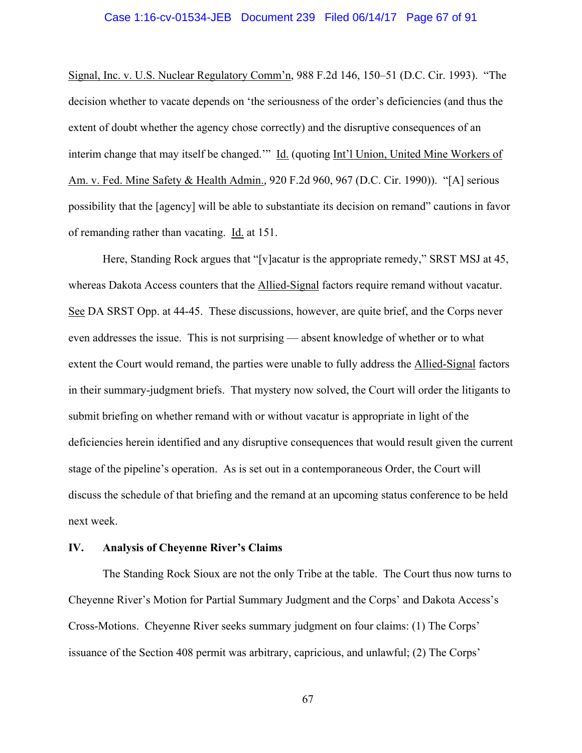### Case 1:16-cv-01534-JEB Document 239 Filed 06/14/17 Page 67 of 91

Signal, Inc. v. U.S. Nuclear Regulatory Comm'n, 988 F.2d 146, 150–51 (D.C. Cir. 1993). "The decision whether to vacate depends on 'the seriousness of the order's deficiencies (and thus the extent of doubt whether the agency chose correctly) and the disruptive consequences of an interim change that may itself be changed.'" Id. (quoting Int'l Union, United Mine Workers of Am. v. Fed. Mine Safety & Health Admin.*,* 920 F.2d 960, 967 (D.C. Cir. 1990)). "[A] serious possibility that the [agency] will be able to substantiate its decision on remand" cautions in favor of remanding rather than vacating. Id. at 151.

Here, Standing Rock argues that "[v]acatur is the appropriate remedy," SRST MSJ at 45, whereas Dakota Access counters that the Allied-Signal factors require remand without vacatur. See DA SRST Opp. at 44-45. These discussions, however, are quite brief, and the Corps never even addresses the issue. This is not surprising — absent knowledge of whether or to what extent the Court would remand, the parties were unable to fully address the Allied-Signal factors in their summary-judgment briefs. That mystery now solved, the Court will order the litigants to submit briefing on whether remand with or without vacatur is appropriate in light of the deficiencies herein identified and any disruptive consequences that would result given the current stage of the pipeline's operation. As is set out in a contemporaneous Order, the Court will discuss the schedule of that briefing and the remand at an upcoming status conference to be held next week.

## **IV. Analysis of Cheyenne River's Claims**

The Standing Rock Sioux are not the only Tribe at the table. The Court thus now turns to Cheyenne River's Motion for Partial Summary Judgment and the Corps' and Dakota Access's Cross-Motions. Cheyenne River seeks summary judgment on four claims: (1) The Corps' issuance of the Section 408 permit was arbitrary, capricious, and unlawful; (2) The Corps'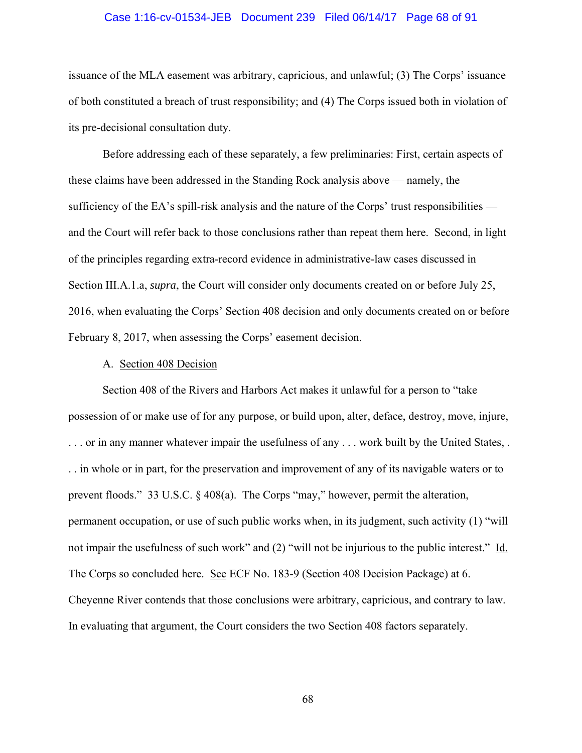## Case 1:16-cv-01534-JEB Document 239 Filed 06/14/17 Page 68 of 91

issuance of the MLA easement was arbitrary, capricious, and unlawful; (3) The Corps' issuance of both constituted a breach of trust responsibility; and (4) The Corps issued both in violation of its pre-decisional consultation duty.

Before addressing each of these separately, a few preliminaries: First, certain aspects of these claims have been addressed in the Standing Rock analysis above — namely, the sufficiency of the EA's spill-risk analysis and the nature of the Corps' trust responsibilities and the Court will refer back to those conclusions rather than repeat them here. Second, in light of the principles regarding extra-record evidence in administrative-law cases discussed in Section III.A.1.a, *supra*, the Court will consider only documents created on or before July 25, 2016, when evaluating the Corps' Section 408 decision and only documents created on or before February 8, 2017, when assessing the Corps' easement decision.

#### A. Section 408 Decision

Section 408 of the Rivers and Harbors Act makes it unlawful for a person to "take possession of or make use of for any purpose, or build upon, alter, deface, destroy, move, injure, . . . or in any manner whatever impair the usefulness of any . . . work built by the United States, . . . in whole or in part, for the preservation and improvement of any of its navigable waters or to prevent floods." 33 U.S.C. § 408(a). The Corps "may," however, permit the alteration, permanent occupation, or use of such public works when, in its judgment, such activity (1) "will not impair the usefulness of such work" and (2) "will not be injurious to the public interest." Id. The Corps so concluded here. See ECF No. 183-9 (Section 408 Decision Package) at 6. Cheyenne River contends that those conclusions were arbitrary, capricious, and contrary to law. In evaluating that argument, the Court considers the two Section 408 factors separately.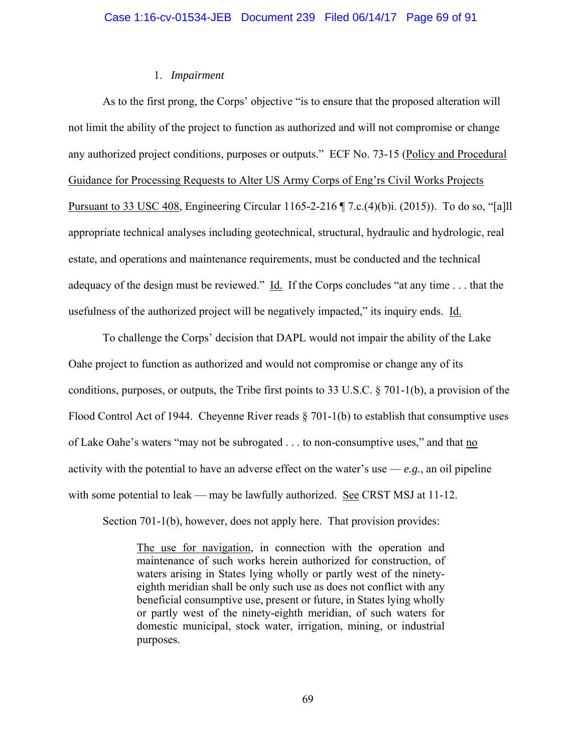# 1. *Impairment*

As to the first prong, the Corps' objective "is to ensure that the proposed alteration will not limit the ability of the project to function as authorized and will not compromise or change any authorized project conditions, purposes or outputs." ECF No. 73-15 (Policy and Procedural Guidance for Processing Requests to Alter US Army Corps of Eng'rs Civil Works Projects Pursuant to 33 USC 408, Engineering Circular 1165-2-216 ¶ 7.c.(4)(b)i. (2015)). To do so, "[a]ll appropriate technical analyses including geotechnical, structural, hydraulic and hydrologic, real estate, and operations and maintenance requirements, must be conducted and the technical adequacy of the design must be reviewed." Id. If the Corps concludes "at any time . . . that the usefulness of the authorized project will be negatively impacted," its inquiry ends. Id.

To challenge the Corps' decision that DAPL would not impair the ability of the Lake Oahe project to function as authorized and would not compromise or change any of its conditions, purposes, or outputs, the Tribe first points to 33 U.S.C. § 701-1(b), a provision of the Flood Control Act of 1944. Cheyenne River reads § 701-1(b) to establish that consumptive uses of Lake Oahe's waters "may not be subrogated . . . to non-consumptive uses," and that no activity with the potential to have an adverse effect on the water's use  $-e.g.,$  an oil pipeline with some potential to leak — may be lawfully authorized. See CRST MSJ at 11-12.

Section 701-1(b), however, does not apply here. That provision provides:

The use for navigation, in connection with the operation and maintenance of such works herein authorized for construction, of waters arising in States lying wholly or partly west of the ninetyeighth meridian shall be only such use as does not conflict with any beneficial consumptive use, present or future, in States lying wholly or partly west of the ninety-eighth meridian, of such waters for domestic municipal, stock water, irrigation, mining, or industrial purposes.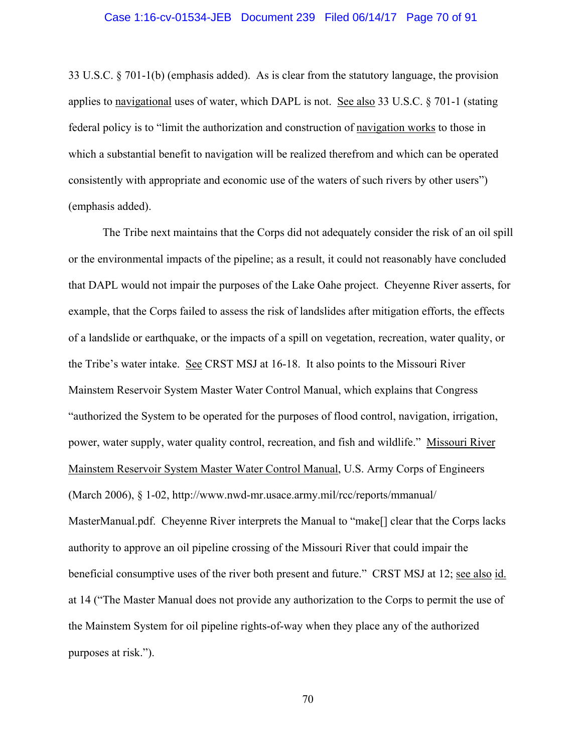## Case 1:16-cv-01534-JEB Document 239 Filed 06/14/17 Page 70 of 91

33 U.S.C. § 701-1(b) (emphasis added). As is clear from the statutory language, the provision applies to navigational uses of water, which DAPL is not. See also 33 U.S.C. § 701-1 (stating federal policy is to "limit the authorization and construction of navigation works to those in which a substantial benefit to navigation will be realized therefrom and which can be operated consistently with appropriate and economic use of the waters of such rivers by other users") (emphasis added).

 The Tribe next maintains that the Corps did not adequately consider the risk of an oil spill or the environmental impacts of the pipeline; as a result, it could not reasonably have concluded that DAPL would not impair the purposes of the Lake Oahe project. Cheyenne River asserts, for example, that the Corps failed to assess the risk of landslides after mitigation efforts, the effects of a landslide or earthquake, or the impacts of a spill on vegetation, recreation, water quality, or the Tribe's water intake. See CRST MSJ at 16-18. It also points to the Missouri River Mainstem Reservoir System Master Water Control Manual, which explains that Congress "authorized the System to be operated for the purposes of flood control, navigation, irrigation, power, water supply, water quality control, recreation, and fish and wildlife." Missouri River Mainstem Reservoir System Master Water Control Manual, U.S. Army Corps of Engineers (March 2006), § 1-02, http://www.nwd-mr.usace.army.mil/rcc/reports/mmanual/ MasterManual.pdf. Cheyenne River interprets the Manual to "make<sup>[]</sup> clear that the Corps lacks authority to approve an oil pipeline crossing of the Missouri River that could impair the beneficial consumptive uses of the river both present and future." CRST MSJ at 12; see also id. at 14 ("The Master Manual does not provide any authorization to the Corps to permit the use of the Mainstem System for oil pipeline rights-of-way when they place any of the authorized purposes at risk.").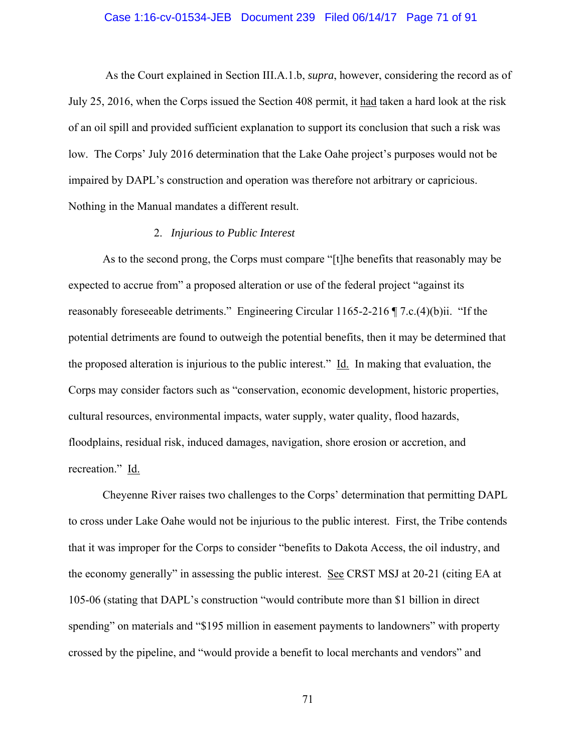## Case 1:16-cv-01534-JEB Document 239 Filed 06/14/17 Page 71 of 91

 As the Court explained in Section III.A.1.b, *supra*, however, considering the record as of July 25, 2016, when the Corps issued the Section 408 permit, it had taken a hard look at the risk of an oil spill and provided sufficient explanation to support its conclusion that such a risk was low. The Corps' July 2016 determination that the Lake Oahe project's purposes would not be impaired by DAPL's construction and operation was therefore not arbitrary or capricious. Nothing in the Manual mandates a different result.

# 2. *Injurious to Public Interest*

As to the second prong, the Corps must compare "[t]he benefits that reasonably may be expected to accrue from" a proposed alteration or use of the federal project "against its reasonably foreseeable detriments." Engineering Circular 1165-2-216 ¶ 7.c.(4)(b)ii. "If the potential detriments are found to outweigh the potential benefits, then it may be determined that the proposed alteration is injurious to the public interest." Id. In making that evaluation, the Corps may consider factors such as "conservation, economic development, historic properties, cultural resources, environmental impacts, water supply, water quality, flood hazards, floodplains, residual risk, induced damages, navigation, shore erosion or accretion, and recreation." Id.

Cheyenne River raises two challenges to the Corps' determination that permitting DAPL to cross under Lake Oahe would not be injurious to the public interest. First, the Tribe contends that it was improper for the Corps to consider "benefits to Dakota Access, the oil industry, and the economy generally" in assessing the public interest. See CRST MSJ at 20-21 (citing EA at 105-06 (stating that DAPL's construction "would contribute more than \$1 billion in direct spending" on materials and "\$195 million in easement payments to landowners" with property crossed by the pipeline, and "would provide a benefit to local merchants and vendors" and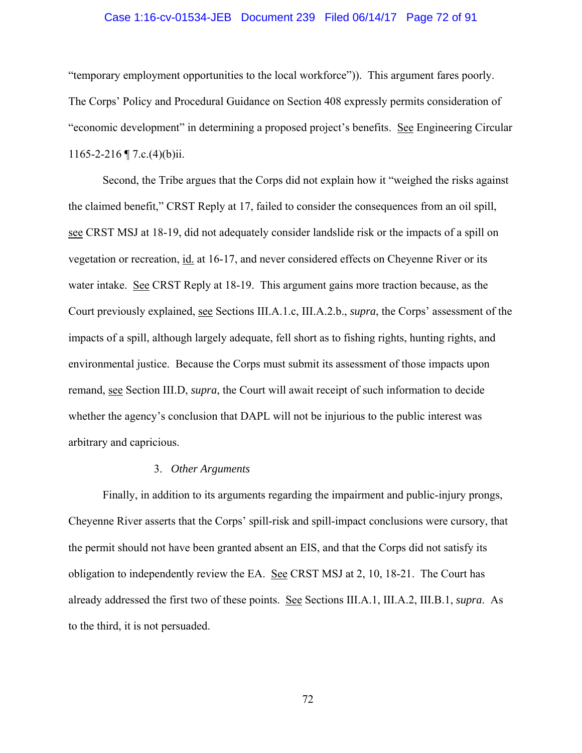## Case 1:16-cv-01534-JEB Document 239 Filed 06/14/17 Page 72 of 91

"temporary employment opportunities to the local workforce")). This argument fares poorly. The Corps' Policy and Procedural Guidance on Section 408 expressly permits consideration of "economic development" in determining a proposed project's benefits. See Engineering Circular 1165-2-216  $\P$  7.c.(4)(b)ii.

Second, the Tribe argues that the Corps did not explain how it "weighed the risks against the claimed benefit," CRST Reply at 17, failed to consider the consequences from an oil spill, see CRST MSJ at 18-19, did not adequately consider landslide risk or the impacts of a spill on vegetation or recreation, id. at 16-17, and never considered effects on Cheyenne River or its water intake. See CRST Reply at 18-19. This argument gains more traction because, as the Court previously explained, see Sections III.A.1.c, III.A.2.b., *supra*, the Corps' assessment of the impacts of a spill, although largely adequate, fell short as to fishing rights, hunting rights, and environmental justice. Because the Corps must submit its assessment of those impacts upon remand, see Section III.D, *supra*, the Court will await receipt of such information to decide whether the agency's conclusion that DAPL will not be injurious to the public interest was arbitrary and capricious.

# 3. *Other Arguments*

Finally, in addition to its arguments regarding the impairment and public-injury prongs, Cheyenne River asserts that the Corps' spill-risk and spill-impact conclusions were cursory, that the permit should not have been granted absent an EIS, and that the Corps did not satisfy its obligation to independently review the EA. See CRST MSJ at 2, 10, 18-21. The Court has already addressed the first two of these points. See Sections III.A.1, III.A.2, III.B.1, *supra*. As to the third, it is not persuaded.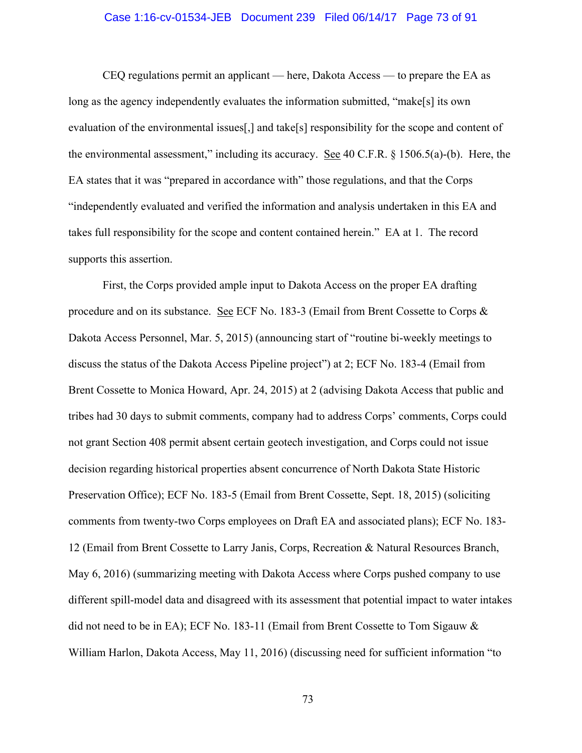# Case 1:16-cv-01534-JEB Document 239 Filed 06/14/17 Page 73 of 91

CEQ regulations permit an applicant — here, Dakota Access — to prepare the EA as long as the agency independently evaluates the information submitted, "make[s] its own evaluation of the environmental issues[,] and take[s] responsibility for the scope and content of the environmental assessment," including its accuracy. See 40 C.F.R. § 1506.5(a)-(b). Here, the EA states that it was "prepared in accordance with" those regulations, and that the Corps "independently evaluated and verified the information and analysis undertaken in this EA and takes full responsibility for the scope and content contained herein." EA at 1. The record supports this assertion.

First, the Corps provided ample input to Dakota Access on the proper EA drafting procedure and on its substance. See ECF No. 183-3 (Email from Brent Cossette to Corps & Dakota Access Personnel, Mar. 5, 2015) (announcing start of "routine bi-weekly meetings to discuss the status of the Dakota Access Pipeline project") at 2; ECF No. 183-4 (Email from Brent Cossette to Monica Howard, Apr. 24, 2015) at 2 (advising Dakota Access that public and tribes had 30 days to submit comments, company had to address Corps' comments, Corps could not grant Section 408 permit absent certain geotech investigation, and Corps could not issue decision regarding historical properties absent concurrence of North Dakota State Historic Preservation Office); ECF No. 183-5 (Email from Brent Cossette, Sept. 18, 2015) (soliciting comments from twenty-two Corps employees on Draft EA and associated plans); ECF No. 183- 12 (Email from Brent Cossette to Larry Janis, Corps, Recreation & Natural Resources Branch, May 6, 2016) (summarizing meeting with Dakota Access where Corps pushed company to use different spill-model data and disagreed with its assessment that potential impact to water intakes did not need to be in EA); ECF No. 183-11 (Email from Brent Cossette to Tom Sigauw & William Harlon, Dakota Access, May 11, 2016) (discussing need for sufficient information "to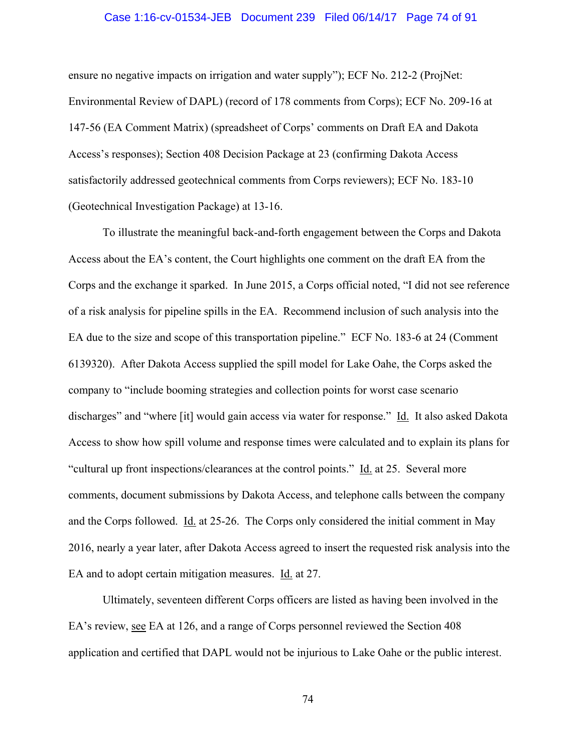### Case 1:16-cv-01534-JEB Document 239 Filed 06/14/17 Page 74 of 91

ensure no negative impacts on irrigation and water supply"); ECF No. 212-2 (ProjNet: Environmental Review of DAPL) (record of 178 comments from Corps); ECF No. 209-16 at 147-56 (EA Comment Matrix) (spreadsheet of Corps' comments on Draft EA and Dakota Access's responses); Section 408 Decision Package at 23 (confirming Dakota Access satisfactorily addressed geotechnical comments from Corps reviewers); ECF No. 183-10 (Geotechnical Investigation Package) at 13-16.

 To illustrate the meaningful back-and-forth engagement between the Corps and Dakota Access about the EA's content, the Court highlights one comment on the draft EA from the Corps and the exchange it sparked. In June 2015, a Corps official noted, "I did not see reference of a risk analysis for pipeline spills in the EA. Recommend inclusion of such analysis into the EA due to the size and scope of this transportation pipeline." ECF No. 183-6 at 24 (Comment 6139320). After Dakota Access supplied the spill model for Lake Oahe, the Corps asked the company to "include booming strategies and collection points for worst case scenario discharges" and "where [it] would gain access via water for response." Id. It also asked Dakota Access to show how spill volume and response times were calculated and to explain its plans for "cultural up front inspections/clearances at the control points." Id. at 25. Several more comments, document submissions by Dakota Access, and telephone calls between the company and the Corps followed. Id. at 25-26. The Corps only considered the initial comment in May 2016, nearly a year later, after Dakota Access agreed to insert the requested risk analysis into the EA and to adopt certain mitigation measures. Id. at 27.

Ultimately, seventeen different Corps officers are listed as having been involved in the EA's review, see EA at 126, and a range of Corps personnel reviewed the Section 408 application and certified that DAPL would not be injurious to Lake Oahe or the public interest.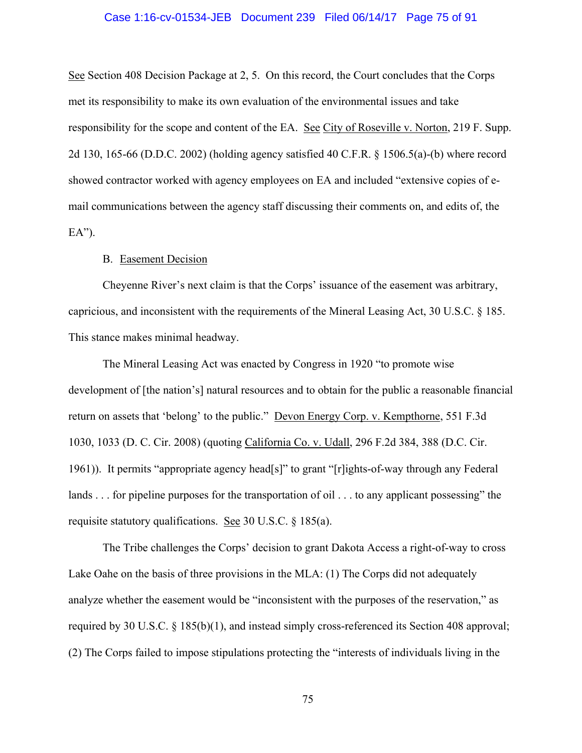## Case 1:16-cv-01534-JEB Document 239 Filed 06/14/17 Page 75 of 91

See Section 408 Decision Package at 2, 5. On this record, the Court concludes that the Corps met its responsibility to make its own evaluation of the environmental issues and take responsibility for the scope and content of the EA. See City of Roseville v. Norton, 219 F. Supp. 2d 130, 165-66 (D.D.C. 2002) (holding agency satisfied 40 C.F.R. § 1506.5(a)-(b) where record showed contractor worked with agency employees on EA and included "extensive copies of email communications between the agency staff discussing their comments on, and edits of, the  $EA$ ").

# B. Easement Decision

Cheyenne River's next claim is that the Corps' issuance of the easement was arbitrary, capricious, and inconsistent with the requirements of the Mineral Leasing Act, 30 U.S.C. § 185. This stance makes minimal headway.

The Mineral Leasing Act was enacted by Congress in 1920 "to promote wise development of [the nation's] natural resources and to obtain for the public a reasonable financial return on assets that 'belong' to the public." Devon Energy Corp. v. Kempthorne, 551 F.3d 1030, 1033 (D. C. Cir. 2008) (quoting California Co. v. Udall, 296 F.2d 384, 388 (D.C. Cir. 1961)). It permits "appropriate agency head[s]" to grant "[r]ights-of-way through any Federal lands . . . for pipeline purposes for the transportation of oil . . . to any applicant possessing" the requisite statutory qualifications. See 30 U.S.C. § 185(a).

The Tribe challenges the Corps' decision to grant Dakota Access a right-of-way to cross Lake Oahe on the basis of three provisions in the MLA: (1) The Corps did not adequately analyze whether the easement would be "inconsistent with the purposes of the reservation," as required by 30 U.S.C. § 185(b)(1), and instead simply cross-referenced its Section 408 approval; (2) The Corps failed to impose stipulations protecting the "interests of individuals living in the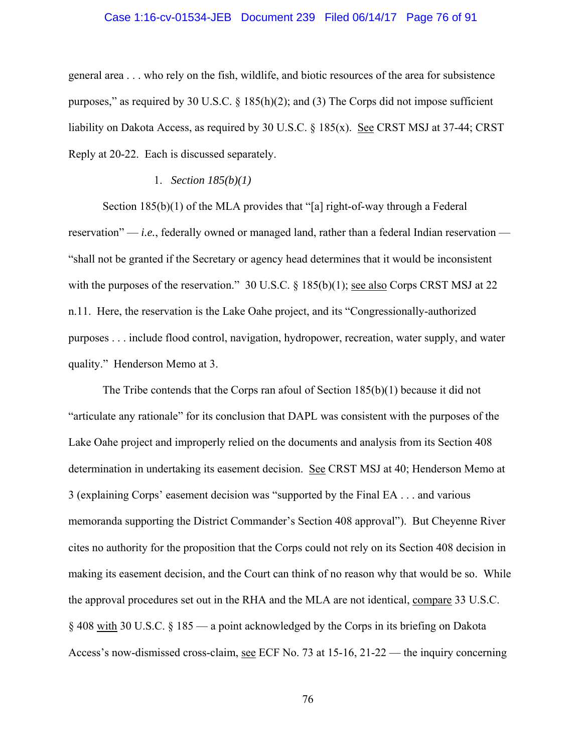## Case 1:16-cv-01534-JEB Document 239 Filed 06/14/17 Page 76 of 91

general area . . . who rely on the fish, wildlife, and biotic resources of the area for subsistence purposes," as required by 30 U.S.C. § 185(h)(2); and (3) The Corps did not impose sufficient liability on Dakota Access, as required by 30 U.S.C. § 185(x). See CRST MSJ at 37-44; CRST Reply at 20-22. Each is discussed separately.

### 1. *Section 185(b)(1)*

Section 185(b)(1) of the MLA provides that "[a] right-of-way through a Federal reservation" — *i.e.*, federally owned or managed land, rather than a federal Indian reservation — "shall not be granted if the Secretary or agency head determines that it would be inconsistent with the purposes of the reservation." 30 U.S.C. § 185(b)(1); see also Corps CRST MSJ at 22 n.11. Here, the reservation is the Lake Oahe project, and its "Congressionally-authorized purposes . . . include flood control, navigation, hydropower, recreation, water supply, and water quality." Henderson Memo at 3.

The Tribe contends that the Corps ran afoul of Section 185(b)(1) because it did not "articulate any rationale" for its conclusion that DAPL was consistent with the purposes of the Lake Oahe project and improperly relied on the documents and analysis from its Section 408 determination in undertaking its easement decision. See CRST MSJ at 40; Henderson Memo at 3 (explaining Corps' easement decision was "supported by the Final EA . . . and various memoranda supporting the District Commander's Section 408 approval"). But Cheyenne River cites no authority for the proposition that the Corps could not rely on its Section 408 decision in making its easement decision, and the Court can think of no reason why that would be so. While the approval procedures set out in the RHA and the MLA are not identical, compare 33 U.S.C. § 408 with 30 U.S.C. § 185 — a point acknowledged by the Corps in its briefing on Dakota Access's now-dismissed cross-claim, see ECF No. 73 at 15-16, 21-22 — the inquiry concerning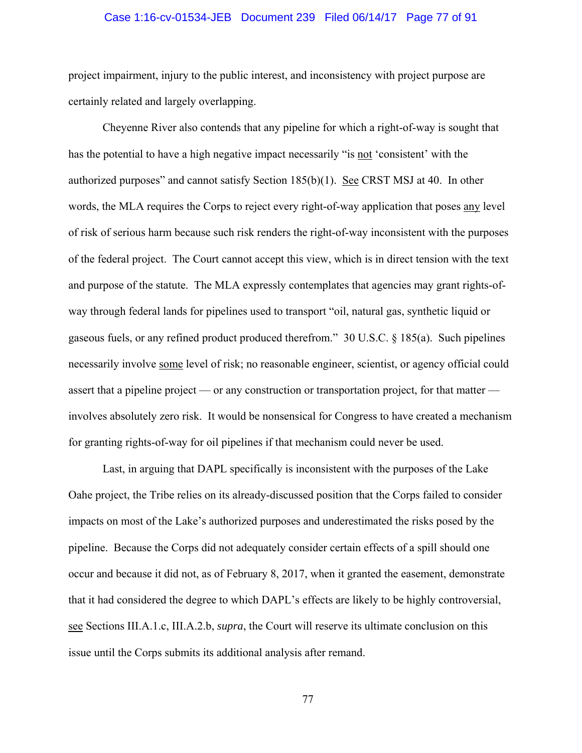# Case 1:16-cv-01534-JEB Document 239 Filed 06/14/17 Page 77 of 91

project impairment, injury to the public interest, and inconsistency with project purpose are certainly related and largely overlapping.

Cheyenne River also contends that any pipeline for which a right-of-way is sought that has the potential to have a high negative impact necessarily "is not 'consistent' with the authorized purposes" and cannot satisfy Section 185(b)(1). See CRST MSJ at 40. In other words, the MLA requires the Corps to reject every right-of-way application that poses any level of risk of serious harm because such risk renders the right-of-way inconsistent with the purposes of the federal project. The Court cannot accept this view, which is in direct tension with the text and purpose of the statute. The MLA expressly contemplates that agencies may grant rights-ofway through federal lands for pipelines used to transport "oil, natural gas, synthetic liquid or gaseous fuels, or any refined product produced therefrom." 30 U.S.C. § 185(a). Such pipelines necessarily involve some level of risk; no reasonable engineer, scientist, or agency official could assert that a pipeline project — or any construction or transportation project, for that matter involves absolutely zero risk. It would be nonsensical for Congress to have created a mechanism for granting rights-of-way for oil pipelines if that mechanism could never be used.

Last, in arguing that DAPL specifically is inconsistent with the purposes of the Lake Oahe project, the Tribe relies on its already-discussed position that the Corps failed to consider impacts on most of the Lake's authorized purposes and underestimated the risks posed by the pipeline. Because the Corps did not adequately consider certain effects of a spill should one occur and because it did not, as of February 8, 2017, when it granted the easement, demonstrate that it had considered the degree to which DAPL's effects are likely to be highly controversial, see Sections III.A.1.c, III.A.2.b, *supra*, the Court will reserve its ultimate conclusion on this issue until the Corps submits its additional analysis after remand.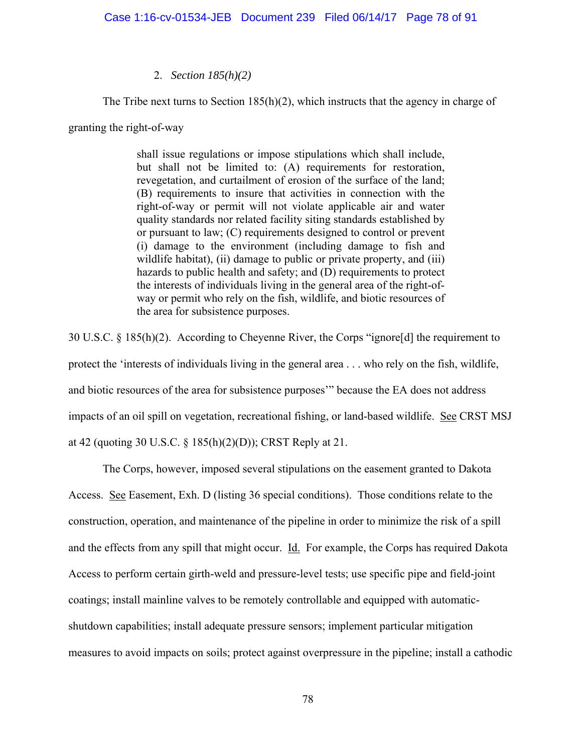# 2. *Section 185(h)(2)*

The Tribe next turns to Section 185(h)(2), which instructs that the agency in charge of

granting the right-of-way

shall issue regulations or impose stipulations which shall include, but shall not be limited to: (A) requirements for restoration, revegetation, and curtailment of erosion of the surface of the land; (B) requirements to insure that activities in connection with the right-of-way or permit will not violate applicable air and water quality standards nor related facility siting standards established by or pursuant to law; (C) requirements designed to control or prevent (i) damage to the environment (including damage to fish and wildlife habitat), (ii) damage to public or private property, and (iii) hazards to public health and safety; and (D) requirements to protect the interests of individuals living in the general area of the right-ofway or permit who rely on the fish, wildlife, and biotic resources of the area for subsistence purposes.

30 U.S.C. § 185(h)(2). According to Cheyenne River, the Corps "ignore[d] the requirement to protect the 'interests of individuals living in the general area . . . who rely on the fish, wildlife, and biotic resources of the area for subsistence purposes'" because the EA does not address impacts of an oil spill on vegetation, recreational fishing, or land-based wildlife. See CRST MSJ at 42 (quoting 30 U.S.C. § 185(h)(2)(D)); CRST Reply at 21.

 The Corps, however, imposed several stipulations on the easement granted to Dakota Access. See Easement, Exh. D (listing 36 special conditions). Those conditions relate to the construction, operation, and maintenance of the pipeline in order to minimize the risk of a spill and the effects from any spill that might occur. Id. For example, the Corps has required Dakota Access to perform certain girth-weld and pressure-level tests; use specific pipe and field-joint coatings; install mainline valves to be remotely controllable and equipped with automaticshutdown capabilities; install adequate pressure sensors; implement particular mitigation measures to avoid impacts on soils; protect against overpressure in the pipeline; install a cathodic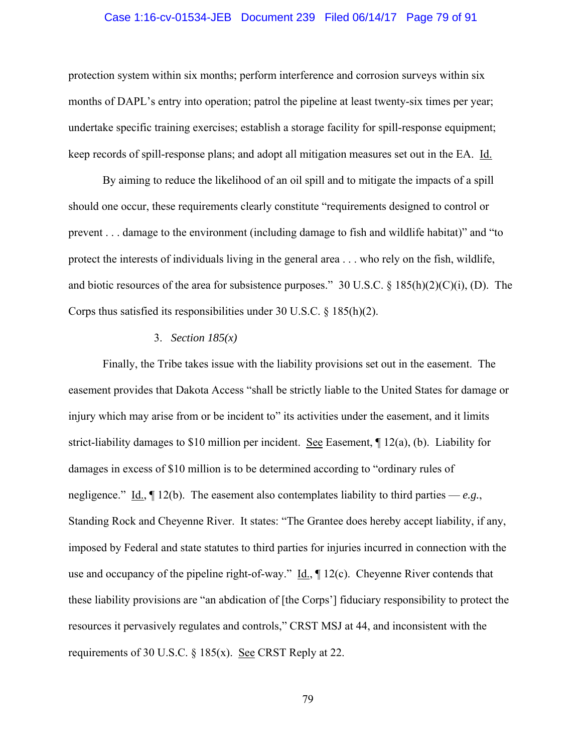# Case 1:16-cv-01534-JEB Document 239 Filed 06/14/17 Page 79 of 91

protection system within six months; perform interference and corrosion surveys within six months of DAPL's entry into operation; patrol the pipeline at least twenty-six times per year; undertake specific training exercises; establish a storage facility for spill-response equipment; keep records of spill-response plans; and adopt all mitigation measures set out in the EA. Id.

 By aiming to reduce the likelihood of an oil spill and to mitigate the impacts of a spill should one occur, these requirements clearly constitute "requirements designed to control or prevent . . . damage to the environment (including damage to fish and wildlife habitat)" and "to protect the interests of individuals living in the general area . . . who rely on the fish, wildlife, and biotic resources of the area for subsistence purposes." 30 U.S.C. § 185(h)(2)(C)(i), (D). The Corps thus satisfied its responsibilities under 30 U.S.C.  $\S$  185(h)(2).

### 3. *Section 185(x)*

 Finally, the Tribe takes issue with the liability provisions set out in the easement. The easement provides that Dakota Access "shall be strictly liable to the United States for damage or injury which may arise from or be incident to" its activities under the easement, and it limits strict-liability damages to \$10 million per incident. <u>See</u> Easement,  $\mathbb{I}$  12(a), (b). Liability for damages in excess of \$10 million is to be determined according to "ordinary rules of negligence." <u>Id.</u>,  $\P$  12(b). The easement also contemplates liability to third parties — *e.g.*, Standing Rock and Cheyenne River. It states: "The Grantee does hereby accept liability, if any, imposed by Federal and state statutes to third parties for injuries incurred in connection with the use and occupancy of the pipeline right-of-way." Id., ¶ 12(c). Cheyenne River contends that these liability provisions are "an abdication of [the Corps'] fiduciary responsibility to protect the resources it pervasively regulates and controls," CRST MSJ at 44, and inconsistent with the requirements of 30 U.S.C. § 185(x). See CRST Reply at 22.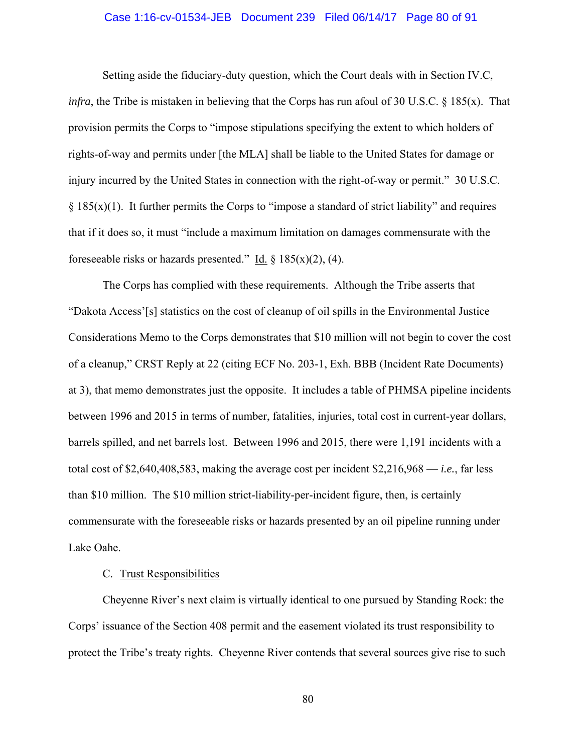# Case 1:16-cv-01534-JEB Document 239 Filed 06/14/17 Page 80 of 91

 Setting aside the fiduciary-duty question, which the Court deals with in Section IV.C, *infra*, the Tribe is mistaken in believing that the Corps has run afoul of 30 U.S.C. § 185(x). That provision permits the Corps to "impose stipulations specifying the extent to which holders of rights-of-way and permits under [the MLA] shall be liable to the United States for damage or injury incurred by the United States in connection with the right-of-way or permit." 30 U.S.C.  $§$  185(x)(1). It further permits the Corps to "impose a standard of strict liability" and requires that if it does so, it must "include a maximum limitation on damages commensurate with the foreseeable risks or hazards presented." Id.  $\S$  185(x)(2), (4).

The Corps has complied with these requirements. Although the Tribe asserts that "Dakota Access'[s] statistics on the cost of cleanup of oil spills in the Environmental Justice Considerations Memo to the Corps demonstrates that \$10 million will not begin to cover the cost of a cleanup," CRST Reply at 22 (citing ECF No. 203-1, Exh. BBB (Incident Rate Documents) at 3), that memo demonstrates just the opposite. It includes a table of PHMSA pipeline incidents between 1996 and 2015 in terms of number, fatalities, injuries, total cost in current-year dollars, barrels spilled, and net barrels lost. Between 1996 and 2015, there were 1,191 incidents with a total cost of \$2,640,408,583, making the average cost per incident \$2,216,968 — *i.e.*, far less than \$10 million. The \$10 million strict-liability-per-incident figure, then, is certainly commensurate with the foreseeable risks or hazards presented by an oil pipeline running under Lake Oahe.

# C. Trust Responsibilities

Cheyenne River's next claim is virtually identical to one pursued by Standing Rock: the Corps' issuance of the Section 408 permit and the easement violated its trust responsibility to protect the Tribe's treaty rights. Cheyenne River contends that several sources give rise to such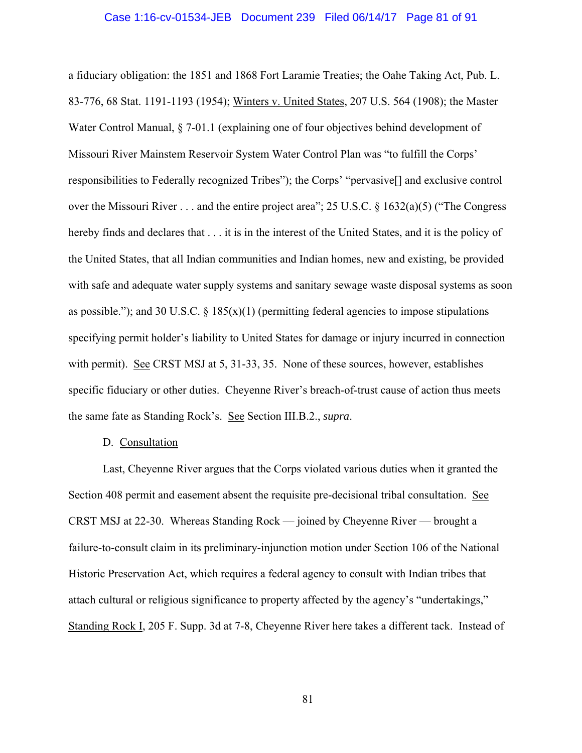### Case 1:16-cv-01534-JEB Document 239 Filed 06/14/17 Page 81 of 91

a fiduciary obligation: the 1851 and 1868 Fort Laramie Treaties; the Oahe Taking Act, Pub. L. 83-776, 68 Stat. 1191-1193 (1954); Winters v. United States, 207 U.S. 564 (1908); the Master Water Control Manual,  $\S$  7-01.1 (explaining one of four objectives behind development of Missouri River Mainstem Reservoir System Water Control Plan was "to fulfill the Corps' responsibilities to Federally recognized Tribes"); the Corps' "pervasive[] and exclusive control over the Missouri River . . . and the entire project area"; 25 U.S.C. § 1632(a)(5) ("The Congress hereby finds and declares that . . . it is in the interest of the United States, and it is the policy of the United States, that all Indian communities and Indian homes, new and existing, be provided with safe and adequate water supply systems and sanitary sewage waste disposal systems as soon as possible."); and 30 U.S.C.  $\S$  185(x)(1) (permitting federal agencies to impose stipulations specifying permit holder's liability to United States for damage or injury incurred in connection with permit). See CRST MSJ at 5, 31-33, 35. None of these sources, however, establishes specific fiduciary or other duties. Cheyenne River's breach-of-trust cause of action thus meets the same fate as Standing Rock's. See Section III.B.2., *supra*.

# D. Consultation

Last, Cheyenne River argues that the Corps violated various duties when it granted the Section 408 permit and easement absent the requisite pre-decisional tribal consultation. See CRST MSJ at 22-30. Whereas Standing Rock — joined by Cheyenne River — brought a failure-to-consult claim in its preliminary-injunction motion under Section 106 of the National Historic Preservation Act, which requires a federal agency to consult with Indian tribes that attach cultural or religious significance to property affected by the agency's "undertakings," Standing Rock I, 205 F. Supp. 3d at 7-8, Cheyenne River here takes a different tack. Instead of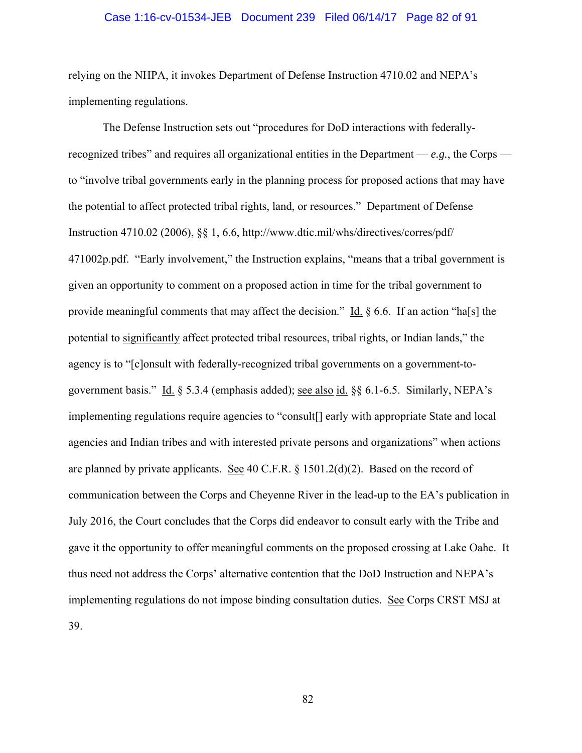### Case 1:16-cv-01534-JEB Document 239 Filed 06/14/17 Page 82 of 91

relying on the NHPA, it invokes Department of Defense Instruction 4710.02 and NEPA's implementing regulations.

The Defense Instruction sets out "procedures for DoD interactions with federallyrecognized tribes" and requires all organizational entities in the Department — *e.g.*, the Corps to "involve tribal governments early in the planning process for proposed actions that may have the potential to affect protected tribal rights, land, or resources." Department of Defense Instruction 4710.02 (2006), §§ 1, 6.6, http://www.dtic.mil/whs/directives/corres/pdf/ 471002p.pdf. "Early involvement," the Instruction explains, "means that a tribal government is given an opportunity to comment on a proposed action in time for the tribal government to provide meaningful comments that may affect the decision." Id.  $\S$  6.6. If an action "ha[s] the potential to significantly affect protected tribal resources, tribal rights, or Indian lands," the agency is to "[c]onsult with federally-recognized tribal governments on a government-togovernment basis." Id. § 5.3.4 (emphasis added); see also id. §§ 6.1-6.5. Similarly, NEPA's implementing regulations require agencies to "consult[] early with appropriate State and local agencies and Indian tribes and with interested private persons and organizations" when actions are planned by private applicants. See 40 C.F.R. § 1501.2(d)(2). Based on the record of communication between the Corps and Cheyenne River in the lead-up to the EA's publication in July 2016, the Court concludes that the Corps did endeavor to consult early with the Tribe and gave it the opportunity to offer meaningful comments on the proposed crossing at Lake Oahe. It thus need not address the Corps' alternative contention that the DoD Instruction and NEPA's implementing regulations do not impose binding consultation duties. See Corps CRST MSJ at 39.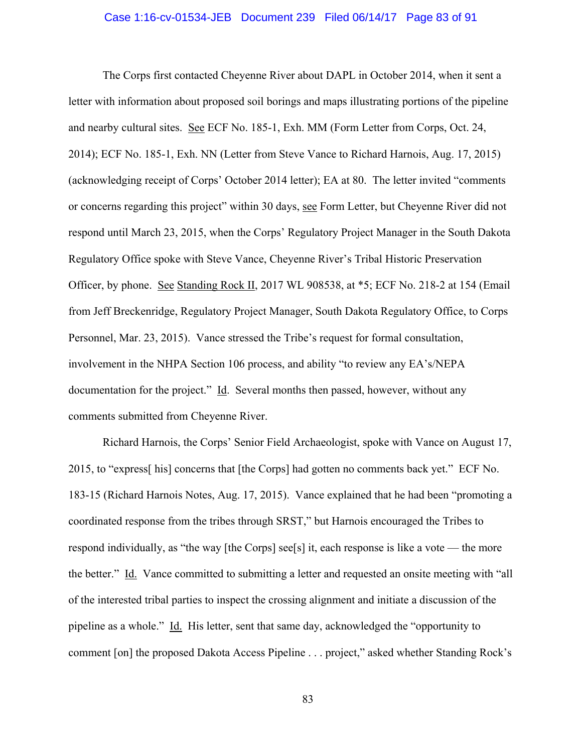### Case 1:16-cv-01534-JEB Document 239 Filed 06/14/17 Page 83 of 91

The Corps first contacted Cheyenne River about DAPL in October 2014, when it sent a letter with information about proposed soil borings and maps illustrating portions of the pipeline and nearby cultural sites. See ECF No. 185-1, Exh. MM (Form Letter from Corps, Oct. 24, 2014); ECF No. 185-1, Exh. NN (Letter from Steve Vance to Richard Harnois, Aug. 17, 2015) (acknowledging receipt of Corps' October 2014 letter); EA at 80. The letter invited "comments or concerns regarding this project" within 30 days, see Form Letter, but Cheyenne River did not respond until March 23, 2015, when the Corps' Regulatory Project Manager in the South Dakota Regulatory Office spoke with Steve Vance, Cheyenne River's Tribal Historic Preservation Officer, by phone. See Standing Rock II, 2017 WL 908538, at \*5; ECF No. 218-2 at 154 (Email from Jeff Breckenridge, Regulatory Project Manager, South Dakota Regulatory Office, to Corps Personnel, Mar. 23, 2015). Vance stressed the Tribe's request for formal consultation, involvement in the NHPA Section 106 process, and ability "to review any EA's/NEPA documentation for the project." Id. Several months then passed, however, without any comments submitted from Cheyenne River.

Richard Harnois, the Corps' Senior Field Archaeologist, spoke with Vance on August 17, 2015, to "express[ his] concerns that [the Corps] had gotten no comments back yet." ECF No. 183-15 (Richard Harnois Notes, Aug. 17, 2015). Vance explained that he had been "promoting a coordinated response from the tribes through SRST," but Harnois encouraged the Tribes to respond individually, as "the way [the Corps] see[s] it, each response is like a vote — the more the better." Id. Vance committed to submitting a letter and requested an onsite meeting with "all of the interested tribal parties to inspect the crossing alignment and initiate a discussion of the pipeline as a whole." Id. His letter, sent that same day, acknowledged the "opportunity to comment [on] the proposed Dakota Access Pipeline . . . project," asked whether Standing Rock's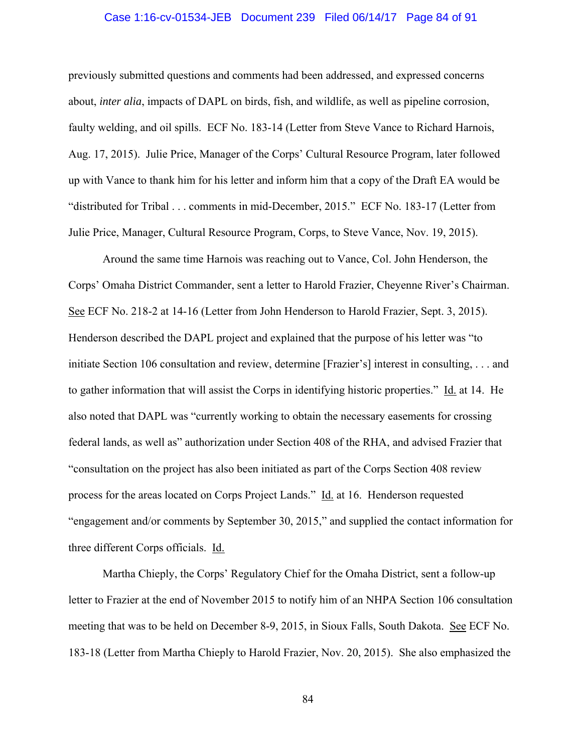# Case 1:16-cv-01534-JEB Document 239 Filed 06/14/17 Page 84 of 91

previously submitted questions and comments had been addressed, and expressed concerns about, *inter alia*, impacts of DAPL on birds, fish, and wildlife, as well as pipeline corrosion, faulty welding, and oil spills. ECF No. 183-14 (Letter from Steve Vance to Richard Harnois, Aug. 17, 2015). Julie Price, Manager of the Corps' Cultural Resource Program, later followed up with Vance to thank him for his letter and inform him that a copy of the Draft EA would be "distributed for Tribal . . . comments in mid-December, 2015." ECF No. 183-17 (Letter from Julie Price, Manager, Cultural Resource Program, Corps, to Steve Vance, Nov. 19, 2015).

Around the same time Harnois was reaching out to Vance, Col. John Henderson, the Corps' Omaha District Commander, sent a letter to Harold Frazier, Cheyenne River's Chairman. See ECF No. 218-2 at 14-16 (Letter from John Henderson to Harold Frazier, Sept. 3, 2015). Henderson described the DAPL project and explained that the purpose of his letter was "to initiate Section 106 consultation and review, determine [Frazier's] interest in consulting, . . . and to gather information that will assist the Corps in identifying historic properties." Id. at 14. He also noted that DAPL was "currently working to obtain the necessary easements for crossing federal lands, as well as" authorization under Section 408 of the RHA, and advised Frazier that "consultation on the project has also been initiated as part of the Corps Section 408 review process for the areas located on Corps Project Lands." Id. at 16. Henderson requested "engagement and/or comments by September 30, 2015," and supplied the contact information for three different Corps officials. Id.

Martha Chieply, the Corps' Regulatory Chief for the Omaha District, sent a follow-up letter to Frazier at the end of November 2015 to notify him of an NHPA Section 106 consultation meeting that was to be held on December 8-9, 2015, in Sioux Falls, South Dakota. See ECF No. 183-18 (Letter from Martha Chieply to Harold Frazier, Nov. 20, 2015). She also emphasized the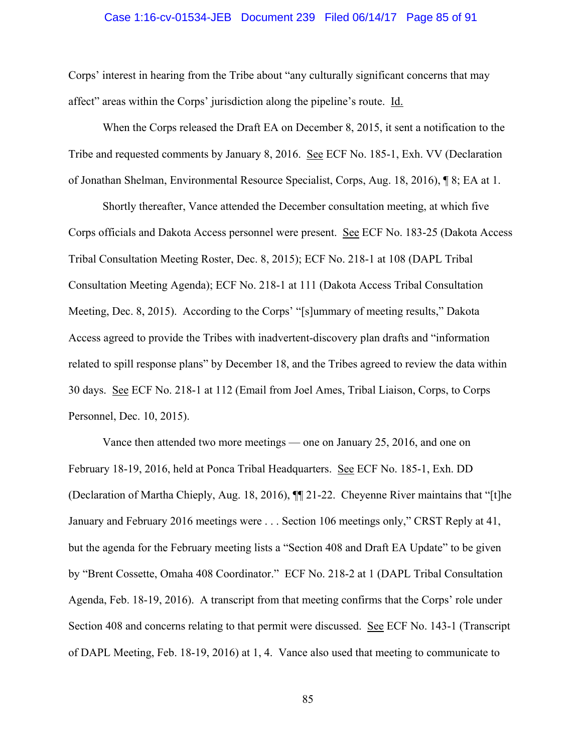### Case 1:16-cv-01534-JEB Document 239 Filed 06/14/17 Page 85 of 91

Corps' interest in hearing from the Tribe about "any culturally significant concerns that may affect" areas within the Corps' jurisdiction along the pipeline's route. Id.

When the Corps released the Draft EA on December 8, 2015, it sent a notification to the Tribe and requested comments by January 8, 2016. See ECF No. 185-1, Exh. VV (Declaration of Jonathan Shelman, Environmental Resource Specialist, Corps, Aug. 18, 2016), ¶ 8; EA at 1.

Shortly thereafter, Vance attended the December consultation meeting, at which five Corps officials and Dakota Access personnel were present. See ECF No. 183-25 (Dakota Access Tribal Consultation Meeting Roster, Dec. 8, 2015); ECF No. 218-1 at 108 (DAPL Tribal Consultation Meeting Agenda); ECF No. 218-1 at 111 (Dakota Access Tribal Consultation Meeting, Dec. 8, 2015). According to the Corps' "[s]ummary of meeting results," Dakota Access agreed to provide the Tribes with inadvertent-discovery plan drafts and "information related to spill response plans" by December 18, and the Tribes agreed to review the data within 30 days. See ECF No. 218-1 at 112 (Email from Joel Ames, Tribal Liaison, Corps, to Corps Personnel, Dec. 10, 2015).

Vance then attended two more meetings — one on January 25, 2016, and one on February 18-19, 2016, held at Ponca Tribal Headquarters. See ECF No. 185-1, Exh. DD (Declaration of Martha Chieply, Aug. 18, 2016), ¶¶ 21-22. Cheyenne River maintains that "[t]he January and February 2016 meetings were . . . Section 106 meetings only," CRST Reply at 41, but the agenda for the February meeting lists a "Section 408 and Draft EA Update" to be given by "Brent Cossette, Omaha 408 Coordinator." ECF No. 218-2 at 1 (DAPL Tribal Consultation Agenda, Feb. 18-19, 2016). A transcript from that meeting confirms that the Corps' role under Section 408 and concerns relating to that permit were discussed. See ECF No. 143-1 (Transcript of DAPL Meeting, Feb. 18-19, 2016) at 1, 4. Vance also used that meeting to communicate to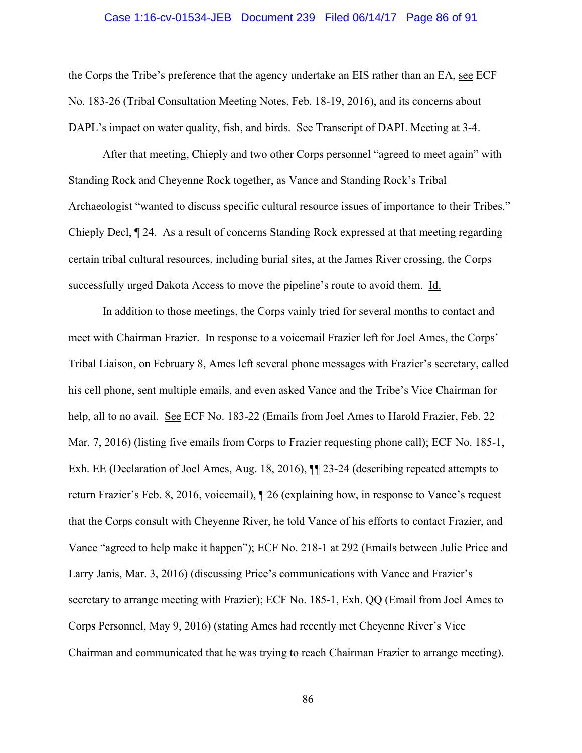### Case 1:16-cv-01534-JEB Document 239 Filed 06/14/17 Page 86 of 91

the Corps the Tribe's preference that the agency undertake an EIS rather than an EA, see ECF No. 183-26 (Tribal Consultation Meeting Notes, Feb. 18-19, 2016), and its concerns about DAPL's impact on water quality, fish, and birds. See Transcript of DAPL Meeting at 3-4.

After that meeting, Chieply and two other Corps personnel "agreed to meet again" with Standing Rock and Cheyenne Rock together, as Vance and Standing Rock's Tribal Archaeologist "wanted to discuss specific cultural resource issues of importance to their Tribes." Chieply Decl, ¶ 24. As a result of concerns Standing Rock expressed at that meeting regarding certain tribal cultural resources, including burial sites, at the James River crossing, the Corps successfully urged Dakota Access to move the pipeline's route to avoid them. Id.

In addition to those meetings, the Corps vainly tried for several months to contact and meet with Chairman Frazier. In response to a voicemail Frazier left for Joel Ames, the Corps' Tribal Liaison, on February 8, Ames left several phone messages with Frazier's secretary, called his cell phone, sent multiple emails, and even asked Vance and the Tribe's Vice Chairman for help, all to no avail. See ECF No. 183-22 (Emails from Joel Ames to Harold Frazier, Feb. 22 – Mar. 7, 2016) (listing five emails from Corps to Frazier requesting phone call); ECF No. 185-1, Exh. EE (Declaration of Joel Ames, Aug. 18, 2016), ¶¶ 23-24 (describing repeated attempts to return Frazier's Feb. 8, 2016, voicemail), ¶ 26 (explaining how, in response to Vance's request that the Corps consult with Cheyenne River, he told Vance of his efforts to contact Frazier, and Vance "agreed to help make it happen"); ECF No. 218-1 at 292 (Emails between Julie Price and Larry Janis, Mar. 3, 2016) (discussing Price's communications with Vance and Frazier's secretary to arrange meeting with Frazier); ECF No. 185-1, Exh. QQ (Email from Joel Ames to Corps Personnel, May 9, 2016) (stating Ames had recently met Cheyenne River's Vice Chairman and communicated that he was trying to reach Chairman Frazier to arrange meeting).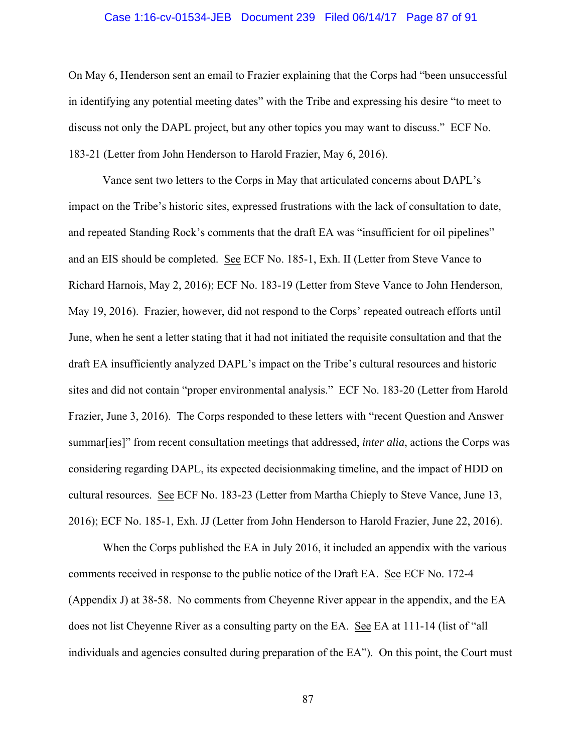# Case 1:16-cv-01534-JEB Document 239 Filed 06/14/17 Page 87 of 91

On May 6, Henderson sent an email to Frazier explaining that the Corps had "been unsuccessful in identifying any potential meeting dates" with the Tribe and expressing his desire "to meet to discuss not only the DAPL project, but any other topics you may want to discuss." ECF No. 183-21 (Letter from John Henderson to Harold Frazier, May 6, 2016).

Vance sent two letters to the Corps in May that articulated concerns about DAPL's impact on the Tribe's historic sites, expressed frustrations with the lack of consultation to date, and repeated Standing Rock's comments that the draft EA was "insufficient for oil pipelines" and an EIS should be completed. See ECF No. 185-1, Exh. II (Letter from Steve Vance to Richard Harnois, May 2, 2016); ECF No. 183-19 (Letter from Steve Vance to John Henderson, May 19, 2016). Frazier, however, did not respond to the Corps' repeated outreach efforts until June, when he sent a letter stating that it had not initiated the requisite consultation and that the draft EA insufficiently analyzed DAPL's impact on the Tribe's cultural resources and historic sites and did not contain "proper environmental analysis." ECF No. 183-20 (Letter from Harold Frazier, June 3, 2016). The Corps responded to these letters with "recent Question and Answer summar[ies]" from recent consultation meetings that addressed, *inter alia*, actions the Corps was considering regarding DAPL, its expected decisionmaking timeline, and the impact of HDD on cultural resources. See ECF No. 183-23 (Letter from Martha Chieply to Steve Vance, June 13, 2016); ECF No. 185-1, Exh. JJ (Letter from John Henderson to Harold Frazier, June 22, 2016).

When the Corps published the EA in July 2016, it included an appendix with the various comments received in response to the public notice of the Draft EA. See ECF No. 172-4 (Appendix J) at 38-58. No comments from Cheyenne River appear in the appendix, and the EA does not list Cheyenne River as a consulting party on the EA. See EA at 111-14 (list of "all individuals and agencies consulted during preparation of the EA"). On this point, the Court must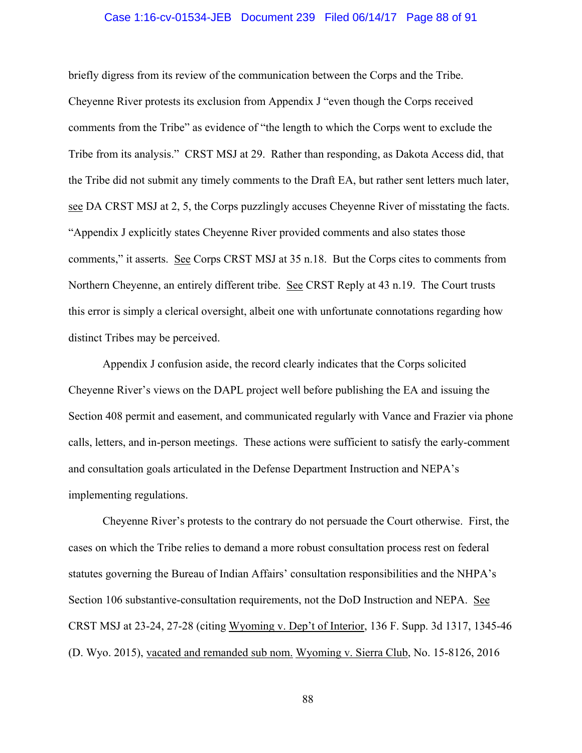### Case 1:16-cv-01534-JEB Document 239 Filed 06/14/17 Page 88 of 91

briefly digress from its review of the communication between the Corps and the Tribe. Cheyenne River protests its exclusion from Appendix J "even though the Corps received comments from the Tribe" as evidence of "the length to which the Corps went to exclude the Tribe from its analysis." CRST MSJ at 29. Rather than responding, as Dakota Access did, that the Tribe did not submit any timely comments to the Draft EA, but rather sent letters much later, see DA CRST MSJ at 2, 5, the Corps puzzlingly accuses Cheyenne River of misstating the facts. "Appendix J explicitly states Cheyenne River provided comments and also states those comments," it asserts. See Corps CRST MSJ at 35 n.18. But the Corps cites to comments from Northern Cheyenne, an entirely different tribe. See CRST Reply at 43 n.19. The Court trusts this error is simply a clerical oversight, albeit one with unfortunate connotations regarding how distinct Tribes may be perceived.

Appendix J confusion aside, the record clearly indicates that the Corps solicited Cheyenne River's views on the DAPL project well before publishing the EA and issuing the Section 408 permit and easement, and communicated regularly with Vance and Frazier via phone calls, letters, and in-person meetings. These actions were sufficient to satisfy the early-comment and consultation goals articulated in the Defense Department Instruction and NEPA's implementing regulations.

Cheyenne River's protests to the contrary do not persuade the Court otherwise. First, the cases on which the Tribe relies to demand a more robust consultation process rest on federal statutes governing the Bureau of Indian Affairs' consultation responsibilities and the NHPA's Section 106 substantive-consultation requirements, not the DoD Instruction and NEPA. See CRST MSJ at 23-24, 27-28 (citing Wyoming v. Dep't of Interior, 136 F. Supp. 3d 1317, 1345-46 (D. Wyo. 2015), vacated and remanded sub nom. Wyoming v. Sierra Club, No. 15-8126, 2016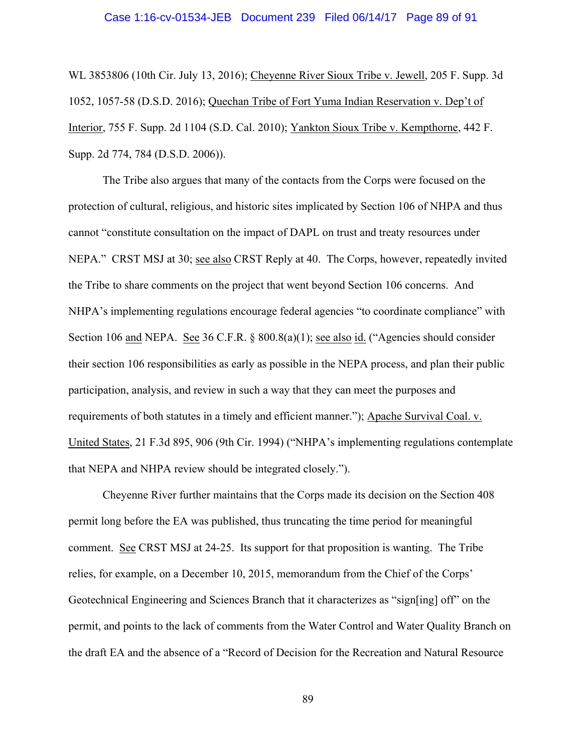### Case 1:16-cv-01534-JEB Document 239 Filed 06/14/17 Page 89 of 91

WL 3853806 (10th Cir. July 13, 2016); Cheyenne River Sioux Tribe v. Jewell, 205 F. Supp. 3d 1052, 1057-58 (D.S.D. 2016); Quechan Tribe of Fort Yuma Indian Reservation v. Dep't of Interior, 755 F. Supp. 2d 1104 (S.D. Cal. 2010); Yankton Sioux Tribe v. Kempthorne, 442 F. Supp. 2d 774, 784 (D.S.D. 2006)).

The Tribe also argues that many of the contacts from the Corps were focused on the protection of cultural, religious, and historic sites implicated by Section 106 of NHPA and thus cannot "constitute consultation on the impact of DAPL on trust and treaty resources under NEPA." CRST MSJ at 30; see also CRST Reply at 40. The Corps, however, repeatedly invited the Tribe to share comments on the project that went beyond Section 106 concerns. And NHPA's implementing regulations encourage federal agencies "to coordinate compliance" with Section 106 and NEPA. See 36 C.F.R. § 800.8(a)(1); see also id. ("Agencies should consider their section 106 responsibilities as early as possible in the NEPA process, and plan their public participation, analysis, and review in such a way that they can meet the purposes and requirements of both statutes in a timely and efficient manner."); Apache Survival Coal. v. United States, 21 F.3d 895, 906 (9th Cir. 1994) ("NHPA's implementing regulations contemplate that NEPA and NHPA review should be integrated closely.").

Cheyenne River further maintains that the Corps made its decision on the Section 408 permit long before the EA was published, thus truncating the time period for meaningful comment. See CRST MSJ at 24-25. Its support for that proposition is wanting. The Tribe relies, for example, on a December 10, 2015, memorandum from the Chief of the Corps' Geotechnical Engineering and Sciences Branch that it characterizes as "sign[ing] off" on the permit, and points to the lack of comments from the Water Control and Water Quality Branch on the draft EA and the absence of a "Record of Decision for the Recreation and Natural Resource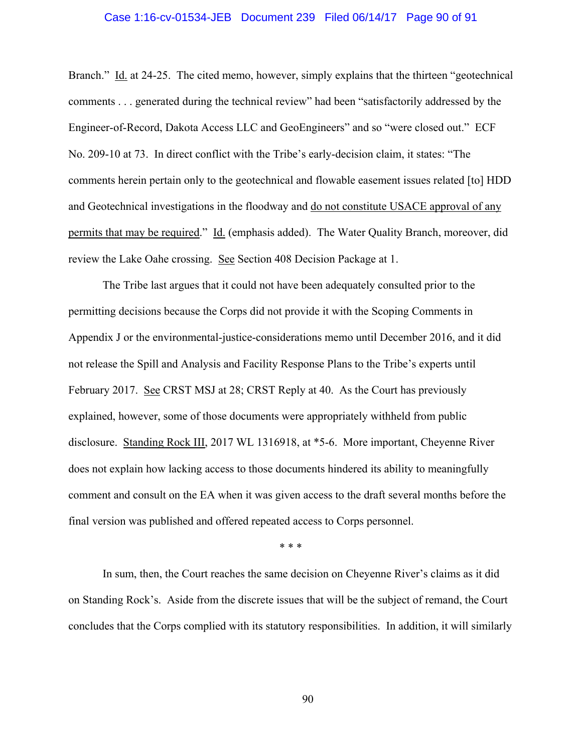# Case 1:16-cv-01534-JEB Document 239 Filed 06/14/17 Page 90 of 91

Branch." Id. at 24-25. The cited memo, however, simply explains that the thirteen "geotechnical" comments . . . generated during the technical review" had been "satisfactorily addressed by the Engineer-of-Record, Dakota Access LLC and GeoEngineers" and so "were closed out." ECF No. 209-10 at 73. In direct conflict with the Tribe's early-decision claim, it states: "The comments herein pertain only to the geotechnical and flowable easement issues related [to] HDD and Geotechnical investigations in the floodway and do not constitute USACE approval of any permits that may be required." Id. (emphasis added). The Water Quality Branch, moreover, did review the Lake Oahe crossing. See Section 408 Decision Package at 1.

The Tribe last argues that it could not have been adequately consulted prior to the permitting decisions because the Corps did not provide it with the Scoping Comments in Appendix J or the environmental-justice-considerations memo until December 2016, and it did not release the Spill and Analysis and Facility Response Plans to the Tribe's experts until February 2017. See CRST MSJ at 28; CRST Reply at 40. As the Court has previously explained, however, some of those documents were appropriately withheld from public disclosure. Standing Rock III, 2017 WL 1316918, at \*5-6. More important, Cheyenne River does not explain how lacking access to those documents hindered its ability to meaningfully comment and consult on the EA when it was given access to the draft several months before the final version was published and offered repeated access to Corps personnel.

\* \* \*

 In sum, then, the Court reaches the same decision on Cheyenne River's claims as it did on Standing Rock's. Aside from the discrete issues that will be the subject of remand, the Court concludes that the Corps complied with its statutory responsibilities. In addition, it will similarly